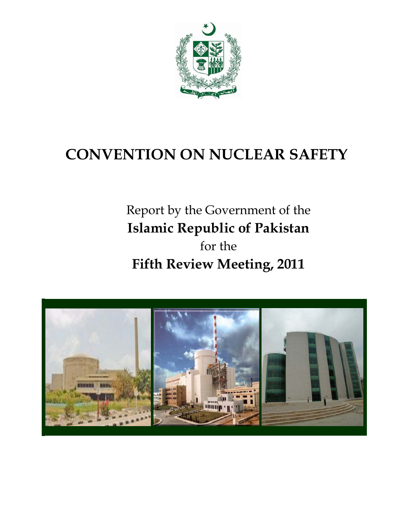

# **CONVENTION ON NUCLEAR SAFETY**

# Report by the Government of the **Islamic Republic of Pakistan**  for the **Fifth Review Meeting, 2011**

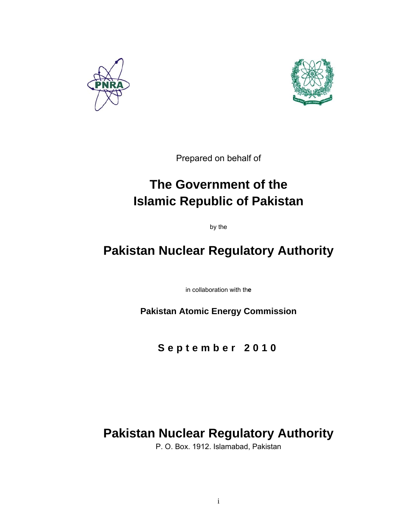



Prepared on behalf of

## **The Government of the Islamic Republic of Pakistan**

by the

## **Pakistan Nuclear Regulatory Authority**

in collaboration with th**e** 

**Pakistan Atomic Energy Commission** 

**September 2010** 

## **Pakistan Nuclear Regulatory Authority**

P. O. Box. 1912. Islamabad, Pakistan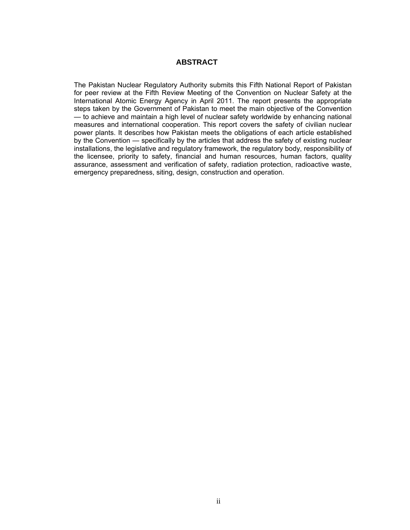## **ABSTRACT**

The Pakistan Nuclear Regulatory Authority submits this Fifth National Report of Pakistan for peer review at the Fifth Review Meeting of the Convention on Nuclear Safety at the International Atomic Energy Agency in April 2011. The report presents the appropriate steps taken by the Government of Pakistan to meet the main objective of the Convention — to achieve and maintain a high level of nuclear safety worldwide by enhancing national measures and international cooperation. This report covers the safety of civilian nuclear power plants. It describes how Pakistan meets the obligations of each article established by the Convention — specifically by the articles that address the safety of existing nuclear installations, the legislative and regulatory framework, the regulatory body, responsibility of the licensee, priority to safety, financial and human resources, human factors, quality assurance, assessment and verification of safety, radiation protection, radioactive waste, emergency preparedness, siting, design, construction and operation.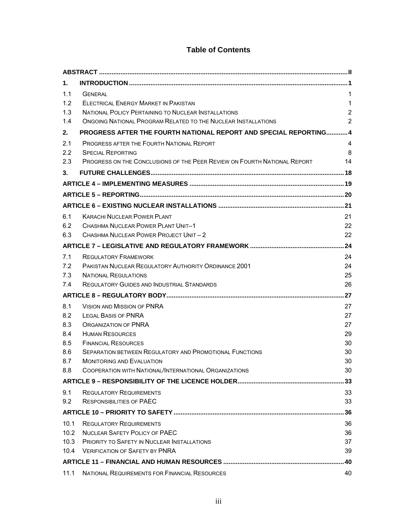## **Table of Contents**

| 1.         |                                                                                                    |                |  |  |
|------------|----------------------------------------------------------------------------------------------------|----------------|--|--|
| 1.1        | <b>GENERAL</b>                                                                                     | 1              |  |  |
| 1.2        | <b>ELECTRICAL ENERGY MARKET IN PAKISTAN</b>                                                        | 1              |  |  |
| 1.3        | <b>NATIONAL POLICY PERTAINING TO NUCLEAR INSTALLATIONS</b>                                         | $\overline{2}$ |  |  |
| 1.4        | <b>ONGOING NATIONAL PROGRAM RELATED TO THE NUCLEAR INSTALLATIONS</b>                               | 2              |  |  |
| 2.         | PROGRESS AFTER THE FOURTH NATIONAL REPORT AND SPECIAL REPORTING 4                                  |                |  |  |
| 2.1        | <b>PROGRESS AFTER THE FOURTH NATIONAL REPORT</b>                                                   | 4              |  |  |
| 2.2        | <b>SPECIAL REPORTING</b>                                                                           | 8              |  |  |
| 2.3        | PROGRESS ON THE CONCLUSIONS OF THE PEER REVIEW ON FOURTH NATIONAL REPORT                           | 14             |  |  |
| 3.         |                                                                                                    |                |  |  |
|            |                                                                                                    |                |  |  |
|            |                                                                                                    |                |  |  |
|            |                                                                                                    |                |  |  |
| 6.1        | <b>KARACHI NUCLEAR POWER PLANT</b>                                                                 | 21             |  |  |
| 6.2        | CHASHMA NUCLEAR POWER PLANT UNIT-1                                                                 | 22             |  |  |
| 6.3        | CHASHMA NUCLEAR POWER PROJECT UNIT - 2                                                             | 22             |  |  |
|            |                                                                                                    |                |  |  |
| 7.1        | <b>REGULATORY FRAMEWORK</b>                                                                        | 24             |  |  |
| 7.2        | <b>PAKISTAN NUCLEAR REGULATORY AUTHORITY ORDINANCE 2001</b>                                        | 24             |  |  |
| 7.3        | <b>NATIONAL REGULATIONS</b>                                                                        | 25             |  |  |
| 7.4        | <b>REGULATORY GUIDES AND INDUSTRIAL STANDARDS</b>                                                  | 26             |  |  |
|            |                                                                                                    |                |  |  |
| 8.1        | <b>VISION AND MISSION OF PNRA</b>                                                                  | 27             |  |  |
| 8.2        | <b>LEGAL BASIS OF PNRA</b>                                                                         | 27             |  |  |
| 8.3        | <b>ORGANIZATION OF PNRA</b>                                                                        | 27             |  |  |
| 8.4        | <b>HUMAN RESOURCES</b>                                                                             | 29             |  |  |
| 8.5        | <b>FINANCIAL RESOURCES</b>                                                                         | 30             |  |  |
| 8.6<br>8.7 | <b>SEPARATION BETWEEN REGULATORY AND PROMOTIONAL FUNCTIONS</b><br><b>MONITORING AND EVALUATION</b> | 30<br>30       |  |  |
| 8.8        | COOPERATION WITH NATIONAL/INTERNATIONAL ORGANIZATIONS                                              | 30             |  |  |
|            |                                                                                                    | 33             |  |  |
| 9.1        | <b>REGULATORY REQUIREMENTS</b>                                                                     | 33             |  |  |
| 9.2        | <b>RESPONSIBILITIES OF PAEC</b>                                                                    | 33             |  |  |
|            |                                                                                                    | 36             |  |  |
| 10.1       | <b>REGULATORY REQUIREMENTS</b>                                                                     | 36             |  |  |
| 10.2       | NUCLEAR SAFETY POLICY OF PAEC                                                                      | 36             |  |  |
|            | 10.3 PRIORITY TO SAFETY IN NUCLEAR INSTALLATIONS                                                   | 37             |  |  |
| 10.4       | <b>VERIFICATION OF SAFFTY BY PNRA</b>                                                              | 39             |  |  |
|            |                                                                                                    |                |  |  |
| 11.1       | NATIONAL REQUIREMENTS FOR FINANCIAL RESOURCES                                                      | 40             |  |  |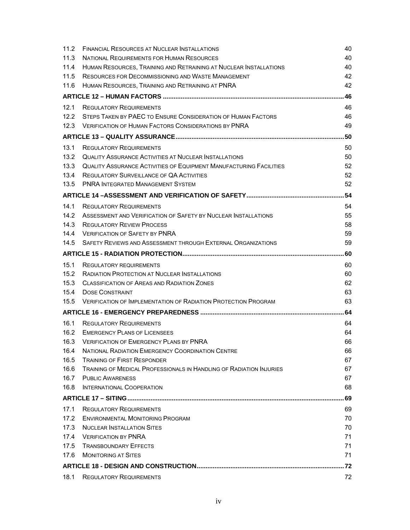| 11.2 | <b>FINANCIAL RESOURCES AT NUCLEAR INSTALLATIONS</b>                        | 40  |  |  |
|------|----------------------------------------------------------------------------|-----|--|--|
| 11.3 | NATIONAL REQUIREMENTS FOR HUMAN RESOURCES                                  |     |  |  |
| 11.4 | HUMAN RESOURCES, TRAINING AND RETRAINING AT NUCLEAR INSTALLATIONS          |     |  |  |
| 11.5 | RESOURCES FOR DECOMMISSIONING AND WASTE MANAGEMENT                         | 42  |  |  |
| 11.6 | HUMAN RESOURCES, TRAINING AND RETRAINING AT PNRA                           | 42  |  |  |
|      |                                                                            | 46  |  |  |
| 12.1 | <b>REGULATORY REQUIREMENTS</b>                                             | 46  |  |  |
| 12.2 | STEPS TAKEN BY PAEC TO ENSURE CONSIDERATION OF HUMAN FACTORS               | 46  |  |  |
| 12.3 | <b>VERIFICATION OF HUMAN FACTORS CONSIDERATIONS BY PNRA</b>                | 49  |  |  |
|      |                                                                            | .50 |  |  |
| 13.1 | <b>REGULATORY REQUIREMENTS</b>                                             | 50  |  |  |
| 13.2 | QUALITY ASSURANCE ACTIVITIES AT NUCLEAR INSTALLATIONS                      | 50  |  |  |
| 13.3 | <b>QUALITY ASSURANCE ACTIVITIES OF EQUIPMENT MANUFACTURING FACILITIES</b>  | 52  |  |  |
| 13.4 | <b>REGULATORY SURVEILLANCE OF QA ACTIVITIES</b>                            | 52  |  |  |
| 13.5 | <b>PNRA INTEGRATED MANAGEMENT SYSTEM</b>                                   | 52  |  |  |
|      |                                                                            |     |  |  |
| 14.1 | <b>REGULATORY REQUIREMENTS</b>                                             | 54  |  |  |
| 14.2 | ASSESSMENT AND VERIFICATION OF SAFETY BY NUCLEAR INSTALLATIONS             | 55  |  |  |
| 14.3 | <b>REGULATORY REVIEW PROCESS</b>                                           | 58  |  |  |
| 14.4 | <b>VERIFICATION OF SAFETY BY PNRA</b>                                      | 59  |  |  |
| 14.5 | SAFETY REVIEWS AND ASSESSMENT THROUGH EXTERNAL ORGANIZATIONS               | 59  |  |  |
| 60   |                                                                            |     |  |  |
| 15.1 | <b>REGULATORY REQUIREMENTS</b>                                             | 60  |  |  |
| 15.2 | <b>RADIATION PROTECTION AT NUCLEAR INSTALLATIONS</b>                       | 60  |  |  |
| 15.3 | <b>CLASSIFICATION OF AREAS AND RADIATION ZONES</b>                         | 62  |  |  |
| 15.4 | <b>DOSE CONSTRAINT</b>                                                     | 63  |  |  |
| 15.5 | <b>VERIFICATION OF IMPLEMENTATION OF RADIATION PROTECTION PROGRAM</b>      | 63  |  |  |
|      |                                                                            | 64  |  |  |
| 16.1 | <b>REGULATORY REQUIREMENTS</b>                                             | 64  |  |  |
| 16.2 | <b>EMERGENCY PLANS OF LICENSEES</b>                                        | 64  |  |  |
| 16.3 | <b>VERIFICATION OF EMERGENCY PLANS BY PNRA</b>                             | 66  |  |  |
| 16.4 | <b>NATIONAL RADIATION EMERGENCY COORDINATION CENTRE</b>                    | 66  |  |  |
| 16.5 | <b>TRAINING OF FIRST RESPONDER</b>                                         | 67  |  |  |
| 16.6 | <b>TRAINING OF MEDICAL PROFESSIONALS IN HANDLING OF RADIATION INJURIES</b> | 67  |  |  |
| 16.7 | <b>PUBLIC AWARENESS</b>                                                    | 67  |  |  |
| 16.8 | <b>INTERNATIONAL COOPERATION</b>                                           | 68  |  |  |
|      |                                                                            | 69  |  |  |
| 17.1 | <b>REGULATORY REQUIREMENTS</b>                                             | 69  |  |  |
| 17.2 | <b>ENVIRONMENTAL MONITORING PROGRAM</b>                                    | 70  |  |  |
| 17.3 | <b>NUCLEAR INSTALLATION SITES</b>                                          | 70  |  |  |
| 17.4 | <b>VERIFICATION BY PNRA</b>                                                | 71  |  |  |
| 17.5 | <b>TRANSBOUNDARY EFFECTS</b>                                               | 71  |  |  |
| 17.6 | <b>MONITORING AT SITES</b>                                                 | 71  |  |  |
|      |                                                                            |     |  |  |
| 18.1 | <b>REGULATORY REQUIREMENTS</b>                                             | 72  |  |  |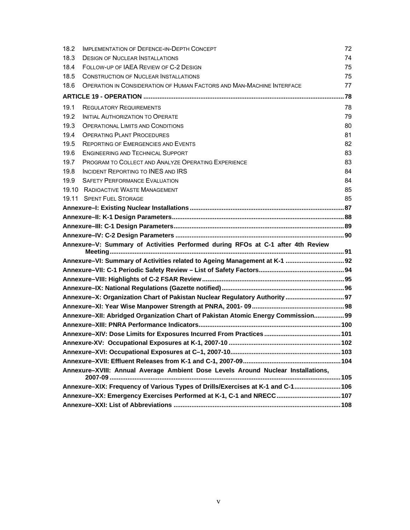| 18.2 | <b>IMPLEMENTATION OF DEFENCE-IN-DEPTH CONCEPT</b>                                 | 72 |  |
|------|-----------------------------------------------------------------------------------|----|--|
| 18.3 | <b>DESIGN OF NUCLEAR INSTALLATIONS</b>                                            |    |  |
| 18.4 | FOLLOW-UP OF IAEA REVIEW OF C-2 DESIGN                                            | 75 |  |
| 18.5 | <b>CONSTRUCTION OF NUCLEAR INSTALLATIONS</b>                                      | 75 |  |
| 18.6 | OPERATION IN CONSIDERATION OF HUMAN FACTORS AND MAN-MACHINE INTERFACE             | 77 |  |
|      |                                                                                   |    |  |
| 19.1 | <b>REGULATORY REQUIREMENTS</b>                                                    | 78 |  |
| 19.2 | INITIAL AUTHORIZATION TO OPERATE                                                  | 79 |  |
| 19.3 | <b>OPERATIONAL LIMITS AND CONDITIONS</b>                                          | 80 |  |
| 19.4 | <b>OPERATING PLANT PROCEDURES</b>                                                 | 81 |  |
| 19.5 | <b>REPORTING OF EMERGENCIES AND EVENTS</b>                                        | 82 |  |
| 19.6 | ENGINEERING AND TECHNICAL SUPPORT                                                 | 83 |  |
| 19.7 | PROGRAM TO COLLECT AND ANALYZE OPERATING EXPERIENCE                               | 83 |  |
| 19.8 | <b>INCIDENT REPORTING TO INES AND IRS</b>                                         | 84 |  |
| 19.9 | <b>SAFETY PERFORMANCE EVALUATION</b>                                              | 84 |  |
|      | 19.10 RADIOACTIVE WASTE MANAGEMENT                                                | 85 |  |
|      | 19.11 SPENT FUEL STORAGE                                                          | 85 |  |
|      |                                                                                   |    |  |
|      |                                                                                   |    |  |
|      |                                                                                   |    |  |
|      |                                                                                   |    |  |
|      |                                                                                   |    |  |
|      | Annexure-V: Summary of Activities Performed during RFOs at C-1 after 4th Review   |    |  |
|      |                                                                                   |    |  |
|      | Annexure-VI: Summary of Activities related to Ageing Management at K-1  92        |    |  |
|      |                                                                                   |    |  |
|      |                                                                                   |    |  |
|      |                                                                                   |    |  |
|      | Annexure-X: Organization Chart of Pakistan Nuclear Regulatory Authority  97       |    |  |
|      |                                                                                   |    |  |
|      | Annexure-XII: Abridged Organization Chart of Pakistan Atomic Energy Commission 99 |    |  |
|      |                                                                                   |    |  |
|      |                                                                                   |    |  |
|      |                                                                                   |    |  |
|      |                                                                                   |    |  |
|      | Annexure-XVIII: Annual Average Ambient Dose Levels Around Nuclear Installations,  |    |  |
|      |                                                                                   |    |  |
|      | Annexure-XIX: Frequency of Various Types of Drills/Exercises at K-1 and C-1 106   |    |  |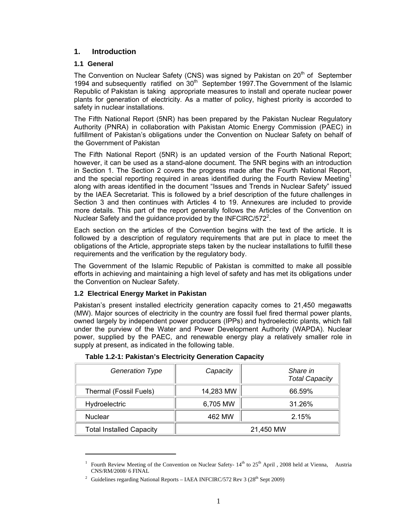## **1. Introduction**

### **1.1 General**

 $\overline{a}$ 

The Convention on Nuclear Safety (CNS) was signed by Pakistan on  $20<sup>th</sup>$  of September 1994 and subsequently ratified on 30<sup>th</sup> September 1997. The Government of the Islamic Republic of Pakistan is taking appropriate measures to install and operate nuclear power plants for generation of electricity. As a matter of policy, highest priority is accorded to safety in nuclear installations.

The Fifth National Report (5NR) has been prepared by the Pakistan Nuclear Regulatory Authority (PNRA) in collaboration with Pakistan Atomic Energy Commission (PAEC) in fulfillment of Pakistan's obligations under the Convention on Nuclear Safety on behalf of the Government of Pakistan

The Fifth National Report (5NR) is an updated version of the Fourth National Report; however, it can be used as a stand-alone document. The 5NR begins with an introduction in Section 1. The Section 2 covers the progress made after the Fourth National Report, and the special reporting required in areas identified during the Fourth Review Meeting<sup>1</sup> along with areas identified in the document "Issues and Trends in Nuclear Safety" issued by the IAEA Secretariat. This is followed by a brief description of the future challenges in Section 3 and then continues with Articles 4 to 19. Annexures are included to provide more details. This part of the report generally follows the Articles of the Convention on Nuclear Safety and the guidance provided by the INFCIRC/572 $2$ .

Each section on the articles of the Convention begins with the text of the article. It is followed by a description of regulatory requirements that are put in place to meet the obligations of the Article, appropriate steps taken by the nuclear installations to fulfill these requirements and the verification by the regulatory body.

The Government of the Islamic Republic of Pakistan is committed to make all possible efforts in achieving and maintaining a high level of safety and has met its obligations under the Convention on Nuclear Safety.

## **1.2 Electrical Energy Market in Pakistan**

Pakistan's present installed electricity generation capacity comes to 21,450 megawatts (MW). Major sources of electricity in the country are fossil fuel fired thermal power plants, owned largely by independent power producers (IPPs) and hydroelectric plants, which fall under the purview of the Water and Power Development Authority (WAPDA). Nuclear power, supplied by the PAEC, and renewable energy play a relatively smaller role in supply at present, as indicated in the following table.

| Generation Type                 | Capacity  | Share in<br><b>Total Capacity</b> |
|---------------------------------|-----------|-----------------------------------|
| Thermal (Fossil Fuels)          | 14,283 MW | 66.59%                            |
| <b>Hydroelectric</b>            | 6,705 MW  | 31.26%                            |
| <b>Nuclear</b>                  | 462 MW    | 2.15%                             |
| <b>Total Installed Capacity</b> |           | 21,450 MW                         |

**Table 1.2-1: Pakistan's Electricity Generation Capacity** 

<sup>&</sup>lt;sup>1</sup> Fourth Review Meeting of the Convention on Nuclear Safety-  $14<sup>th</sup>$  to  $25<sup>th</sup>$  April, 2008 held at Vienna, Austria CNS/RM/2008/ 6 FINAL

<sup>&</sup>lt;sup>2</sup> Guidelines regarding National Reports – IAEA INFCIRC/572 Rev 3 (28<sup>th</sup> Sept 2009)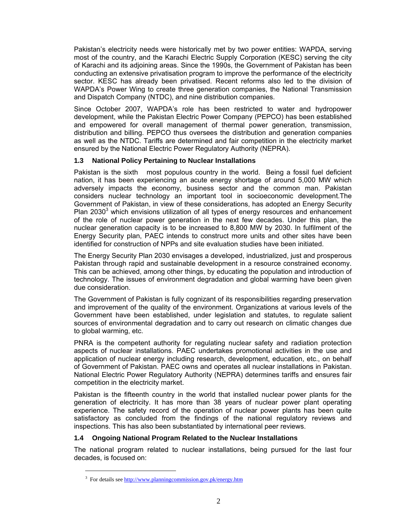Pakistan's electricity needs were historically met by two power entities: WAPDA, serving most of the country, and the Karachi Electric Supply Corporation (KESC) serving the city of Karachi and its adjoining areas. Since the 1990s, the Government of Pakistan has been conducting an extensive privatisation program to improve the performance of the electricity sector. KESC has already been privatised. Recent reforms also led to the division of WAPDA's Power Wing to create three generation companies, the National Transmission and Dispatch Company (NTDC), and nine distribution companies.

Since October 2007, WAPDA's role has been restricted to water and hydropower development, while the Pakistan Electric Power Company (PEPCO) has been established and empowered for overall management of thermal power generation, transmission, distribution and billing. PEPCO thus oversees the distribution and generation companies as well as the NTDC. Tariffs are determined and fair competition in the electricity market ensured by the National Electric Power Regulatory Authority (NEPRA).

#### **1.3 National Policy Pertaining to Nuclear Installations**

Pakistan is the sixth most populous country in the world. Being a fossil fuel deficient nation, it has been experiencing an acute energy shortage of around 5,000 MW which adversely impacts the economy, business sector and the common man. Pakistan considers nuclear technology an important tool in socioeconomic development.The Government of Pakistan, in view of these considerations, has adopted an Energy Security Plan 2030<sup>3</sup> which envisions utilization of all types of energy resources and enhancement of the role of nuclear power generation in the next few decades. Under this plan, the nuclear generation capacity is to be increased to 8,800 MW by 2030. In fulfilment of the Energy Security plan, PAEC intends to construct more units and other sites have been identified for construction of NPPs and site evaluation studies have been initiated.

The Energy Security Plan 2030 envisages a developed, industrialized, just and prosperous Pakistan through rapid and sustainable development in a resource constrained economy. This can be achieved, among other things, by educating the population and introduction of technology. The issues of environment degradation and global warming have been given due consideration.

The Government of Pakistan is fully cognizant of its responsibilities regarding preservation and improvement of the quality of the environment. Organizations at various levels of the Government have been established, under legislation and statutes, to regulate salient sources of environmental degradation and to carry out research on climatic changes due to global warming, etc.

PNRA is the competent authority for regulating nuclear safety and radiation protection aspects of nuclear installations. PAEC undertakes promotional activities in the use and application of nuclear energy including research, development, education, etc., on behalf of Government of Pakistan. PAEC owns and operates all nuclear installations in Pakistan. National Electric Power Regulatory Authority (NEPRA) determines tariffs and ensures fair competition in the electricity market.

Pakistan is the fifteenth country in the world that installed nuclear power plants for the generation of electricity. It has more than 38 years of nuclear power plant operating experience. The safety record of the operation of nuclear power plants has been quite satisfactory as concluded from the findings of the national regulatory reviews and inspections. This has also been substantiated by international peer reviews.

## **1.4 Ongoing National Program Related to the Nuclear Installations**

The national program related to nuclear installations, being pursued for the last four decades, is focused on:

<sup>&</sup>lt;sup>3</sup> For details see http://www.planningcommission.gov.pk/energy.htm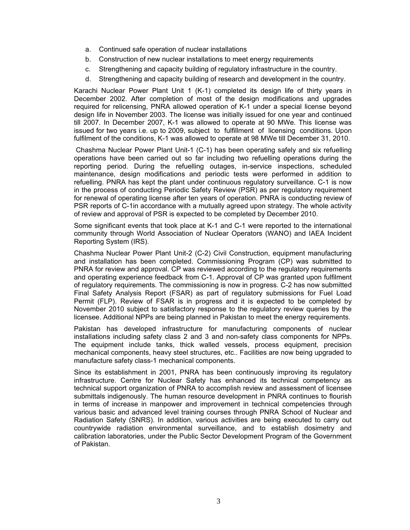- a. Continued safe operation of nuclear installations
- b. Construction of new nuclear installations to meet energy requirements
- c. Strengthening and capacity building of regulatory infrastructure in the country.
- d. Strengthening and capacity building of research and development in the country.

Karachi Nuclear Power Plant Unit 1 (K-1) completed its design life of thirty years in December 2002. After completion of most of the design modifications and upgrades required for relicensing, PNRA allowed operation of K-1 under a special license beyond design life in November 2003. The license was initially issued for one year and continued till 2007. In December 2007, K-1 was allowed to operate at 90 MWe. This license was issued for two years i.e. up to 2009, subject to fulfillment of licensing conditions. Upon fulfilment of the conditions, K-1 was allowed to operate at 98 MWe till December 31, 2010.

 Chashma Nuclear Power Plant Unit-1 (C-1) has been operating safely and six refuelling operations have been carried out so far including two refuelling operations during the reporting period. During the refuelling outages, in-service inspections, scheduled maintenance, design modifications and periodic tests were performed in addition to refuelling. PNRA has kept the plant under continuous regulatory surveillance. C-1 is now in the process of conducting Periodic Safety Review (PSR) as per regulatory requirement for renewal of operating license after ten years of operation. PNRA is conducting review of PSR reports of C-1in accordance with a mutually agreed upon strategy. The whole activity of review and approval of PSR is expected to be completed by December 2010.

Some significant events that took place at K-1 and C-1 were reported to the international community through World Association of Nuclear Operators (WANO) and IAEA Incident Reporting System (IRS).

Chashma Nuclear Power Plant Unit-2 (C-2) Civil Construction, equipment manufacturing and installation has been completed. Commissioning Program (CP) was submitted to PNRA for review and approval. CP was reviewed according to the regulatory requirements and operating experience feedback from C-1. Approval of CP was granted upon fulfilment of regulatory requirements. The commissioning is now in progress. C-2 has now submitted Final Safety Analysis Report (FSAR) as part of regulatory submissions for Fuel Load Permit (FLP). Review of FSAR is in progress and it is expected to be completed by November 2010 subject to satisfactory response to the regulatory review queries by the licensee. Additional NPPs are being planned in Pakistan to meet the energy requirements.

Pakistan has developed infrastructure for manufacturing components of nuclear installations including safety class 2 and 3 and non-safety class components for NPPs. The equipment include tanks, thick walled vessels, process equipment, precision mechanical components, heavy steel structures, etc.. Facilities are now being upgraded to manufacture safety class-1 mechanical components.

Since its establishment in 2001, PNRA has been continuously improving its regulatory infrastructure. Centre for Nuclear Safety has enhanced its technical competency as technical support organization of PNRA to accomplish review and assessment of licensee submittals indigenously. The human resource development in PNRA continues to flourish in terms of increase in manpower and improvement in technical competencies through various basic and advanced level training courses through PNRA School of Nuclear and Radiation Safety (SNRS). In addition, various activities are being executed to carry out countrywide radiation environmental surveillance, and to establish dosimetry and calibration laboratories, under the Public Sector Development Program of the Government of Pakistan.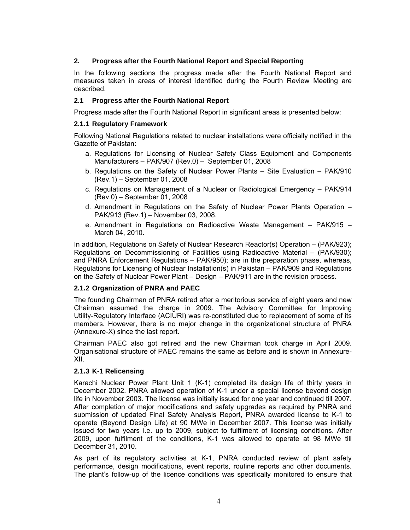## **2. Progress after the Fourth National Report and Special Reporting**

In the following sections the progress made after the Fourth National Report and measures taken in areas of interest identified during the Fourth Review Meeting are described.

## **2.1 Progress after the Fourth National Report**

Progress made after the Fourth National Report in significant areas is presented below:

#### **2.1.1 Regulatory Framework**

Following National Regulations related to nuclear installations were officially notified in the Gazette of Pakistan:

- a. Regulations for Licensing of Nuclear Safety Class Equipment and Components Manufacturers – PAK/907 (Rev.0) – September 01, 2008
- b. Regulations on the Safety of Nuclear Power Plants Site Evaluation PAK/910 (Rev.1) – September 01, 2008
- c. Regulations on Management of a Nuclear or Radiological Emergency PAK/914 (Rev.0) – September 01, 2008
- d. Amendment in Regulations on the Safety of Nuclear Power Plants Operation PAK/913 (Rev.1) – November 03, 2008.
- e. Amendment in Regulations on Radioactive Waste Management PAK/915 March 04, 2010.

In addition, Regulations on Safety of Nuclear Research Reactor(s) Operation – (PAK/923); Regulations on Decommissioning of Facilities using Radioactive Material – (PAK/930); and PNRA Enforcement Regulations – PAK/950); are in the preparation phase, whereas, Regulations for Licensing of Nuclear Installation(s) in Pakistan – PAK/909 and Regulations on the Safety of Nuclear Power Plant – Design – PAK/911 are in the revision process.

#### **2.1.2 Organization of PNRA and PAEC**

The founding Chairman of PNRA retired after a meritorious service of eight years and new Chairman assumed the charge in 2009. The Advisory Committee for Improving Utility-Regulatory Interface (ACIURI) was re-constituted due to replacement of some of its members. However, there is no major change in the organizational structure of PNRA (Annexure-X) since the last report.

Chairman PAEC also got retired and the new Chairman took charge in April 2009. Organisational structure of PAEC remains the same as before and is shown in Annexure-XII.

## **2.1.3 K-1 Relicensing**

Karachi Nuclear Power Plant Unit 1 (K-1) completed its design life of thirty years in December 2002. PNRA allowed operation of K-1 under a special license beyond design life in November 2003. The license was initially issued for one year and continued till 2007. After completion of major modifications and safety upgrades as required by PNRA and submission of updated Final Safety Analysis Report, PNRA awarded license to K-1 to operate (Beyond Design Life) at 90 MWe in December 2007. This license was initially issued for two years i.e. up to 2009, subject to fulfilment of licensing conditions. After 2009, upon fulfilment of the conditions, K-1 was allowed to operate at 98 MWe till December 31, 2010.

As part of its regulatory activities at K-1, PNRA conducted review of plant safety performance, design modifications, event reports, routine reports and other documents. The plant's follow-up of the licence conditions was specifically monitored to ensure that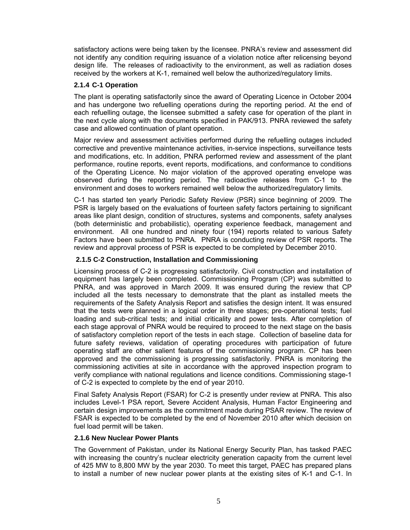satisfactory actions were being taken by the licensee. PNRA's review and assessment did not identify any condition requiring issuance of a violation notice after relicensing beyond design life. The releases of radioactivity to the environment, as well as radiation doses received by the workers at K-1, remained well below the authorized/regulatory limits.

### **2.1.4 C-1 Operation**

The plant is operating satisfactorily since the award of Operating Licence in October 2004 and has undergone two refuelling operations during the reporting period. At the end of each refuelling outage, the licensee submitted a safety case for operation of the plant in the next cycle along with the documents specified in PAK/913. PNRA reviewed the safety case and allowed continuation of plant operation.

Major review and assessment activities performed during the refuelling outages included corrective and preventive maintenance activities, in-service inspections, surveillance tests and modifications, etc. In addition, PNRA performed review and assessment of the plant performance, routine reports, event reports, modifications, and conformance to conditions of the Operating Licence. No major violation of the approved operating envelope was observed during the reporting period. The radioactive releases from C-1 to the environment and doses to workers remained well below the authorized/regulatory limits.

C-1 has started ten yearly Periodic Safety Review (PSR) since beginning of 2009. The PSR is largely based on the evaluations of fourteen safety factors pertaining to significant areas like plant design, condition of structures, systems and components, safety analyses (both deterministic and probabilistic), operating experience feedback, management and environment. All one hundred and ninety four (194) reports related to various Safety Factors have been submitted to PNRA. PNRA is conducting review of PSR reports. The review and approval process of PSR is expected to be completed by December 2010.

## **2.1.5 C-2 Construction, Installation and Commissioning**

Licensing process of C-2 is progressing satisfactorily. Civil construction and installation of equipment has largely been completed. Commissioning Program (CP) was submitted to PNRA, and was approved in March 2009. It was ensured during the review that CP included all the tests necessary to demonstrate that the plant as installed meets the requirements of the Safety Analysis Report and satisfies the design intent. It was ensured that the tests were planned in a logical order in three stages; pre-operational tests; fuel loading and sub-critical tests; and initial criticality and power tests. After completion of each stage approval of PNRA would be required to proceed to the next stage on the basis of satisfactory completion report of the tests in each stage. Collection of baseline data for future safety reviews, validation of operating procedures with participation of future operating staff are other salient features of the commissioning program. CP has been approved and the commissioning is progressing satisfactorily. PNRA is monitoring the commissioning activities at site in accordance with the approved inspection program to verify compliance with national regulations and licence conditions. Commissioning stage-1 of C-2 is expected to complete by the end of year 2010.

Final Safety Analysis Report (FSAR) for C-2 is presently under review at PNRA. This also includes Level-1 PSA report, Severe Accident Analysis, Human Factor Engineering and certain design improvements as the commitment made during PSAR review. The review of FSAR is expected to be completed by the end of November 2010 after which decision on fuel load permit will be taken.

#### **2.1.6 New Nuclear Power Plants**

The Government of Pakistan, under its National Energy Security Plan, has tasked PAEC with increasing the country's nuclear electricity generation capacity from the current level of 425 MW to 8,800 MW by the year 2030. To meet this target, PAEC has prepared plans to install a number of new nuclear power plants at the existing sites of K-1 and C-1. In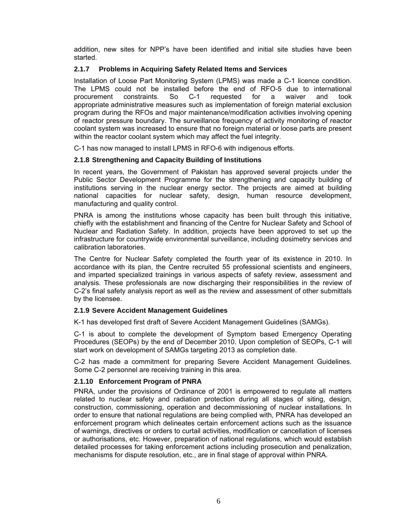addition, new sites for NPP's have been identified and initial site studies have been started.

## **2.1.7 Problems in Acquiring Safety Related Items and Services**

Installation of Loose Part Monitoring System (LPMS) was made a C-1 licence condition. The LPMS could not be installed before the end of RFO-5 due to international procurement constraints. So C-1 requested for a waiver and took appropriate administrative measures such as implementation of foreign material exclusion program during the RFOs and major maintenance/modification activities involving opening of reactor pressure boundary. The surveillance frequency of activity monitoring of reactor coolant system was increased to ensure that no foreign material or loose parts are present within the reactor coolant system which may affect the fuel integrity.

C-1 has now managed to install LPMS in RFO-6 with indigenous efforts.

## **2.1.8 Strengthening and Capacity Building of Institutions**

In recent years, the Government of Pakistan has approved several projects under the Public Sector Development Programme for the strengthening and capacity building of institutions serving in the nuclear energy sector. The projects are aimed at building national capacities for nuclear safety, design, human resource development, manufacturing and quality control.

PNRA is among the institutions whose capacity has been built through this initiative, chiefly with the establishment and financing of the Centre for Nuclear Safety and School of Nuclear and Radiation Safety. In addition, projects have been approved to set up the infrastructure for countrywide environmental surveillance, including dosimetry services and calibration laboratories.

The Centre for Nuclear Safety completed the fourth year of its existence in 2010. In accordance with its plan, the Centre recruited 55 professional scientists and engineers, and imparted specialized trainings in various aspects of safety review, assessment and analysis. These professionals are now discharging their responsibilities in the review of C-2's final safety analysis report as well as the review and assessment of other submittals by the licensee.

## **2.1.9 Severe Accident Management Guidelines**

K-1 has developed first draft of Severe Accident Management Guidelines (SAMGs).

C-1 is about to complete the development of Symptom based Emergency Operating Procedures (SEOPs) by the end of December 2010. Upon completion of SEOPs, C-1 will start work on development of SAMGs targeting 2013 as completion date.

C-2 has made a commitment for preparing Severe Accident Management Guidelines. Some C-2 personnel are receiving training in this area.

## **2.1.10 Enforcement Program of PNRA**

PNRA, under the provisions of Ordinance of 2001 is empowered to regulate all matters related to nuclear safety and radiation protection during all stages of siting, design, construction, commissioning, operation and decommissioning of nuclear installations. In order to ensure that national regulations are being complied with, PNRA has developed an enforcement program which delineates certain enforcement actions such as the issuance of warnings, directives or orders to curtail activities, modification or cancellation of licenses or authorisations, etc. However, preparation of national regulations, which would establish detailed processes for taking enforcement actions including prosecution and penalization, mechanisms for dispute resolution, etc., are in final stage of approval within PNRA.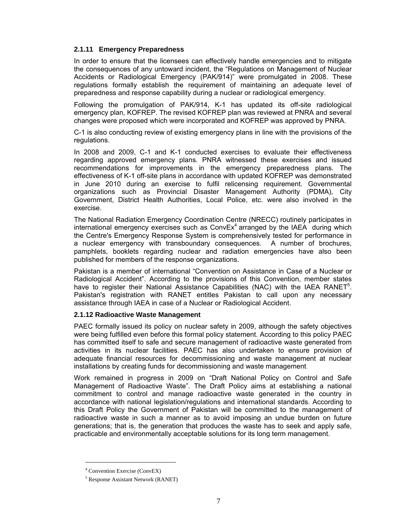## **2.1.11 Emergency Preparedness**

In order to ensure that the licensees can effectively handle emergencies and to mitigate the consequences of any untoward incident, the "Regulations on Management of Nuclear Accidents or Radiological Emergency (PAK/914)" were promulgated in 2008. These regulations formally establish the requirement of maintaining an adequate level of preparedness and response capability during a nuclear or radiological emergency.

Following the promulgation of PAK/914, K-1 has updated its off-site radiological emergency plan, KOFREP. The revised KOFREP plan was reviewed at PNRA and several changes were proposed which were incorporated and KOFREP was approved by PNRA.

C-1 is also conducting review of existing emergency plans in line with the provisions of the regulations.

In 2008 and 2009, C-1 and K-1 conducted exercises to evaluate their effectiveness regarding approved emergency plans. PNRA witnessed these exercises and issued recommendations for improvements in the emergency preparedness plans. The effectiveness of K-1 off-site plans in accordance with updated KOFREP was demonstrated in June 2010 during an exercise to fulfil relicensing requirement. Governmental organizations such as Provincial Disaster Management Authority (PDMA), City Government, District Health Authorities, Local Police, etc. were also involved in the exercise.

The National Radiation Emergency Coordination Centre (NRECC) routinely participates in international emergency exercises such as  $ConvEx<sup>4</sup>$  arranged by the IAEA during which the Centre's Emergency Response System is comprehensively tested for performance in a nuclear emergency with transboundary consequences. A number of brochures, pamphlets, booklets regarding nuclear and radiation emergencies have also been published for members of the response organizations.

Pakistan is a member of international "Convention on Assistance in Case of a Nuclear or Radiological Accident". According to the provisions of this Convention, member states have to register their National Assistance Capabilities (NAC) with the IAEA RANET<sup>5</sup>. Pakistan's registration with RANET entitles Pakistan to call upon any necessary assistance through IAEA in case of a Nuclear or Radiological Accident.

#### **2.1.12 Radioactive Waste Management**

PAEC formally issued its policy on nuclear safety in 2009, although the safety objectives were being fulfilled even before this formal policy statement. According to this policy PAEC has committed itself to safe and secure management of radioactive waste generated from activities in its nuclear facilities. PAEC has also undertaken to ensure provision of adequate financial resources for decommissioning and waste management at nuclear installations by creating funds for decommissioning and waste management.

Work remained in progress in 2009 on "Draft National Policy on Control and Safe Management of Radioactive Waste". The Draft Policy aims at establishing a national commitment to control and manage radioactive waste generated in the country in accordance with national legislation/regulations and international standards. According to this Draft Policy the Government of Pakistan will be committed to the management of radioactive waste in such a manner as to avoid imposing an undue burden on future generations; that is, the generation that produces the waste has to seek and apply safe, practicable and environmentally acceptable solutions for its long term management.

l

<sup>4</sup> Convention Exercise (ConvEX)

<sup>5</sup> Response Assistant Network (RANET)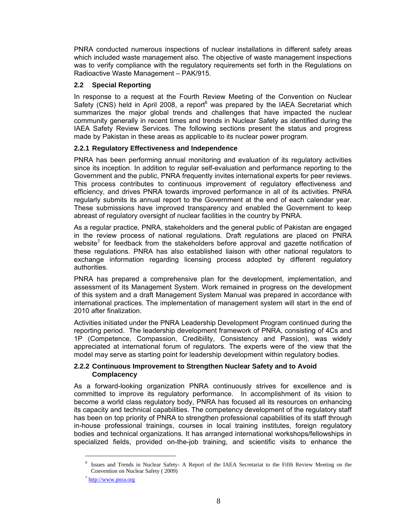PNRA conducted numerous inspections of nuclear installations in different safety areas which included waste management also. The objective of waste management inspections was to verify compliance with the regulatory requirements set forth in the Regulations on Radioactive Waste Management – PAK/915.

## **2.2 Special Reporting**

In response to a request at the Fourth Review Meeting of the Convention on Nuclear Safety (CNS) held in April 2008, a report $6$  was prepared by the IAEA Secretariat which summarizes the major global trends and challenges that have impacted the nuclear community generally in recent times and trends in Nuclear Safety as identified during the IAEA Safety Review Services. The following sections present the status and progress made by Pakistan in these areas as applicable to its nuclear power program.

## **2.2.1 Regulatory Effectiveness and Independence**

PNRA has been performing annual monitoring and evaluation of its regulatory activities since its inception. In addition to regular self-evaluation and performance reporting to the Government and the public, PNRA frequently invites international experts for peer reviews. This process contributes to continuous improvement of regulatory effectiveness and efficiency, and drives PNRA towards improved performance in all of its activities. PNRA regularly submits its annual report to the Government at the end of each calendar year. These submissions have improved transparency and enabled the Government to keep abreast of regulatory oversight of nuclear facilities in the country by PNRA.

As a regular practice, PNRA, stakeholders and the general public of Pakistan are engaged in the review process of national regulations. Draft regulations are placed on PNRA website<sup>7</sup> for feedback from the stakeholders before approval and gazette notification of these regulations. PNRA has also established liaison with other national regulators to exchange information regarding licensing process adopted by different regulatory authorities.

PNRA has prepared a comprehensive plan for the development, implementation, and assessment of its Management System. Work remained in progress on the development of this system and a draft Management System Manual was prepared in accordance with international practices. The implementation of management system will start in the end of 2010 after finalization.

Activities initiated under the PNRA Leadership Development Program continued during the reporting period. The leadership development framework of PNRA, consisting of 4Cs and 1P (Competence, Compassion, Credibility, Consistency and Passion), was widely appreciated at international forum of regulators. The experts were of the view that the model may serve as starting point for leadership development within regulatory bodies.

## **2.2.2 Continuous Improvement to Strengthen Nuclear Safety and to Avoid Complacency**

As a forward-looking organization PNRA continuously strives for excellence and is committed to improve its regulatory performance. In accomplishment of its vision to become a world class regulatory body, PNRA has focused all its resources on enhancing its capacity and technical capabilities. The competency development of the regulatory staff has been on top priority of PNRA to strengthen professional capabilities of its staff through in-house professional trainings, courses in local training institutes, foreign regulatory bodies and technical organizations. It has arranged international workshops/fellowships in specialized fields, provided on-the-job training, and scientific visits to enhance the

l

<sup>&</sup>lt;sup>6</sup> Issues and Trends in Nuclear Safety- A Report of the IAEA Secretariat to the Fifth Review Meeting on the Convention on Nuclear Safety ( 2009)

 $^7$  http://www.pnra.org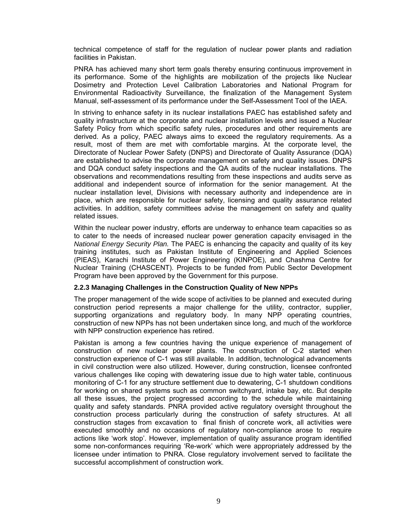technical competence of staff for the regulation of nuclear power plants and radiation facilities in Pakistan.

PNRA has achieved many short term goals thereby ensuring continuous improvement in its performance. Some of the highlights are mobilization of the projects like Nuclear Dosimetry and Protection Level Calibration Laboratories and National Program for Environmental Radioactivity Surveillance, the finalization of the Management System Manual, self-assessment of its performance under the Self-Assessment Tool of the IAEA.

In striving to enhance safety in its nuclear installations PAEC has established safety and quality infrastructure at the corporate and nuclear installation levels and issued a Nuclear Safety Policy from which specific safety rules, procedures and other requirements are derived. As a policy, PAEC always aims to exceed the regulatory requirements. As a result, most of them are met with comfortable margins. At the corporate level, the Directorate of Nuclear Power Safety (DNPS) and Directorate of Quality Assurance (DQA) are established to advise the corporate management on safety and quality issues. DNPS and DQA conduct safety inspections and the QA audits of the nuclear installations. The observations and recommendations resulting from these inspections and audits serve as additional and independent source of information for the senior management. At the nuclear installation level, Divisions with necessary authority and independence are in place, which are responsible for nuclear safety, licensing and quality assurance related activities. In addition, safety committees advise the management on safety and quality related issues.

Within the nuclear power industry, efforts are underway to enhance team capacities so as to cater to the needs of increased nuclear power generation capacity envisaged in the *National Energy Security Plan.* The PAEC is enhancing the capacity and quality of its key training institutes, such as Pakistan Institute of Engineering and Applied Sciences (PIEAS), Karachi Institute of Power Engineering (KINPOE), and Chashma Centre for Nuclear Training (CHASCENT). Projects to be funded from Public Sector Development Program have been approved by the Government for this purpose.

#### **2.2.3 Managing Challenges in the Construction Quality of New NPPs**

The proper management of the wide scope of activities to be planned and executed during construction period represents a major challenge for the utility, contractor, supplier, supporting organizations and regulatory body. In many NPP operating countries, construction of new NPPs has not been undertaken since long, and much of the workforce with NPP construction experience has retired.

Pakistan is among a few countries having the unique experience of management of construction of new nuclear power plants. The construction of C-2 started when construction experience of C-1 was still available. In addition, technological advancements in civil construction were also utilized. However, during construction, licensee confronted various challenges like coping with dewatering issue due to high water table, continuous monitoring of C-1 for any structure settlement due to dewatering, C-1 shutdown conditions for working on shared systems such as common switchyard, intake bay, etc. But despite all these issues, the project progressed according to the schedule while maintaining quality and safety standards. PNRA provided active regulatory oversight throughout the construction process particularly during the construction of safety structures. At all construction stages from excavation to final finish of concrete work, all activities were executed smoothly and no occasions of regulatory non-compliance arose to require actions like 'work stop'. However, implementation of quality assurance program identified some non-conformances requiring 'Re-work' which were appropriately addressed by the licensee under intimation to PNRA. Close regulatory involvement served to facilitate the successful accomplishment of construction work.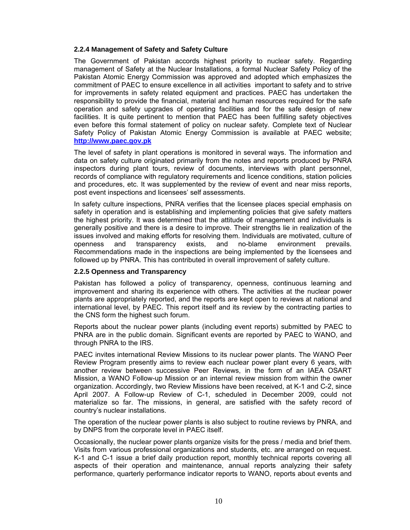#### **2.2.4 Management of Safety and Safety Culture**

The Government of Pakistan accords highest priority to nuclear safety. Regarding management of Safety at the Nuclear Installations, a formal Nuclear Safety Policy of the Pakistan Atomic Energy Commission was approved and adopted which emphasizes the commitment of PAEC to ensure excellence in all activities important to safety and to strive for improvements in safety related equipment and practices. PAEC has undertaken the responsibility to provide the financial, material and human resources required for the safe operation and safety upgrades of operating facilities and for the safe design of new facilities. It is quite pertinent to mention that PAEC has been fulfilling safety objectives even before this formal statement of policy on nuclear safety. Complete text of Nuclear Safety Policy of Pakistan Atomic Energy Commission is available at PAEC website; **http://www.paec.gov.pk**

The level of safety in plant operations is monitored in several ways. The information and data on safety culture originated primarily from the notes and reports produced by PNRA inspectors during plant tours, review of documents, interviews with plant personnel, records of compliance with regulatory requirements and licence conditions, station policies and procedures, etc. It was supplemented by the review of event and near miss reports, post event inspections and licensees' self assessments.

In safety culture inspections, PNRA verifies that the licensee places special emphasis on safety in operation and is establishing and implementing policies that give safety matters the highest priority. It was determined that the attitude of management and individuals is generally positive and there is a desire to improve. Their strengths lie in realization of the issues involved and making efforts for resolving them. Individuals are motivated, culture of openness and transparency exists, and no-blame environment prevails. Recommendations made in the inspections are being implemented by the licensees and followed up by PNRA. This has contributed in overall improvement of safety culture.

#### **2.2.5 Openness and Transparency**

Pakistan has followed a policy of transparency, openness, continuous learning and improvement and sharing its experience with others. The activities at the nuclear power plants are appropriately reported, and the reports are kept open to reviews at national and international level, by PAEC. This report itself and its review by the contracting parties to the CNS form the highest such forum.

Reports about the nuclear power plants (including event reports) submitted by PAEC to PNRA are in the public domain. Significant events are reported by PAEC to WANO, and through PNRA to the IRS.

PAEC invites international Review Missions to its nuclear power plants. The WANO Peer Review Program presently aims to review each nuclear power plant every 6 years, with another review between successive Peer Reviews, in the form of an IAEA OSART Mission, a WANO Follow-up Mission or an internal review mission from within the owner organization. Accordingly, two Review Missions have been received, at K-1 and C-2, since April 2007. A Follow-up Review of C-1, scheduled in December 2009, could not materialize so far. The missions, in general, are satisfied with the safety record of country's nuclear installations.

The operation of the nuclear power plants is also subject to routine reviews by PNRA, and by DNPS from the corporate level in PAEC itself.

Occasionally, the nuclear power plants organize visits for the press / media and brief them. Visits from various professional organizations and students, etc. are arranged on request. K-1 and C-1 issue a brief daily production report, monthly technical reports covering all aspects of their operation and maintenance, annual reports analyzing their safety performance, quarterly performance indicator reports to WANO, reports about events and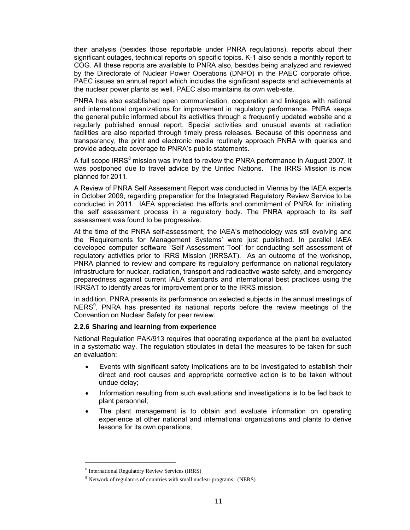their analysis (besides those reportable under PNRA regulations), reports about their significant outages, technical reports on specific topics. K-1 also sends a monthly report to COG. All these reports are available to PNRA also, besides being analyzed and reviewed by the Directorate of Nuclear Power Operations (DNPO) in the PAEC corporate office. PAEC issues an annual report which includes the significant aspects and achievements at the nuclear power plants as well. PAEC also maintains its own web-site.

PNRA has also established open communication, cooperation and linkages with national and international organizations for improvement in regulatory performance. PNRA keeps the general public informed about its activities through a frequently updated website and a regularly published annual report. Special activities and unusual events at radiation facilities are also reported through timely press releases. Because of this openness and transparency, the print and electronic media routinely approach PNRA with queries and provide adequate coverage to PNRA's public statements.

A full scope IRRS<sup>8</sup> mission was invited to review the PNRA performance in August 2007. It was postponed due to travel advice by the United Nations. The IRRS Mission is now planned for 2011.

A Review of PNRA Self Assessment Report was conducted in Vienna by the IAEA experts in October 2009, regarding preparation for the Integrated Regulatory Review Service to be conducted in 2011. IAEA appreciated the efforts and commitment of PNRA for initiating the self assessment process in a regulatory body. The PNRA approach to its self assessment was found to be progressive.

At the time of the PNRA self-assessment, the IAEA's methodology was still evolving and the 'Requirements for Management Systems' were just published. In parallel IAEA developed computer software "Self Assessment Tool" for conducting self assessment of regulatory activities prior to IRRS Mission (IRRSAT). As an outcome of the workshop, PNRA planned to review and compare its regulatory performance on national regulatory infrastructure for nuclear, radiation, transport and radioactive waste safety, and emergency preparedness against current IAEA standards and international best practices using the IRRSAT to identify areas for improvement prior to the IRRS mission.

In addition, PNRA presents its performance on selected subjects in the annual meetings of NERS<sup>9</sup>. PNRA has presented its national reports before the review meetings of the Convention on Nuclear Safety for peer review.

#### **2.2.6 Sharing and learning from experience**

National Regulation PAK/913 requires that operating experience at the plant be evaluated in a systematic way. The regulation stipulates in detail the measures to be taken for such an evaluation:

- Events with significant safety implications are to be investigated to establish their direct and root causes and appropriate corrective action is to be taken without undue delay;
- Information resulting from such evaluations and investigations is to be fed back to plant personnel;
- The plant management is to obtain and evaluate information on operating experience at other national and international organizations and plants to derive lessons for its own operations;

l

<sup>8</sup> International Regulatory Review Services (IRRS)

<sup>&</sup>lt;sup>9</sup> Network of regulators of countries with small nuclear programs (NERS)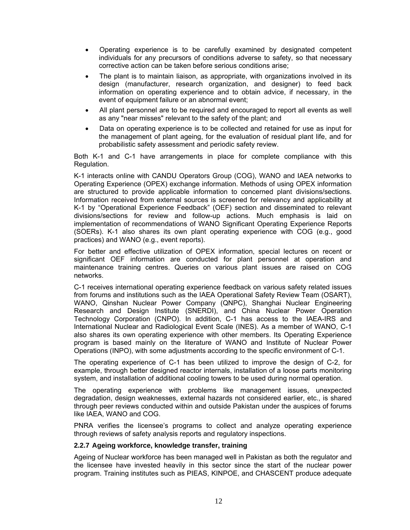- Operating experience is to be carefully examined by designated competent individuals for any precursors of conditions adverse to safety, so that necessary corrective action can be taken before serious conditions arise;
- The plant is to maintain liaison, as appropriate, with organizations involved in its design (manufacturer, research organization, and designer) to feed back information on operating experience and to obtain advice, if necessary, in the event of equipment failure or an abnormal event;
- All plant personnel are to be required and encouraged to report all events as well as any "near misses" relevant to the safety of the plant; and
- Data on operating experience is to be collected and retained for use as input for the management of plant ageing, for the evaluation of residual plant life, and for probabilistic safety assessment and periodic safety review.

Both K-1 and C-1 have arrangements in place for complete compliance with this Regulation.

K-1 interacts online with CANDU Operators Group (COG), WANO and IAEA networks to Operating Experience (OPEX) exchange information. Methods of using OPEX information are structured to provide applicable information to concerned plant divisions/sections. Information received from external sources is screened for relevancy and applicability at K-1 by "Operational Experience Feedback" (OEF) section and disseminated to relevant divisions/sections for review and follow-up actions. Much emphasis is laid on implementation of recommendations of WANO Significant Operating Experience Reports (SOERs). K-1 also shares its own plant operating experience with COG (e.g., good practices) and WANO (e.g., event reports).

For better and effective utilization of OPEX information, special lectures on recent or significant OEF information are conducted for plant personnel at operation and maintenance training centres. Queries on various plant issues are raised on COG networks.

C-1 receives international operating experience feedback on various safety related issues from forums and institutions such as the IAEA Operational Safety Review Team (OSART), WANO, Qinshan Nuclear Power Company (QNPC), Shanghai Nuclear Engineering Research and Design Institute (SNERDI), and China Nuclear Power Operation Technology Corporation (CNPO). In addition, C-1 has access to the IAEA-IRS and International Nuclear and Radiological Event Scale (INES). As a member of WANO, C-1 also shares its own operating experience with other members. Its Operating Experience program is based mainly on the literature of WANO and Institute of Nuclear Power Operations (INPO), with some adjustments according to the specific environment of C-1.

The operating experience of C-1 has been utilized to improve the design of C-2, for example, through better designed reactor internals, installation of a loose parts monitoring system, and installation of additional cooling towers to be used during normal operation.

The operating experience with problems like management issues, unexpected degradation, design weaknesses, external hazards not considered earlier, etc., is shared through peer reviews conducted within and outside Pakistan under the auspices of forums like IAEA, WANO and COG.

PNRA verifies the licensee's programs to collect and analyze operating experience through reviews of safety analysis reports and regulatory inspections.

## **2.2.7 Ageing workforce, knowledge transfer, training**

Ageing of Nuclear workforce has been managed well in Pakistan as both the regulator and the licensee have invested heavily in this sector since the start of the nuclear power program. Training institutes such as PIEAS, KINPOE, and CHASCENT produce adequate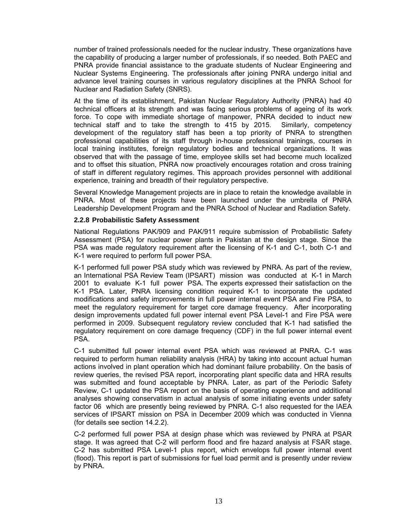number of trained professionals needed for the nuclear industry. These organizations have the capability of producing a larger number of professionals, if so needed. Both PAEC and PNRA provide financial assistance to the graduate students of Nuclear Engineering and Nuclear Systems Engineering. The professionals after joining PNRA undergo initial and advance level training courses in various regulatory disciplines at the PNRA School for Nuclear and Radiation Safety (SNRS).

At the time of its establishment, Pakistan Nuclear Regulatory Authority (PNRA) had 40 technical officers at its strength and was facing serious problems of ageing of its work force. To cope with immediate shortage of manpower, PNRA decided to induct new technical staff and to take the strength to 415 by 2015. Similarly, competency development of the regulatory staff has been a top priority of PNRA to strengthen professional capabilities of its staff through in-house professional trainings, courses in local training institutes, foreign regulatory bodies and technical organizations. It was observed that with the passage of time, employee skills set had become much localized and to offset this situation, PNRA now proactively encourages rotation and cross training of staff in different regulatory regimes. This approach provides personnel with additional experience, training and breadth of their regulatory perspective.

Several Knowledge Management projects are in place to retain the knowledge available in PNRA. Most of these projects have been launched under the umbrella of PNRA Leadership Development Program and the PNRA School of Nuclear and Radiation Safety.

#### **2.2.8 Probabilistic Safety Assessment**

National Regulations PAK/909 and PAK/911 require submission of Probabilistic Safety Assessment (PSA) for nuclear power plants in Pakistan at the design stage. Since the PSA was made regulatory requirement after the licensing of K-1 and C-1, both C-1 and K-1 were required to perform full power PSA.

K-1 performed full power PSA study which was reviewed by PNRA. As part of the review, an International PSA Review Team (IPSART) mission was conducted at K-1 in March 2001 to evaluate K-1 full power PSA. The experts expressed their satisfaction on the K-1 PSA. Later, PNRA licensing condition required K-1 to incorporate the updated modifications and safety improvements in full power internal event PSA and Fire PSA, to meet the regulatory requirement for target core damage frequency. After incorporating design improvements updated full power internal event PSA Level-1 and Fire PSA were performed in 2009. Subsequent regulatory review concluded that K-1 had satisfied the regulatory requirement on core damage frequency (CDF) in the full power internal event PSA.

C-1 submitted full power internal event PSA which was reviewed at PNRA. C-1 was required to perform human reliability analysis (HRA) by taking into account actual human actions involved in plant operation which had dominant failure probability. On the basis of review queries, the revised PSA report, incorporating plant specific data and HRA results was submitted and found acceptable by PNRA. Later, as part of the Periodic Safety Review, C-1 updated the PSA report on the basis of operating experience and additional analyses showing conservatism in actual analysis of some initiating events under safety factor 06 which are presently being reviewed by PNRA. C-1 also requested for the IAEA services of IPSART mission on PSA in December 2009 which was conducted in Vienna (for details see section 14.2.2).

C-2 performed full power PSA at design phase which was reviewed by PNRA at PSAR stage. It was agreed that C-2 will perform flood and fire hazard analysis at FSAR stage. C-2 has submitted PSA Level-1 plus report, which envelops full power internal event (flood). This report is part of submissions for fuel load permit and is presently under review by PNRA.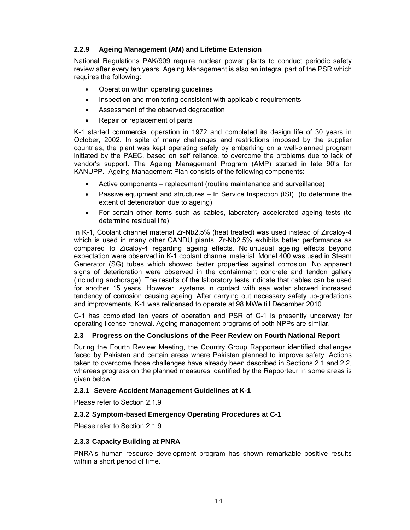## **2.2.9 Ageing Management (AM) and Lifetime Extension**

National Regulations PAK/909 require nuclear power plants to conduct periodic safety review after every ten years. Ageing Management is also an integral part of the PSR which requires the following:

- Operation within operating guidelines
- Inspection and monitoring consistent with applicable requirements
- Assessment of the observed degradation
- Repair or replacement of parts

K-1 started commercial operation in 1972 and completed its design life of 30 years in October, 2002. In spite of many challenges and restrictions imposed by the supplier countries, the plant was kept operating safely by embarking on a well-planned program initiated by the PAEC, based on self reliance, to overcome the problems due to lack of vendor's support. The Ageing Management Program (AMP) started in late 90's for KANUPP. Ageing Management Plan consists of the following components:

- Active components replacement (routine maintenance and surveillance)
- Passive equipment and structures In Service Inspection (ISI) (to determine the extent of deterioration due to ageing)
- For certain other items such as cables, laboratory accelerated ageing tests (to determine residual life)

In K-1, Coolant channel material Zr-Nb2.5% (heat treated) was used instead of Zircaloy-4 which is used in many other CANDU plants. Zr-Nb2.5% exhibits better performance as compared to Zicaloy-4 regarding ageing effects. No unusual ageing effects beyond expectation were observed in K-1 coolant channel material. Monel 400 was used in Steam Generator (SG) tubes which showed better properties against corrosion. No apparent signs of deterioration were observed in the containment concrete and tendon gallery (including anchorage). The results of the laboratory tests indicate that cables can be used for another 15 years. However, systems in contact with sea water showed increased tendency of corrosion causing ageing. After carrying out necessary safety up-gradations and improvements, K-1 was relicensed to operate at 98 MWe till December 2010.

C-1 has completed ten years of operation and PSR of C-1 is presently underway for operating license renewal. Ageing management programs of both NPPs are similar.

## **2.3 Progress on the Conclusions of the Peer Review on Fourth National Report**

During the Fourth Review Meeting, the Country Group Rapporteur identified challenges faced by Pakistan and certain areas where Pakistan planned to improve safety. Actions taken to overcome those challenges have already been described in Sections 2.1 and 2.2, whereas progress on the planned measures identified by the Rapporteur in some areas is given below:

## **2.3.1 Severe Accident Management Guidelines at K-1**

Please refer to Section 2.1.9

## **2.3.2 Symptom-based Emergency Operating Procedures at C-1**

Please refer to Section 2.1.9

#### **2.3.3 Capacity Building at PNRA**

PNRA's human resource development program has shown remarkable positive results within a short period of time.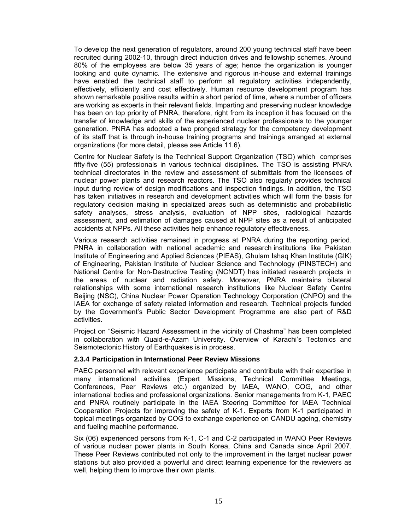To develop the next generation of regulators, around 200 young technical staff have been recruited during 2002-10, through direct induction drives and fellowship schemes. Around 80% of the employees are below 35 years of age; hence the organization is younger looking and quite dynamic. The extensive and rigorous in-house and external trainings have enabled the technical staff to perform all regulatory activities independently, effectively, efficiently and cost effectively. Human resource development program has shown remarkable positive results within a short period of time, where a number of officers are working as experts in their relevant fields. Imparting and preserving nuclear knowledge has been on top priority of PNRA, therefore, right from its inception it has focused on the transfer of knowledge and skills of the experienced nuclear professionals to the younger generation. PNRA has adopted a two pronged strategy for the competency development of its staff that is through in-house training programs and trainings arranged at external organizations (for more detail, please see Article 11.6).

Centre for Nuclear Safety is the Technical Support Organization (TSO) which comprises fifty-five (55) professionals in various technical disciplines. The TSO is assisting PNRA technical directorates in the review and assessment of submittals from the licensees of nuclear power plants and research reactors. The TSO also regularly provides technical input during review of design modifications and inspection findings. In addition, the TSO has taken initiatives in research and development activities which will form the basis for regulatory decision making in specialized areas such as deterministic and probabilistic safety analyses, stress analysis, evaluation of NPP sites, radiological hazards assessment, and estimation of damages caused at NPP sites as a result of anticipated accidents at NPPs. All these activities help enhance regulatory effectiveness.

Various research activities remained in progress at PNRA during the reporting period. PNRA in collaboration with national academic and research institutions like Pakistan Institute of Engineering and Applied Sciences (PIEAS), Ghulam Ishaq Khan Institute (GIK) of Engineering, Pakistan Institute of Nuclear Science and Technology (PINSTECH) and National Centre for Non-Destructive Testing (NCNDT) has initiated research projects in the areas of nuclear and radiation safety. Moreover, PNRA maintains bilateral relationships with some international research institutions like Nuclear Safety Centre Beijing (NSC), China Nuclear Power Operation Technology Corporation (CNPO) and the IAEA for exchange of safety related information and research. Technical projects funded by the Government's Public Sector Development Programme are also part of R&D activities.

Project on "Seismic Hazard Assessment in the vicinity of Chashma" has been completed in collaboration with Quaid-e-Azam University. Overview of Karachi's Tectonics and Seismotectonic History of Earthquakes is in process.

#### **2.3.4 Participation in International Peer Review Missions**

PAEC personnel with relevant experience participate and contribute with their expertise in many international activities (Expert Missions, Technical Committee Meetings, Conferences, Peer Reviews etc.) organized by IAEA, WANO, COG, and other international bodies and professional organizations. Senior managements from K-1, PAEC and PNRA routinely participate in the IAEA Steering Committee for IAEA Technical Cooperation Projects for improving the safety of K-1. Experts from K-1 participated in topical meetings organized by COG to exchange experience on CANDU ageing, chemistry and fueling machine performance.

Six (06) experienced persons from K-1, C-1 and C-2 participated in WANO Peer Reviews of various nuclear power plants in South Korea, China and Canada since April 2007. These Peer Reviews contributed not only to the improvement in the target nuclear power stations but also provided a powerful and direct learning experience for the reviewers as well, helping them to improve their own plants.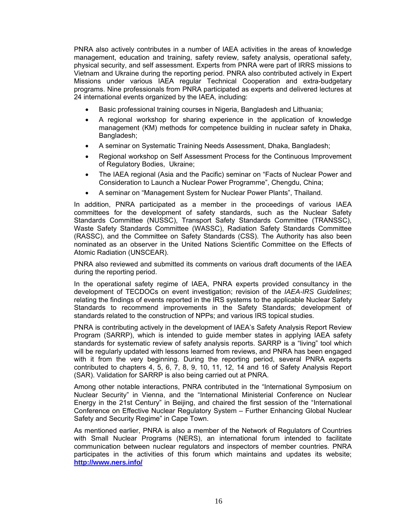PNRA also actively contributes in a number of IAEA activities in the areas of knowledge management, education and training, safety review, safety analysis, operational safety, physical security, and self assessment. Experts from PNRA were part of IRRS missions to Vietnam and Ukraine during the reporting period. PNRA also contributed actively in Expert Missions under various IAEA regular Technical Cooperation and extra-budgetary programs. Nine professionals from PNRA participated as experts and delivered lectures at 24 international events organized by the IAEA, including:

- Basic professional training courses in Nigeria, Bangladesh and Lithuania;
- A regional workshop for sharing experience in the application of knowledge management (KM) methods for competence building in nuclear safety in Dhaka, Bangladesh;
- A seminar on Systematic Training Needs Assessment, Dhaka, Bangladesh;
- Regional workshop on Self Assessment Process for the Continuous Improvement of Regulatory Bodies, Ukraine;
- The IAEA regional (Asia and the Pacific) seminar on "Facts of Nuclear Power and Consideration to Launch a Nuclear Power Programme", Chengdu, China;
- A seminar on "Management System for Nuclear Power Plants", Thailand.

In addition, PNRA participated as a member in the proceedings of various IAEA committees for the development of safety standards, such as the Nuclear Safety Standards Committee (NUSSC), Transport Safety Standards Committee (TRANSSC), Waste Safety Standards Committee (WASSC), Radiation Safety Standards Committee (RASSC), and the Committee on Safety Standards (CSS). The Authority has also been nominated as an observer in the United Nations Scientific Committee on the Effects of Atomic Radiation (UNSCEAR).

PNRA also reviewed and submitted its comments on various draft documents of the IAEA during the reporting period.

In the operational safety regime of IAEA, PNRA experts provided consultancy in the development of TECDOCs on event investigation; revision of the *IAEA-IRS Guidelines*; relating the findings of events reported in the IRS systems to the applicable Nuclear Safety Standards to recommend improvements in the Safety Standards; development of standards related to the construction of NPPs; and various IRS topical studies.

PNRA is contributing actively in the development of IAEA's Safety Analysis Report Review Program (SARRP), which is intended to guide member states in applying IAEA safety standards for systematic review of safety analysis reports. SARRP is a "living" tool which will be regularly updated with lessons learned from reviews, and PNRA has been engaged with it from the very beginning. During the reporting period, several PNRA experts contributed to chapters 4, 5, 6, 7, 8, 9, 10, 11, 12, 14 and 16 of Safety Analysis Report (SAR). Validation for SARRP is also being carried out at PNRA.

Among other notable interactions, PNRA contributed in the "International Symposium on Nuclear Security" in Vienna, and the "International Ministerial Conference on Nuclear Energy in the 21st Century" in Beijing, and chaired the first session of the "International Conference on Effective Nuclear Regulatory System – Further Enhancing Global Nuclear Safety and Security Regime" in Cape Town.

As mentioned earlier, PNRA is also a member of the Network of Regulators of Countries with Small Nuclear Programs (NERS), an international forum intended to facilitate communication between nuclear regulators and inspectors of member countries. PNRA participates in the activities of this forum which maintains and updates its website; **http://www.ners.info/**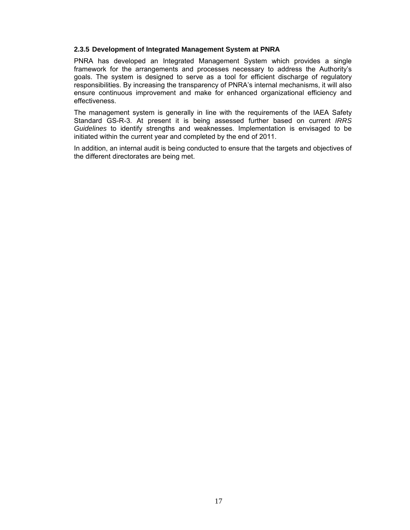#### **2.3.5 Development of Integrated Management System at PNRA**

PNRA has developed an Integrated Management System which provides a single framework for the arrangements and processes necessary to address the Authority's goals. The system is designed to serve as a tool for efficient discharge of regulatory responsibilities. By increasing the transparency of PNRA's internal mechanisms, it will also ensure continuous improvement and make for enhanced organizational efficiency and effectiveness.

The management system is generally in line with the requirements of the IAEA Safety Standard GS-R-3. At present it is being assessed further based on current *IRRS Guidelines* to identify strengths and weaknesses. Implementation is envisaged to be initiated within the current year and completed by the end of 2011.

In addition, an internal audit is being conducted to ensure that the targets and objectives of the different directorates are being met.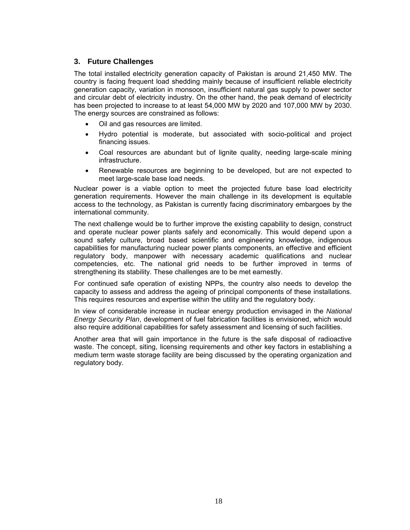## **3. Future Challenges**

The total installed electricity generation capacity of Pakistan is around 21,450 MW. The country is facing frequent load shedding mainly because of insufficient reliable electricity generation capacity, variation in monsoon, insufficient natural gas supply to power sector and circular debt of electricity industry. On the other hand, the peak demand of electricity has been projected to increase to at least 54,000 MW by 2020 and 107,000 MW by 2030. The energy sources are constrained as follows:

- Oil and gas resources are limited.
- Hydro potential is moderate, but associated with socio-political and project financing issues.
- Coal resources are abundant but of lignite quality, needing large-scale mining infrastructure.
- Renewable resources are beginning to be developed, but are not expected to meet large-scale base load needs.

Nuclear power is a viable option to meet the projected future base load electricity generation requirements. However the main challenge in its development is equitable access to the technology, as Pakistan is currently facing discriminatory embargoes by the international community.

The next challenge would be to further improve the existing capability to design, construct and operate nuclear power plants safely and economically. This would depend upon a sound safety culture, broad based scientific and engineering knowledge, indigenous capabilities for manufacturing nuclear power plants components, an effective and efficient regulatory body, manpower with necessary academic qualifications and nuclear competencies, etc. The national grid needs to be further improved in terms of strengthening its stability. These challenges are to be met earnestly.

For continued safe operation of existing NPPs, the country also needs to develop the capacity to assess and address the ageing of principal components of these installations. This requires resources and expertise within the utility and the regulatory body.

In view of considerable increase in nuclear energy production envisaged in the *National Energy Security Plan*, development of fuel fabrication facilities is envisioned, which would also require additional capabilities for safety assessment and licensing of such facilities.

Another area that will gain importance in the future is the safe disposal of radioactive waste. The concept, siting, licensing requirements and other key factors in establishing a medium term waste storage facility are being discussed by the operating organization and regulatory body.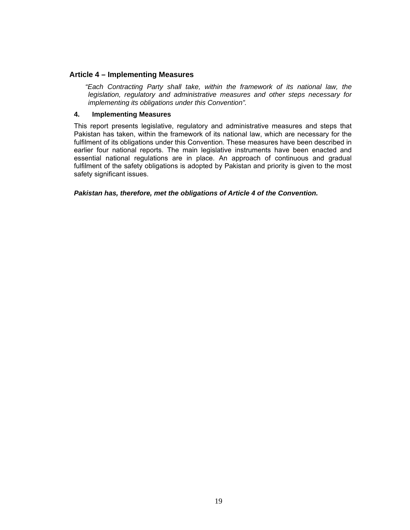## **Article 4 – Implementing Measures**

*"Each Contracting Party shall take, within the framework of its national law, the legislation, regulatory and administrative measures and other steps necessary for implementing its obligations under this Convention".* 

## **4. Implementing Measures**

This report presents legislative, regulatory and administrative measures and steps that Pakistan has taken, within the framework of its national law, which are necessary for the fulfilment of its obligations under this Convention. These measures have been described in earlier four national reports. The main legislative instruments have been enacted and essential national regulations are in place. An approach of continuous and gradual fulfilment of the safety obligations is adopted by Pakistan and priority is given to the most safety significant issues.

*Pakistan has, therefore, met the obligations of Article 4 of the Convention.*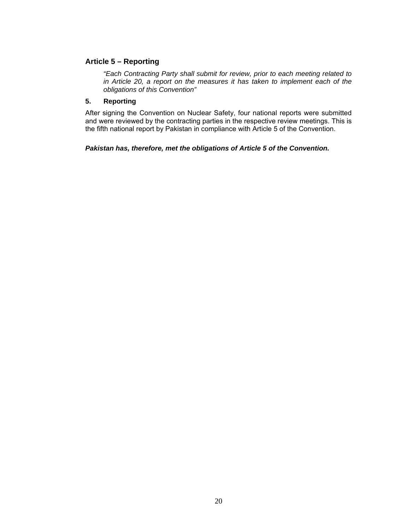## **Article 5 – Reporting**

*"Each Contracting Party shall submit for review, prior to each meeting related to in Article 20, a report on the measures it has taken to implement each of the obligations of this Convention"* 

## **5. Reporting**

After signing the Convention on Nuclear Safety, four national reports were submitted and were reviewed by the contracting parties in the respective review meetings. This is the fifth national report by Pakistan in compliance with Article 5 of the Convention.

#### *Pakistan has, therefore, met the obligations of Article 5 of the Convention.*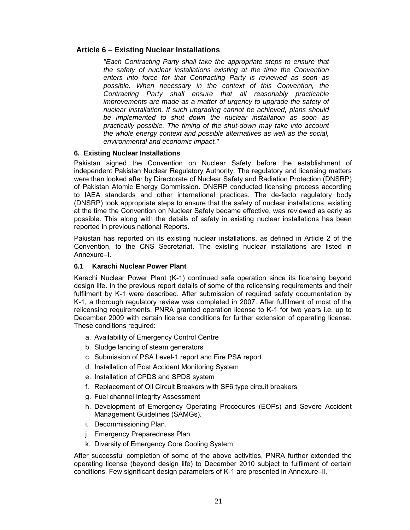## **Article 6 – Existing Nuclear Installations**

*"Each Contracting Party shall take the appropriate steps to ensure that the safety of nuclear installations existing at the time the Convention enters into force for that Contracting Party is reviewed as soon as possible. When necessary in the context of this Convention, the Contracting Party shall ensure that all reasonably practicable improvements are made as a matter of urgency to upgrade the safety of nuclear installation. If such upgrading cannot be achieved, plans should be implemented to shut down the nuclear installation as soon as practically possible. The timing of the shut-down may take into account the whole energy context and possible alternatives as well as the social, environmental and economic impact."*

## **6. Existing Nuclear Installations**

Pakistan signed the Convention on Nuclear Safety before the establishment of independent Pakistan Nuclear Regulatory Authority. The regulatory and licensing matters were then looked after by Directorate of Nuclear Safety and Radiation Protection (DNSRP) of Pakistan Atomic Energy Commission. DNSRP conducted licensing process according to IAEA standards and other international practices. The de-facto regulatory body (DNSRP) took appropriate steps to ensure that the safety of nuclear installations, existing at the time the Convention on Nuclear Safety became effective, was reviewed as early as possible. This along with the details of safety in existing nuclear installations has been reported in previous national Reports.

Pakistan has reported on its existing nuclear installations, as defined in Article 2 of the Convention, to the CNS Secretariat. The existing nuclear installations are listed in Annexure–I.

## **6.1 Karachi Nuclear Power Plant**

Karachi Nuclear Power Plant (K-1) continued safe operation since its licensing beyond design life. In the previous report details of some of the relicensing requirements and their fulfilment by K-1 were described. After submission of required safety documentation by K-1, a thorough regulatory review was completed in 2007. After fulfilment of most of the relicensing requirements, PNRA granted operation license to K-1 for two years i.e. up to December 2009 with certain license conditions for further extension of operating license. These conditions required:

- a. Availability of Emergency Control Centre
- b. Sludge lancing of steam generators
- c. Submission of PSA Level-1 report and Fire PSA report.
- d. Installation of Post Accident Monitoring System
- e. Installation of CPDS and SPDS system
- f. Replacement of Oil Circuit Breakers with SF6 type circuit breakers
- g. Fuel channel Integrity Assessment
- h. Development of Emergency Operating Procedures (EOPs) and Severe Accident Management Guidelines (SAMGs).
- i. Decommissioning Plan.
- j. Emergency Preparedness Plan
- k. Diversity of Emergency Core Cooling System

After successful completion of some of the above activities, PNRA further extended the operating license (beyond design life) to December 2010 subject to fulfilment of certain conditions. Few significant design parameters of K-1 are presented in Annexure–II.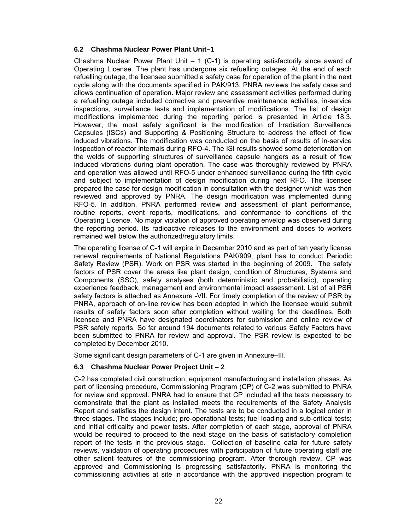## **6.2 Chashma Nuclear Power Plant Unit–1**

Chashma Nuclear Power Plant Unit  $-1$  (C-1) is operating satisfactorily since award of Operating License. The plant has undergone six refuelling outages. At the end of each refuelling outage, the licensee submitted a safety case for operation of the plant in the next cycle along with the documents specified in PAK/913. PNRA reviews the safety case and allows continuation of operation. Major review and assessment activities performed during a refuelling outage included corrective and preventive maintenance activities, in-service inspections, surveillance tests and implementation of modifications. The list of design modifications implemented during the reporting period is presented in Article 18.3. However, the most safety significant is the modification of Irradiation Surveillance Capsules (ISCs) and Supporting & Positioning Structure to address the effect of flow induced vibrations. The modification was conducted on the basis of results of in-service inspection of reactor internals during RFO-4. The ISI results showed some deterioration on the welds of supporting structures of surveillance capsule hangers as a result of flow induced vibrations during plant operation. The case was thoroughly reviewed by PNRA and operation was allowed until RFO-5 under enhanced surveillance during the fifth cycle and subject to implementation of design modification during next RFO. The licensee prepared the case for design modification in consultation with the designer which was then reviewed and approved by PNRA. The design modification was implemented during RFO-5. In addition, PNRA performed review and assessment of plant performance, routine reports, event reports, modifications, and conformance to conditions of the Operating Licence. No major violation of approved operating envelop was observed during the reporting period. Its radioactive releases to the environment and doses to workers remained well below the authorized/regulatory limits.

The operating license of C-1 will expire in December 2010 and as part of ten yearly license renewal requirements of National Regulations PAK/909, plant has to conduct Periodic Safety Review (PSR). Work on PSR was started in the beginning of 2009. The safety factors of PSR cover the areas like plant design, condition of Structures, Systems and Components (SSC), safety analyses (both deterministic and probabilistic), operating experience feedback, management and environmental impact assessment. List of all PSR safety factors is attached as Annexure -VII. For timely completion of the review of PSR by PNRA, approach of on-line review has been adopted in which the licensee would submit results of safety factors soon after completion without waiting for the deadlines. Both licensee and PNRA have designated coordinators for submission and online review of PSR safety reports. So far around 194 documents related to various Safety Factors have been submitted to PNRA for review and approval. The PSR review is expected to be completed by December 2010.

Some significant design parameters of C-1 are given in Annexure–III.

## **6.3 Chashma Nuclear Power Project Unit – 2**

C-2 has completed civil construction, equipment manufacturing and installation phases. As part of licensing procedure, Commissioning Program (CP) of C-2 was submitted to PNRA for review and approval. PNRA had to ensure that CP included all the tests necessary to demonstrate that the plant as installed meets the requirements of the Safety Analysis Report and satisfies the design intent. The tests are to be conducted in a logical order in three stages. The stages include; pre-operational tests; fuel loading and sub-critical tests; and initial criticality and power tests. After completion of each stage, approval of PNRA would be required to proceed to the next stage on the basis of satisfactory completion report of the tests in the previous stage. Collection of baseline data for future safety reviews, validation of operating procedures with participation of future operating staff are other salient features of the commissioning program. After thorough review, CP was approved and Commissioning is progressing satisfactorily. PNRA is monitoring the commissioning activities at site in accordance with the approved inspection program to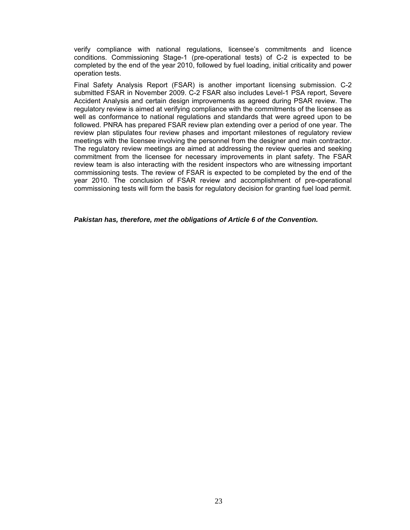verify compliance with national regulations, licensee's commitments and licence conditions. Commissioning Stage-1 (pre-operational tests) of C-2 is expected to be completed by the end of the year 2010, followed by fuel loading, initial criticality and power operation tests.

Final Safety Analysis Report (FSAR) is another important licensing submission. C-2 submitted FSAR in November 2009. C-2 FSAR also includes Level-1 PSA report, Severe Accident Analysis and certain design improvements as agreed during PSAR review. The regulatory review is aimed at verifying compliance with the commitments of the licensee as well as conformance to national regulations and standards that were agreed upon to be followed. PNRA has prepared FSAR review plan extending over a period of one year. The review plan stipulates four review phases and important milestones of regulatory review meetings with the licensee involving the personnel from the designer and main contractor. The regulatory review meetings are aimed at addressing the review queries and seeking commitment from the licensee for necessary improvements in plant safety. The FSAR review team is also interacting with the resident inspectors who are witnessing important commissioning tests. The review of FSAR is expected to be completed by the end of the year 2010. The conclusion of FSAR review and accomplishment of pre-operational commissioning tests will form the basis for regulatory decision for granting fuel load permit.

#### *Pakistan has, therefore, met the obligations of Article 6 of the Convention.*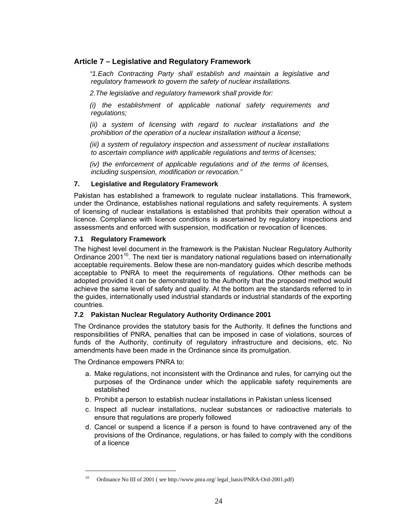## **Article 7 – Legislative and Regulatory Framework**

*"1.Each Contracting Party shall establish and maintain a legislative and regulatory framework to govern the safety of nuclear installations.* 

*2.The legislative and regulatory framework shall provide for:* 

*(i) the establishment of applicable national safety requirements and regulations;* 

*(ii) a system of licensing with regard to nuclear installations and the prohibition of the operation of a nuclear installation without a license;* 

*(iii) a system of regulatory inspection and assessment of nuclear installations to ascertain compliance with applicable regulations and terms of licenses;* 

*(iv) the enforcement of applicable regulations and of the terms of licenses, including suspension, modification or revocation."* 

## **7. Legislative and Regulatory Framework**

Pakistan has established a framework to regulate nuclear installations. This framework, under the Ordinance, establishes national regulations and safety requirements. A system of licensing of nuclear installations is established that prohibits their operation without a licence. Compliance with licence conditions is ascertained by regulatory inspections and assessments and enforced with suspension, modification or revocation of licences.

#### **7.1 Regulatory Framework**

The highest level document in the framework is the Pakistan Nuclear Regulatory Authority Ordinance 2001<sup>10</sup>. The next tier is mandatory national regulations based on internationally acceptable requirements. Below these are non-mandatory guides which describe methods acceptable to PNRA to meet the requirements of regulations. Other methods can be adopted provided it can be demonstrated to the Authority that the proposed method would achieve the same level of safety and quality. At the bottom are the standards referred to in the guides, internationally used industrial standards or industrial standards of the exporting countries.

## **7.2 Pakistan Nuclear Regulatory Authority Ordinance 2001**

The Ordinance provides the statutory basis for the Authority. It defines the functions and responsibilities of PNRA, penalties that can be imposed in case of violations, sources of funds of the Authority, continuity of regulatory infrastructure and decisions, etc. No amendments have been made in the Ordinance since its promulgation.

The Ordinance empowers PNRA to:

- a. Make regulations, not inconsistent with the Ordinance and rules, for carrying out the purposes of the Ordinance under which the applicable safety requirements are established
- b. Prohibit a person to establish nuclear installations in Pakistan unless licensed
- c. Inspect all nuclear installations, nuclear substances or radioactive materials to ensure that regulations are properly followed
- d. Cancel or suspend a licence if a person is found to have contravened any of the provisions of the Ordinance, regulations, or has failed to comply with the conditions of a licence

<sup>10</sup> Ordinance No III of 2001 ( see http://www.pnra.org/ legal\_basis/PNRA-Ord-2001.pdf)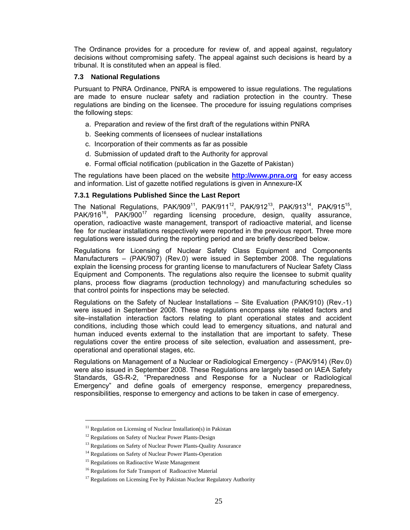The Ordinance provides for a procedure for review of, and appeal against, regulatory decisions without compromising safety. The appeal against such decisions is heard by a tribunal. It is constituted when an appeal is filed.

### **7.3 National Regulations**

Pursuant to PNRA Ordinance, PNRA is empowered to issue regulations. The regulations are made to ensure nuclear safety and radiation protection in the country. These regulations are binding on the licensee. The procedure for issuing regulations comprises the following steps:

- a. Preparation and review of the first draft of the regulations within PNRA
- b. Seeking comments of licensees of nuclear installations
- c. Incorporation of their comments as far as possible
- d. Submission of updated draft to the Authority for approval
- e. Formal official notification (publication in the Gazette of Pakistan)

The regulations have been placed on the website **http://www.pnra.org** for easy access and information. List of gazette notified regulations is given in Annexure-IX

## **7.3.1 Regulations Published Since the Last Report**

The National Regulations, PAK/909<sup>11</sup>, PAK/911<sup>12</sup>, PAK/912<sup>13</sup>, PAK/913<sup>14</sup>, PAK/915<sup>15</sup>, PAK/916<sup>16</sup>, PAK/900<sup>17</sup> regarding licensing procedure, design, quality assurance, operation, radioactive waste management, transport of radioactive material, and license fee for nuclear installations respectively were reported in the previous report. Three more regulations were issued during the reporting period and are briefly described below.

Regulations for Licensing of Nuclear Safety Class Equipment and Components Manufacturers – (PAK/907) (Rev.0) were issued in September 2008. The regulations explain the licensing process for granting license to manufacturers of Nuclear Safety Class Equipment and Components. The regulations also require the licensee to submit quality plans, process flow diagrams (production technology) and manufacturing schedules so that control points for inspections may be selected.

Regulations on the Safety of Nuclear Installations – Site Evaluation (PAK/910) (Rev.-1) were issued in September 2008. These regulations encompass site related factors and site–installation interaction factors relating to plant operational states and accident conditions, including those which could lead to emergency situations, and natural and human induced events external to the installation that are important to safety. These regulations cover the entire process of site selection, evaluation and assessment, preoperational and operational stages, etc.

Regulations on Management of a Nuclear or Radiological Emergency - (PAK/914) (Rev.0) were also issued in September 2008. These Regulations are largely based on IAEA Safety Standards, GS-R-2, "Preparedness and Response for a Nuclear or Radiological Emergency" and define goals of emergency response, emergency preparedness, responsibilities, response to emergency and actions to be taken in case of emergency.

 $11$  Regulation on Licensing of Nuclear Installation(s) in Pakistan

<sup>&</sup>lt;sup>12</sup> Regulations on Safety of Nuclear Power Plants-Design

<sup>&</sup>lt;sup>13</sup> Regulations on Safety of Nuclear Power Plants-Quality Assurance

<sup>&</sup>lt;sup>14</sup> Regulations on Safety of Nuclear Power Plants-Operation

<sup>&</sup>lt;sup>15</sup> Regulations on Radioactive Waste Management

<sup>&</sup>lt;sup>16</sup> Regulations for Safe Transport of Radioactive Material

 $17$  Regulations on Licensing Fee by Pakistan Nuclear Regulatory Authority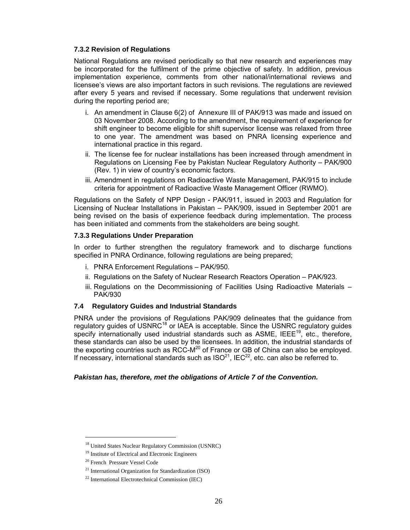#### **7.3.2 Revision of Regulations**

National Regulations are revised periodically so that new research and experiences may be incorporated for the fulfilment of the prime objective of safety. In addition, previous implementation experience, comments from other national/international reviews and licensee's views are also important factors in such revisions. The regulations are reviewed after every 5 years and revised if necessary. Some regulations that underwent revision during the reporting period are;

- i. An amendment in Clause 6(2) of Annexure III of PAK/913 was made and issued on 03 November 2008. According to the amendment, the requirement of experience for shift engineer to become eligible for shift supervisor license was relaxed from three to one year. The amendment was based on PNRA licensing experience and international practice in this regard.
- ii. The license fee for nuclear installations has been increased through amendment in Regulations on Licensing Fee by Pakistan Nuclear Regulatory Authority – PAK/900 (Rev. 1) in view of country's economic factors.
- iii. Amendment in regulations on Radioactive Waste Management, PAK/915 to include criteria for appointment of Radioactive Waste Management Officer (RWMO).

Regulations on the Safety of NPP Design - PAK/911, issued in 2003 and Regulation for Licensing of Nuclear Installations in Pakistan – PAK/909, issued in September 2001 are being revised on the basis of experience feedback during implementation. The process has been initiated and comments from the stakeholders are being sought.

### **7.3.3 Regulations Under Preparation**

In order to further strengthen the regulatory framework and to discharge functions specified in PNRA Ordinance, following regulations are being prepared;

- i. PNRA Enforcement Regulations PAK/950.
- ii. Regulations on the Safety of Nuclear Research Reactors Operation PAK/923.
- iii. Regulations on the Decommissioning of Facilities Using Radioactive Materials -PAK/930

## **7.4 Regulatory Guides and Industrial Standards**

PNRA under the provisions of Regulations PAK/909 delineates that the guidance from regulatory guides of USNRC<sup>18</sup> or IAEA is acceptable. Since the USNRC regulatory guides specify internationally used industrial standards such as  $ASME$ ,  $IEEE^{19}$ , etc., therefore, these standards can also be used by the licensees. In addition, the industrial standards of the exporting countries such as  $RCC-M^{20}$  of France or GB of China can also be employed. If necessary, international standards such as  $ISO^{21}$ , IEC $^{22}$ , etc. can also be referred to.

#### *Pakistan has, therefore, met the obligations of Article 7 of the Convention.*

<sup>18</sup> United States Nuclear Regulatory Commission (USNRC)

<sup>19</sup> Institute of Electrical and Electronic Engineers

<sup>20</sup> French Pressure Vessel Code

<sup>21</sup> International Organization for Standardization (ISO)

<sup>22</sup> International Electrotechnical Commission (IEC)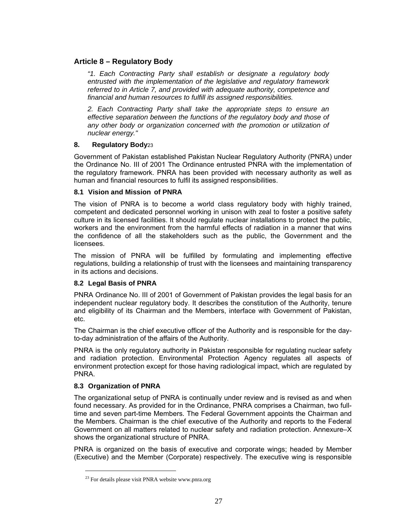## **Article 8 – Regulatory Body**

*"1. Each Contracting Party shall establish or designate a regulatory body entrusted with the implementation of the legislative and regulatory framework referred to in Article 7, and provided with adequate authority, competence and financial and human resources to fulfill its assigned responsibilities.* 

*2. Each Contracting Party shall take the appropriate steps to ensure an effective separation between the functions of the regulatory body and those of*  any other body or organization concerned with the promotion or utilization of *nuclear energy."* 

## **8. Regulatory Body**23

Government of Pakistan established Pakistan Nuclear Regulatory Authority (PNRA) under the Ordinance No. III of 2001 The Ordinance entrusted PNRA with the implementation of the regulatory framework. PNRA has been provided with necessary authority as well as human and financial resources to fulfil its assigned responsibilities.

#### **8.1 Vision and Mission of PNRA**

The vision of PNRA is to become a world class regulatory body with highly trained, competent and dedicated personnel working in unison with zeal to foster a positive safety culture in its licensed facilities. It should regulate nuclear installations to protect the public, workers and the environment from the harmful effects of radiation in a manner that wins the confidence of all the stakeholders such as the public, the Government and the licensees.

The mission of PNRA will be fulfilled by formulating and implementing effective regulations, building a relationship of trust with the licensees and maintaining transparency in its actions and decisions.

## **8.2 Legal Basis of PNRA**

PNRA Ordinance No. III of 2001 of Government of Pakistan provides the legal basis for an independent nuclear regulatory body. It describes the constitution of the Authority, tenure and eligibility of its Chairman and the Members, interface with Government of Pakistan, etc.

The Chairman is the chief executive officer of the Authority and is responsible for the dayto-day administration of the affairs of the Authority.

PNRA is the only regulatory authority in Pakistan responsible for regulating nuclear safety and radiation protection. Environmental Protection Agency regulates all aspects of environment protection except for those having radiological impact, which are regulated by PNRA.

## **8.3 Organization of PNRA**

 $\overline{a}$ 

The organizational setup of PNRA is continually under review and is revised as and when found necessary. As provided for in the Ordinance, PNRA comprises a Chairman, two fulltime and seven part-time Members. The Federal Government appoints the Chairman and the Members. Chairman is the chief executive of the Authority and reports to the Federal Government on all matters related to nuclear safety and radiation protection. Annexure–X shows the organizational structure of PNRA.

PNRA is organized on the basis of executive and corporate wings; headed by Member (Executive) and the Member (Corporate) respectively. The executive wing is responsible

<sup>&</sup>lt;sup>23</sup> For details please visit PNRA website www.pnra.org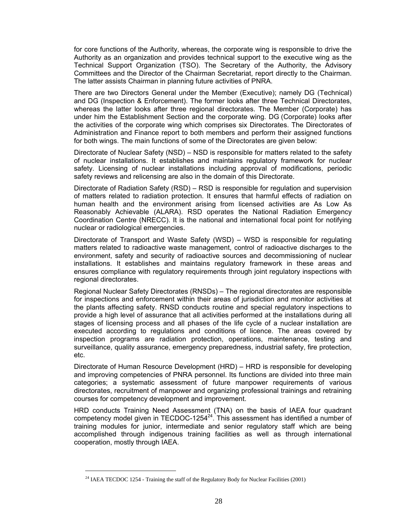for core functions of the Authority, whereas, the corporate wing is responsible to drive the Authority as an organization and provides technical support to the executive wing as the Technical Support Organization (TSO). The Secretary of the Authority, the Advisory Committees and the Director of the Chairman Secretariat, report directly to the Chairman. The latter assists Chairman in planning future activities of PNRA.

There are two Directors General under the Member (Executive); namely DG (Technical) and DG (Inspection & Enforcement). The former looks after three Technical Directorates, whereas the latter looks after three regional directorates. The Member (Corporate) has under him the Establishment Section and the corporate wing. DG (Corporate) looks after the activities of the corporate wing which comprises six Directorates. The Directorates of Administration and Finance report to both members and perform their assigned functions for both wings. The main functions of some of the Directorates are given below:

Directorate of Nuclear Safety (NSD) – NSD is responsible for matters related to the safety of nuclear installations. It establishes and maintains regulatory framework for nuclear safety. Licensing of nuclear installations including approval of modifications, periodic safety reviews and relicensing are also in the domain of this Directorate.

Directorate of Radiation Safety (RSD) – RSD is responsible for regulation and supervision of matters related to radiation protection. It ensures that harmful effects of radiation on human health and the environment arising from licensed activities are As Low As Reasonably Achievable (ALARA). RSD operates the National Radiation Emergency Coordination Centre (NRECC). It is the national and international focal point for notifying nuclear or radiological emergencies.

Directorate of Transport and Waste Safety (WSD) – WSD is responsible for regulating matters related to radioactive waste management, control of radioactive discharges to the environment, safety and security of radioactive sources and decommissioning of nuclear installations. It establishes and maintains regulatory framework in these areas and ensures compliance with regulatory requirements through joint regulatory inspections with regional directorates.

Regional Nuclear Safety Directorates (RNSDs) – The regional directorates are responsible for inspections and enforcement within their areas of jurisdiction and monitor activities at the plants affecting safety. RNSD conducts routine and special regulatory inspections to provide a high level of assurance that all activities performed at the installations during all stages of licensing process and all phases of the life cycle of a nuclear installation are executed according to regulations and conditions of licence. The areas covered by inspection programs are radiation protection, operations, maintenance, testing and surveillance, quality assurance, emergency preparedness, industrial safety, fire protection, etc.

Directorate of Human Resource Development (HRD) – HRD is responsible for developing and improving competencies of PNRA personnel. Its functions are divided into three main categories; a systematic assessment of future manpower requirements of various directorates, recruitment of manpower and organizing professional trainings and retraining courses for competency development and improvement.

HRD conducts Training Need Assessment (TNA) on the basis of IAEA four quadrant competency model given in TECDOC-1254 $^{24}$ . This assessment has identified a number of training modules for junior, intermediate and senior regulatory staff which are being accomplished through indigenous training facilities as well as through international cooperation, mostly through IAEA.

<sup>&</sup>lt;sup>24</sup> IAEA TECDOC 1254 - Training the staff of the Regulatory Body for Nuclear Facilities (2001)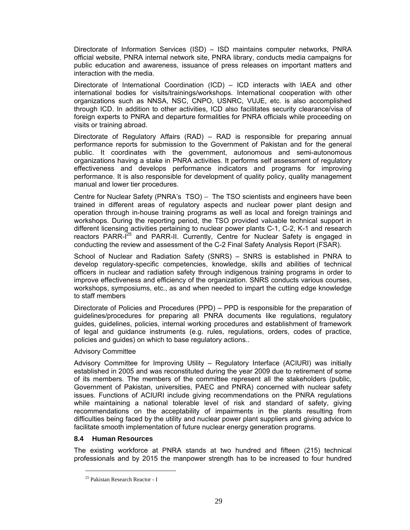Directorate of Information Services (ISD) – ISD maintains computer networks, PNRA official website, PNRA internal network site, PNRA library, conducts media campaigns for public education and awareness, issuance of press releases on important matters and interaction with the media.

Directorate of International Coordination (ICD) – ICD interacts with IAEA and other international bodies for visits/trainings/workshops. International cooperation with other organizations such as NNSA, NSC, CNPO, USNRC, VUJE, etc. is also accomplished through ICD. In addition to other activities, ICD also facilitates security clearance/visa of foreign experts to PNRA and departure formalities for PNRA officials while proceeding on visits or training abroad.

Directorate of Regulatory Affairs (RAD) – RAD is responsible for preparing annual performance reports for submission to the Government of Pakistan and for the general public. It coordinates with the government, autonomous and semi-autonomous organizations having a stake in PNRA activities. It performs self assessment of regulatory effectiveness and develops performance indicators and programs for improving performance. It is also responsible for development of quality policy, quality management manual and lower tier procedures.

Centre for Nuclear Safety (PNRA's TSO) – The TSO scientists and engineers have been trained in different areas of regulatory aspects and nuclear power plant design and operation through in-house training programs as well as local and foreign trainings and workshops. During the reporting period, the TSO provided valuable technical support in different licensing activities pertaining to nuclear power plants C-1, C-2, K-1 and research reactors PARR-I<sup>25</sup> and PARR-II. Currently, Centre for Nuclear Safety is engaged in conducting the review and assessment of the C-2 Final Safety Analysis Report (FSAR).

School of Nuclear and Radiation Safety (SNRS) – SNRS is established in PNRA to develop regulatory-specific competencies, knowledge, skills and abilities of technical officers in nuclear and radiation safety through indigenous training programs in order to improve effectiveness and efficiency of the organization. SNRS conducts various courses, workshops, symposiums, etc., as and when needed to impart the cutting edge knowledge to staff members

Directorate of Policies and Procedures (PPD) – PPD is responsible for the preparation of guidelines/procedures for preparing all PNRA documents like regulations, regulatory guides, guidelines, policies, internal working procedures and establishment of framework of legal and guidance instruments (e.g. rules, regulations, orders, codes of practice, policies and guides) on which to base regulatory actions..

#### Advisory Committee

Advisory Committee for Improving Utility – Regulatory Interface (ACIURI) was initially established in 2005 and was reconstituted during the year 2009 due to retirement of some of its members. The members of the committee represent all the stakeholders (public, Government of Pakistan, universities, PAEC and PNRA) concerned with nuclear safety issues. Functions of ACIURI include giving recommendations on the PNRA regulations while maintaining a national tolerable level of risk and standard of safety, giving recommendations on the acceptability of impairments in the plants resulting from difficulties being faced by the utility and nuclear power plant suppliers and giving advice to facilitate smooth implementation of future nuclear energy generation programs.

## **8.4 Human Resources**

 $\overline{a}$ 

The existing workforce at PNRA stands at two hundred and fifteen (215) technical professionals and by 2015 the manpower strength has to be increased to four hundred

<sup>25</sup> Pakistan Research Reactor - I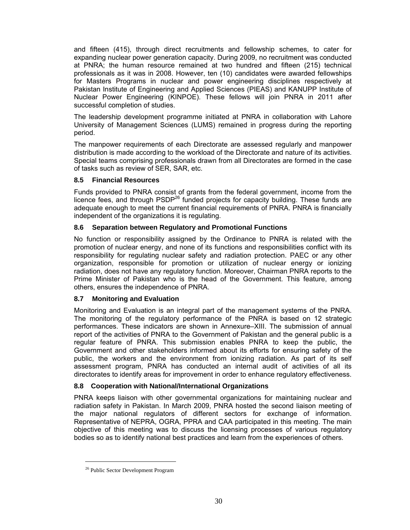and fifteen (415), through direct recruitments and fellowship schemes, to cater for expanding nuclear power generation capacity. During 2009, no recruitment was conducted at PNRA; the human resource remained at two hundred and fifteen (215) technical professionals as it was in 2008. However, ten (10) candidates were awarded fellowships for Masters Programs in nuclear and power engineering disciplines respectively at Pakistan Institute of Engineering and Applied Sciences (PIEAS) and KANUPP Institute of Nuclear Power Engineering (KINPOE). These fellows will join PNRA in 2011 after successful completion of studies.

The leadership development programme initiated at PNRA in collaboration with Lahore University of Management Sciences (LUMS) remained in progress during the reporting period.

The manpower requirements of each Directorate are assessed regularly and manpower distribution is made according to the workload of the Directorate and nature of its activities. Special teams comprising professionals drawn from all Directorates are formed in the case of tasks such as review of SER, SAR, etc.

## **8.5 Financial Resources**

Funds provided to PNRA consist of grants from the federal government, income from the licence fees, and through  $PSDP^{26}$  funded projects for capacity building. These funds are adequate enough to meet the current financial requirements of PNRA. PNRA is financially independent of the organizations it is regulating.

## **8.6 Separation between Regulatory and Promotional Functions**

No function or responsibility assigned by the Ordinance to PNRA is related with the promotion of nuclear energy, and none of its functions and responsibilities conflict with its responsibility for regulating nuclear safety and radiation protection. PAEC or any other organization, responsible for promotion or utilization of nuclear energy or ionizing radiation, does not have any regulatory function. Moreover, Chairman PNRA reports to the Prime Minister of Pakistan who is the head of the Government. This feature, among others, ensures the independence of PNRA.

## **8.7 Monitoring and Evaluation**

Monitoring and Evaluation is an integral part of the management systems of the PNRA. The monitoring of the regulatory performance of the PNRA is based on 12 strategic performances. These indicators are shown in Annexure–XIII. The submission of annual report of the activities of PNRA to the Government of Pakistan and the general public is a regular feature of PNRA. This submission enables PNRA to keep the public, the Government and other stakeholders informed about its efforts for ensuring safety of the public, the workers and the environment from ionizing radiation. As part of its self assessment program, PNRA has conducted an internal audit of activities of all its directorates to identify areas for improvement in order to enhance regulatory effectiveness.

## **8.8 Cooperation with National/International Organizations**

PNRA keeps liaison with other governmental organizations for maintaining nuclear and radiation safety in Pakistan. In March 2009, PNRA hosted the second liaison meeting of the major national regulators of different sectors for exchange of information. Representative of NEPRA, OGRA, PPRA and CAA participated in this meeting. The main objective of this meeting was to discuss the licensing processes of various regulatory bodies so as to identify national best practices and learn from the experiences of others.

l

<sup>&</sup>lt;sup>26</sup> Public Sector Development Program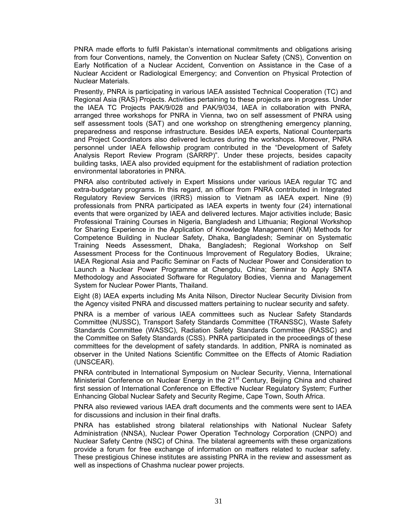PNRA made efforts to fulfil Pakistan's international commitments and obligations arising from four Conventions, namely, the Convention on Nuclear Safety (CNS), Convention on Early Notification of a Nuclear Accident, Convention on Assistance in the Case of a Nuclear Accident or Radiological Emergency; and Convention on Physical Protection of Nuclear Materials.

Presently, PNRA is participating in various IAEA assisted Technical Cooperation (TC) and Regional Asia (RAS) Projects. Activities pertaining to these projects are in progress. Under the IAEA TC Projects PAK/9/028 and PAK/9/034, IAEA in collaboration with PNRA, arranged three workshops for PNRA in Vienna, two on self assessment of PNRA using self assessment tools (SAT) and one workshop on strengthening emergency planning, preparedness and response infrastructure. Besides IAEA experts, National Counterparts and Project Coordinators also delivered lectures during the workshops. Moreover, PNRA personnel under IAEA fellowship program contributed in the "Development of Safety Analysis Report Review Program (SARRP)". Under these projects, besides capacity building tasks, IAEA also provided equipment for the establishment of radiation protection environmental laboratories in PNRA.

PNRA also contributed actively in Expert Missions under various IAEA regular TC and extra-budgetary programs. In this regard, an officer from PNRA contributed in Integrated Regulatory Review Services (IRRS) mission to Vietnam as IAEA expert. Nine (9) professionals from PNRA participated as IAEA experts in twenty four (24) international events that were organized by IAEA and delivered lectures. Major activities include; Basic Professional Training Courses in Nigeria, Bangladesh and Lithuania; Regional Workshop for Sharing Experience in the Application of Knowledge Management (KM) Methods for Competence Building in Nuclear Safety, Dhaka, Bangladesh; Seminar on Systematic Training Needs Assessment, Dhaka, Bangladesh; Regional Workshop on Self Assessment Process for the Continuous Improvement of Regulatory Bodies, Ukraine; IAEA Regional Asia and Pacific Seminar on Facts of Nuclear Power and Consideration to Launch a Nuclear Power Programme at Chengdu, China; Seminar to Apply SNTA Methodology and Associated Software for Regulatory Bodies, Vienna and Management System for Nuclear Power Plants, Thailand.

Eight (8) IAEA experts including Ms Anita Nilson, Director Nuclear Security Division from the Agency visited PNRA and discussed matters pertaining to nuclear security and safety.

PNRA is a member of various IAEA committees such as Nuclear Safety Standards Committee (NUSSC), Transport Safety Standards Committee (TRANSSC), Waste Safety Standards Committee (WASSC), Radiation Safety Standards Committee (RASSC) and the Committee on Safety Standards (CSS). PNRA participated in the proceedings of these committees for the development of safety standards. In addition, PNRA is nominated as observer in the United Nations Scientific Committee on the Effects of Atomic Radiation (UNSCEAR).

PNRA contributed in International Symposium on Nuclear Security, Vienna, International Ministerial Conference on Nuclear Energy in the 21<sup>st</sup> Century, Beijing China and chaired first session of International Conference on Effective Nuclear Regulatory System; Further Enhancing Global Nuclear Safety and Security Regime, Cape Town, South Africa.

PNRA also reviewed various IAEA draft documents and the comments were sent to IAEA for discussions and inclusion in their final drafts.

PNRA has established strong bilateral relationships with National Nuclear Safety Administration (NNSA), Nuclear Power Operation Technology Corporation (CNPO) and Nuclear Safety Centre (NSC) of China. The bilateral agreements with these organizations provide a forum for free exchange of information on matters related to nuclear safety. These prestigious Chinese institutes are assisting PNRA in the review and assessment as well as inspections of Chashma nuclear power projects.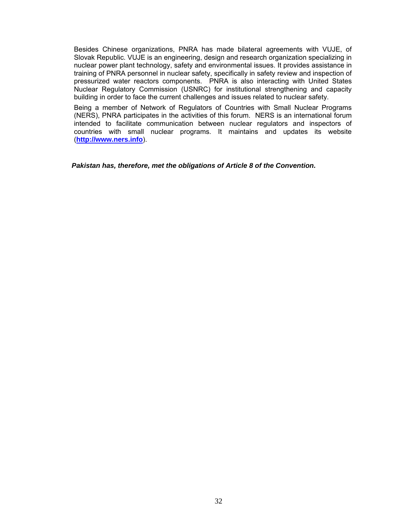Besides Chinese organizations, PNRA has made bilateral agreements with VUJE, of Slovak Republic. VUJE is an engineering, design and research organization specializing in nuclear power plant technology, safety and environmental issues. It provides assistance in training of PNRA personnel in nuclear safety, specifically in safety review and inspection of pressurized water reactors components. PNRA is also interacting with United States Nuclear Regulatory Commission (USNRC) for institutional strengthening and capacity building in order to face the current challenges and issues related to nuclear safety.

Being a member of Network of Regulators of Countries with Small Nuclear Programs (NERS), PNRA participates in the activities of this forum. NERS is an international forum intended to facilitate communication between nuclear regulators and inspectors of countries with small nuclear programs. It maintains and updates its website (**http://www.ners.info**).

*Pakistan has, therefore, met the obligations of Article 8 of the Convention.*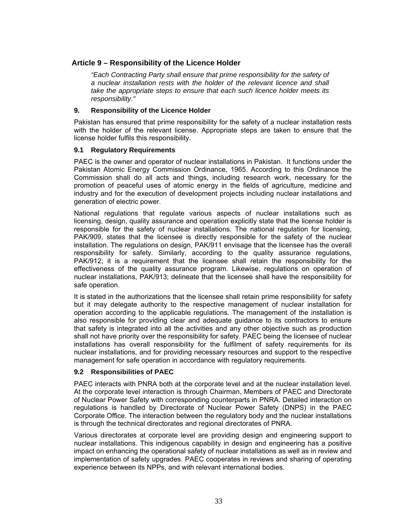# **Article 9 – Responsibility of the Licence Holder**

*"Each Contracting Party shall ensure that prime responsibility for the safety of a nuclear installation rests with the holder of the relevant licence and shall take the appropriate steps to ensure that each such licence holder meets its responsibility."* 

### **9. Responsibility of the Licence Holder**

Pakistan has ensured that prime responsibility for the safety of a nuclear installation rests with the holder of the relevant license. Appropriate steps are taken to ensure that the license holder fulfils this responsibility.

#### **9.1 Regulatory Requirements**

PAEC is the owner and operator of nuclear installations in Pakistan. It functions under the Pakistan Atomic Energy Commission Ordinance, 1965. According to this Ordinance the Commission shall do all acts and things, including research work, necessary for the promotion of peaceful uses of atomic energy in the fields of agriculture, medicine and industry and for the execution of development projects including nuclear installations and generation of electric power.

National regulations that regulate various aspects of nuclear installations such as licensing, design, quality assurance and operation explicitly state that the license holder is responsible for the safety of nuclear installations. The national regulation for licensing, PAK/909, states that the licensee is directly responsible for the safety of the nuclear installation. The regulations on design, PAK/911 envisage that the licensee has the overall responsibility for safety. Similarly, according to the quality assurance regulations, PAK/912; it is a requirement that the licensee shall retain the responsibility for the effectiveness of the quality assurance program. Likewise, regulations on operation of nuclear installations, PAK/913; delineate that the licensee shall have the responsibility for safe operation.

It is stated in the authorizations that the licensee shall retain prime responsibility for safety but it may delegate authority to the respective management of nuclear installation for operation according to the applicable regulations. The management of the installation is also responsible for providing clear and adequate guidance to its contractors to ensure that safety is integrated into all the activities and any other objective such as production shall not have priority over the responsibility for safety. PAEC being the licensee of nuclear installations has overall responsibility for the fulfilment of safety requirements for its nuclear installations, and for providing necessary resources and support to the respective management for safe operation in accordance with regulatory requirements.

## **9.2 Responsibilities of PAEC**

PAEC interacts with PNRA both at the corporate level and at the nuclear installation level. At the corporate level interaction is through Chairman, Members of PAEC and Directorate of Nuclear Power Safety with corresponding counterparts in PNRA. Detailed interaction on regulations is handled by Directorate of Nuclear Power Safety (DNPS) in the PAEC Corporate Office. The interaction between the regulatory body and the nuclear installations is through the technical directorates and regional directorates of PNRA.

Various directorates at corporate level are providing design and engineering support to nuclear installations. This indigenous capability in design and engineering has a positive impact on enhancing the operational safety of nuclear installations as well as in review and implementation of safety upgrades. PAEC cooperates in reviews and sharing of operating experience between its NPPs, and with relevant international bodies.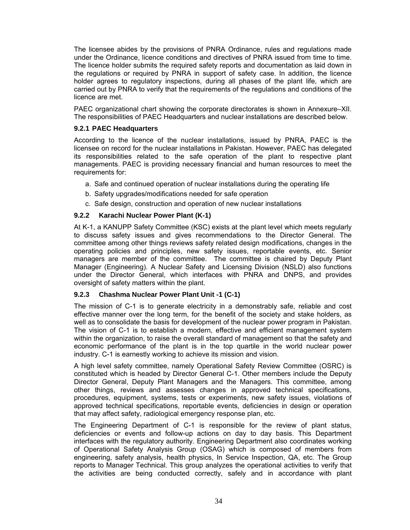The licensee abides by the provisions of PNRA Ordinance, rules and regulations made under the Ordinance, licence conditions and directives of PNRA issued from time to time. The licence holder submits the required safety reports and documentation as laid down in the regulations or required by PNRA in support of safety case. In addition, the licence holder agrees to regulatory inspections, during all phases of the plant life, which are carried out by PNRA to verify that the requirements of the regulations and conditions of the licence are met.

PAEC organizational chart showing the corporate directorates is shown in Annexure–XII. The responsibilities of PAEC Headquarters and nuclear installations are described below.

### **9.2.1 PAEC Headquarters**

According to the licence of the nuclear installations, issued by PNRA, PAEC is the licensee on record for the nuclear installations in Pakistan. However, PAEC has delegated its responsibilities related to the safe operation of the plant to respective plant managements. PAEC is providing necessary financial and human resources to meet the requirements for:

- a. Safe and continued operation of nuclear installations during the operating life
- b. Safety upgrades/modifications needed for safe operation
- c. Safe design, construction and operation of new nuclear installations

# **9.2.2 Karachi Nuclear Power Plant (K-1)**

At K-1, a KANUPP Safety Committee (KSC) exists at the plant level which meets regularly to discuss safety issues and gives recommendations to the Director General. The committee among other things reviews safety related design modifications, changes in the operating policies and principles, new safety issues, reportable events, etc. Senior managers are member of the committee. The committee is chaired by Deputy Plant Manager (Engineering). A Nuclear Safety and Licensing Division (NSLD) also functions under the Director General, which interfaces with PNRA and DNPS, and provides oversight of safety matters within the plant.

## **9.2.3 Chashma Nuclear Power Plant Unit -1 (C-1)**

The mission of C-1 is to generate electricity in a demonstrably safe, reliable and cost effective manner over the long term, for the benefit of the society and stake holders, as well as to consolidate the basis for development of the nuclear power program in Pakistan. The vision of C-1 is to establish a modern, effective and efficient management system within the organization, to raise the overall standard of management so that the safety and economic performance of the plant is in the top quartile in the world nuclear power industry. C-1 is earnestly working to achieve its mission and vision.

A high level safety committee, namely Operational Safety Review Committee (OSRC) is constituted which is headed by Director General C-1. Other members include the Deputy Director General, Deputy Plant Managers and the Managers. This committee, among other things, reviews and assesses changes in approved technical specifications, procedures, equipment, systems, tests or experiments, new safety issues, violations of approved technical specifications, reportable events, deficiencies in design or operation that may affect safety, radiological emergency response plan, etc.

The Engineering Department of C-1 is responsible for the review of plant status, deficiencies or events and follow-up actions on day to day basis. This Department interfaces with the regulatory authority. Engineering Department also coordinates working of Operational Safety Analysis Group (OSAG) which is composed of members from engineering, safety analysis, health physics, In Service Inspection, QA, etc. The Group reports to Manager Technical. This group analyzes the operational activities to verify that the activities are being conducted correctly, safely and in accordance with plant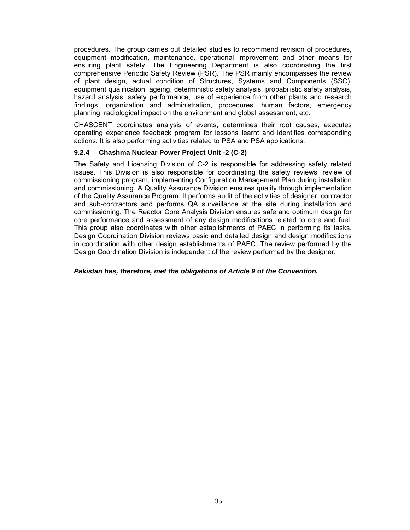procedures. The group carries out detailed studies to recommend revision of procedures, equipment modification, maintenance, operational improvement and other means for ensuring plant safety. The Engineering Department is also coordinating the first comprehensive Periodic Safety Review (PSR). The PSR mainly encompasses the review of plant design, actual condition of Structures, Systems and Components (SSC), equipment qualification, ageing, deterministic safety analysis, probabilistic safety analysis, hazard analysis, safety performance, use of experience from other plants and research findings, organization and administration, procedures, human factors, emergency planning, radiological impact on the environment and global assessment, etc.

CHASCENT coordinates analysis of events, determines their root causes, executes operating experience feedback program for lessons learnt and identifies corresponding actions. It is also performing activities related to PSA and PSA applications.

## **9.2.4 Chashma Nuclear Power Project Unit -2 (C-2)**

The Safety and Licensing Division of C-2 is responsible for addressing safety related issues. This Division is also responsible for coordinating the safety reviews, review of commissioning program, implementing Configuration Management Plan during installation and commissioning. A Quality Assurance Division ensures quality through implementation of the Quality Assurance Program. It performs audit of the activities of designer, contractor and sub-contractors and performs QA surveillance at the site during installation and commissioning. The Reactor Core Analysis Division ensures safe and optimum design for core performance and assessment of any design modifications related to core and fuel. This group also coordinates with other establishments of PAEC in performing its tasks. Design Coordination Division reviews basic and detailed design and design modifications in coordination with other design establishments of PAEC. The review performed by the Design Coordination Division is independent of the review performed by the designer.

#### *Pakistan has, therefore, met the obligations of Article 9 of the Convention.*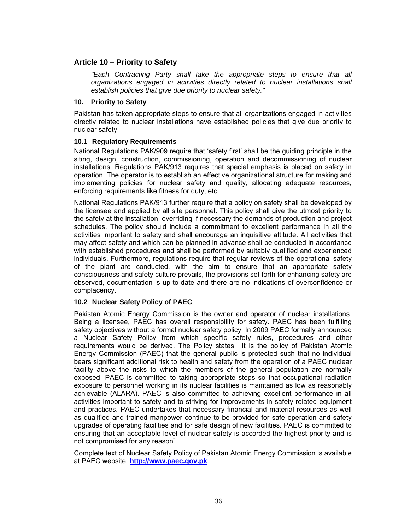# **Article 10 – Priority to Safety**

*"Each Contracting Party shall take the appropriate steps to ensure that all organizations engaged in activities directly related to nuclear installations shall establish policies that give due priority to nuclear safety."* 

### **10. Priority to Safety**

Pakistan has taken appropriate steps to ensure that all organizations engaged in activities directly related to nuclear installations have established policies that give due priority to nuclear safety.

## **10.1 Regulatory Requirements**

National Regulations PAK/909 require that 'safety first' shall be the guiding principle in the siting, design, construction, commissioning, operation and decommissioning of nuclear installations. Regulations PAK/913 requires that special emphasis is placed on safety in operation. The operator is to establish an effective organizational structure for making and implementing policies for nuclear safety and quality, allocating adequate resources, enforcing requirements like fitness for duty, etc.

National Regulations PAK/913 further require that a policy on safety shall be developed by the licensee and applied by all site personnel. This policy shall give the utmost priority to the safety at the installation, overriding if necessary the demands of production and project schedules. The policy should include a commitment to excellent performance in all the activities important to safety and shall encourage an inquisitive attitude. All activities that may affect safety and which can be planned in advance shall be conducted in accordance with established procedures and shall be performed by suitably qualified and experienced individuals. Furthermore, regulations require that regular reviews of the operational safety of the plant are conducted, with the aim to ensure that an appropriate safety consciousness and safety culture prevails, the provisions set forth for enhancing safety are observed, documentation is up-to-date and there are no indications of overconfidence or complacency.

## **10.2 Nuclear Safety Policy of PAEC**

Pakistan Atomic Energy Commission is the owner and operator of nuclear installations. Being a licensee, PAEC has overall responsibility for safety. PAEC has been fulfilling safety objectives without a formal nuclear safety policy. In 2009 PAEC formally announced a Nuclear Safety Policy from which specific safety rules, procedures and other requirements would be derived. The Policy states: "It is the policy of Pakistan Atomic Energy Commission (PAEC) that the general public is protected such that no individual bears significant additional risk to health and safety from the operation of a PAEC nuclear facility above the risks to which the members of the general population are normally exposed. PAEC is committed to taking appropriate steps so that occupational radiation exposure to personnel working in its nuclear facilities is maintained as low as reasonably achievable (ALARA). PAEC is also committed to achieving excellent performance in all activities important to safety and to striving for improvements in safety related equipment and practices. PAEC undertakes that necessary financial and material resources as well as qualified and trained manpower continue to be provided for safe operation and safety upgrades of operating facilities and for safe design of new facilities. PAEC is committed to ensuring that an acceptable level of nuclear safety is accorded the highest priority and is not compromised for any reason".

Complete text of Nuclear Safety Policy of Pakistan Atomic Energy Commission is available at PAEC website: **http://www.paec.gov.pk**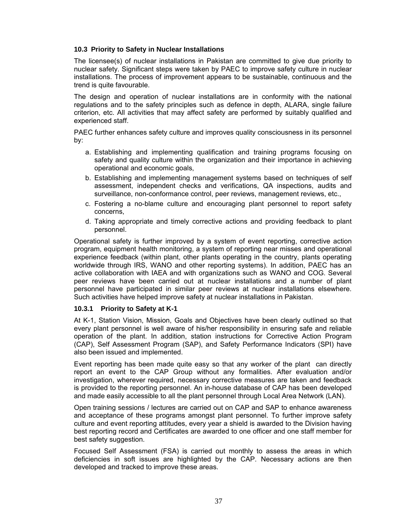## **10.3 Priority to Safety in Nuclear Installations**

The licensee(s) of nuclear installations in Pakistan are committed to give due priority to nuclear safety. Significant steps were taken by PAEC to improve safety culture in nuclear installations. The process of improvement appears to be sustainable, continuous and the trend is quite favourable.

The design and operation of nuclear installations are in conformity with the national regulations and to the safety principles such as defence in depth, ALARA, single failure criterion, etc. All activities that may affect safety are performed by suitably qualified and experienced staff.

PAEC further enhances safety culture and improves quality consciousness in its personnel by:

- a. Establishing and implementing qualification and training programs focusing on safety and quality culture within the organization and their importance in achieving operational and economic goals,
- b. Establishing and implementing management systems based on techniques of self assessment, independent checks and verifications, QA inspections, audits and surveillance, non-conformance control, peer reviews, management reviews, etc.,
- c. Fostering a no-blame culture and encouraging plant personnel to report safety concerns,
- d. Taking appropriate and timely corrective actions and providing feedback to plant personnel.

Operational safety is further improved by a system of event reporting, corrective action program, equipment health monitoring, a system of reporting near misses and operational experience feedback (within plant, other plants operating in the country, plants operating worldwide through IRS, WANO and other reporting systems). In addition, PAEC has an active collaboration with IAEA and with organizations such as WANO and COG. Several peer reviews have been carried out at nuclear installations and a number of plant personnel have participated in similar peer reviews at nuclear installations elsewhere. Such activities have helped improve safety at nuclear installations in Pakistan.

## **10.3.1 Priority to Safety at K-1**

At K-1, Station Vision, Mission, Goals and Objectives have been clearly outlined so that every plant personnel is well aware of his/her responsibility in ensuring safe and reliable operation of the plant. In addition, station instructions for Corrective Action Program (CAP), Self Assessment Program (SAP), and Safety Performance Indicators (SPI) have also been issued and implemented.

Event reporting has been made quite easy so that any worker of the plant can directly report an event to the CAP Group without any formalities. After evaluation and/or investigation, wherever required, necessary corrective measures are taken and feedback is provided to the reporting personnel. An in-house database of CAP has been developed and made easily accessible to all the plant personnel through Local Area Network (LAN).

Open training sessions / lectures are carried out on CAP and SAP to enhance awareness and acceptance of these programs amongst plant personnel. To further improve safety culture and event reporting attitudes, every year a shield is awarded to the Division having best reporting record and Certificates are awarded to one officer and one staff member for best safety suggestion.

Focused Self Assessment (FSA) is carried out monthly to assess the areas in which deficiencies in soft issues are highlighted by the CAP. Necessary actions are then developed and tracked to improve these areas.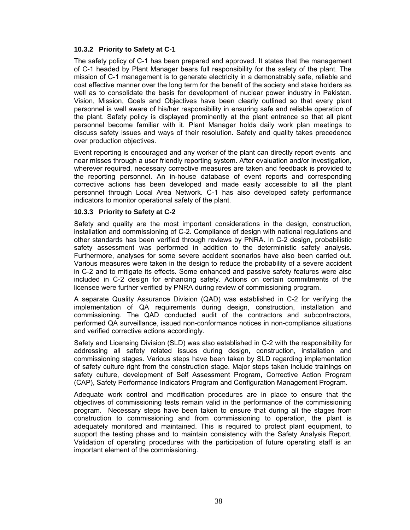## **10.3.2 Priority to Safety at C-1**

The safety policy of C-1 has been prepared and approved. It states that the management of C-1 headed by Plant Manager bears full responsibility for the safety of the plant. The mission of C-1 management is to generate electricity in a demonstrably safe, reliable and cost effective manner over the long term for the benefit of the society and stake holders as well as to consolidate the basis for development of nuclear power industry in Pakistan. Vision, Mission, Goals and Objectives have been clearly outlined so that every plant personnel is well aware of his/her responsibility in ensuring safe and reliable operation of the plant. Safety policy is displayed prominently at the plant entrance so that all plant personnel become familiar with it. Plant Manager holds daily work plan meetings to discuss safety issues and ways of their resolution. Safety and quality takes precedence over production objectives.

Event reporting is encouraged and any worker of the plant can directly report events and near misses through a user friendly reporting system. After evaluation and/or investigation, wherever required, necessary corrective measures are taken and feedback is provided to the reporting personnel. An in-house database of event reports and corresponding corrective actions has been developed and made easily accessible to all the plant personnel through Local Area Network. C-1 has also developed safety performance indicators to monitor operational safety of the plant.

#### **10.3.3 Priority to Safety at C-2**

Safety and quality are the most important considerations in the design, construction, installation and commissioning of C-2. Compliance of design with national regulations and other standards has been verified through reviews by PNRA. In C-2 design, probabilistic safety assessment was performed in addition to the deterministic safety analysis. Furthermore, analyses for some severe accident scenarios have also been carried out. Various measures were taken in the design to reduce the probability of a severe accident in C-2 and to mitigate its effects. Some enhanced and passive safety features were also included in C-2 design for enhancing safety. Actions on certain commitments of the licensee were further verified by PNRA during review of commissioning program.

A separate Quality Assurance Division (QAD) was established in C-2 for verifying the implementation of QA requirements during design, construction, installation and commissioning. The QAD conducted audit of the contractors and subcontractors, performed QA surveillance, issued non-conformance notices in non-compliance situations and verified corrective actions accordingly.

Safety and Licensing Division (SLD) was also established in C-2 with the responsibility for addressing all safety related issues during design, construction, installation and commissioning stages. Various steps have been taken by SLD regarding implementation of safety culture right from the construction stage. Major steps taken include trainings on safety culture, development of Self Assessment Program, Corrective Action Program (CAP), Safety Performance Indicators Program and Configuration Management Program.

Adequate work control and modification procedures are in place to ensure that the objectives of commissioning tests remain valid in the performance of the commissioning program. Necessary steps have been taken to ensure that during all the stages from construction to commissioning and from commissioning to operation, the plant is adequately monitored and maintained. This is required to protect plant equipment, to support the testing phase and to maintain consistency with the Safety Analysis Report. Validation of operating procedures with the participation of future operating staff is an important element of the commissioning.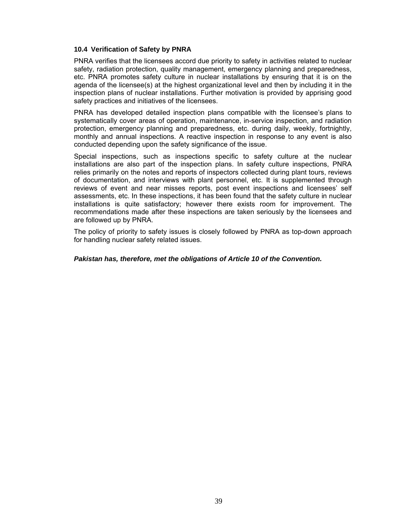#### **10.4 Verification of Safety by PNRA**

PNRA verifies that the licensees accord due priority to safety in activities related to nuclear safety, radiation protection, quality management, emergency planning and preparedness, etc. PNRA promotes safety culture in nuclear installations by ensuring that it is on the agenda of the licensee(s) at the highest organizational level and then by including it in the inspection plans of nuclear installations. Further motivation is provided by apprising good safety practices and initiatives of the licensees.

PNRA has developed detailed inspection plans compatible with the licensee's plans to systematically cover areas of operation, maintenance, in-service inspection, and radiation protection, emergency planning and preparedness, etc. during daily, weekly, fortnightly, monthly and annual inspections. A reactive inspection in response to any event is also conducted depending upon the safety significance of the issue.

Special inspections, such as inspections specific to safety culture at the nuclear installations are also part of the inspection plans. In safety culture inspections, PNRA relies primarily on the notes and reports of inspectors collected during plant tours, reviews of documentation, and interviews with plant personnel, etc. It is supplemented through reviews of event and near misses reports, post event inspections and licensees' self assessments, etc. In these inspections, it has been found that the safety culture in nuclear installations is quite satisfactory; however there exists room for improvement. The recommendations made after these inspections are taken seriously by the licensees and are followed up by PNRA.

The policy of priority to safety issues is closely followed by PNRA as top-down approach for handling nuclear safety related issues.

*Pakistan has, therefore, met the obligations of Article 10 of the Convention.*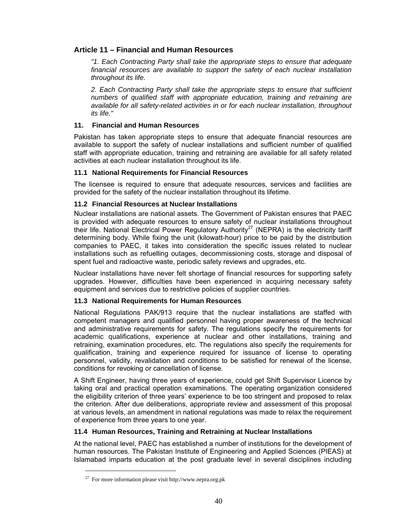# **Article 11 – Financial and Human Resources**

*"1. Each Contracting Party shall take the appropriate steps to ensure that adequate financial resources are available to support the safety of each nuclear installation throughout its life.* 

*2. Each Contracting Party shall take the appropriate steps to ensure that sufficient numbers of qualified staff with appropriate education, training and retraining are available for all safety-related activities in or for each nuclear installation, throughout its life."* 

# **11. Financial and Human Resources**

Pakistan has taken appropriate steps to ensure that adequate financial resources are available to support the safety of nuclear installations and sufficient number of qualified staff with appropriate education, training and retraining are available for all safety related activities at each nuclear installation throughout its life.

# **11.1 National Requirements for Financial Resources**

The licensee is required to ensure that adequate resources, services and facilities are provided for the safety of the nuclear installation throughout its lifetime.

## **11.2 Financial Resources at Nuclear Installations**

Nuclear installations are national assets. The Government of Pakistan ensures that PAEC is provided with adequate resources to ensure safety of nuclear installations throughout their life. National Electrical Power Regulatory Authority<sup>27</sup> (NEPRA) is the electricity tariff determining body. While fixing the unit (kilowatt-hour) price to be paid by the distribution companies to PAEC, it takes into consideration the specific issues related to nuclear installations such as refuelling outages, decommissioning costs, storage and disposal of spent fuel and radioactive waste, periodic safety reviews and upgrades, etc.

Nuclear installations have never felt shortage of financial resources for supporting safety upgrades. However, difficulties have been experienced in acquiring necessary safety equipment and services due to restrictive policies of supplier countries.

## **11.3 National Requirements for Human Resources**

National Regulations PAK/913 require that the nuclear installations are staffed with competent managers and qualified personnel having proper awareness of the technical and administrative requirements for safety. The regulations specify the requirements for academic qualifications, experience at nuclear and other installations, training and retraining, examination procedures, etc. The regulations also specify the requirements for qualification, training and experience required for issuance of license to operating personnel, validity, revalidation and conditions to be satisfied for renewal of the license, conditions for revoking or cancellation of license.

A Shift Engineer, having three years of experience, could get Shift Supervisor Licence by taking oral and practical operation examinations. The operating organization considered the eligibility criterion of three years' experience to be too stringent and proposed to relax the criterion. After due deliberations, appropriate review and assessment of this proposal at various levels, an amendment in national regulations was made to relax the requirement of experience from three years to one year.

## **11.4 Human Resources, Training and Retraining at Nuclear Installations**

At the national level, PAEC has established a number of institutions for the development of human resources. The Pakistan Institute of Engineering and Applied Sciences (PIEAS) at Islamabad imparts education at the post graduate level in several disciplines including

 $\overline{a}$ 

<sup>&</sup>lt;sup>27</sup> For more information please visit http://www.nepra.org.pk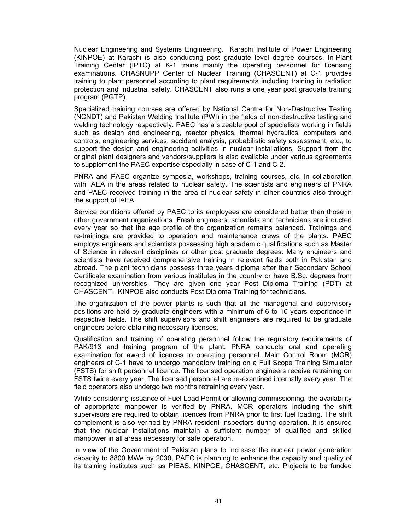Nuclear Engineering and Systems Engineering. Karachi Institute of Power Engineering (KINPOE) at Karachi is also conducting post graduate level degree courses. In-Plant Training Center (IPTC) at K-1 trains mainly the operating personnel for licensing examinations. CHASNUPP Center of Nuclear Training (CHASCENT) at C-1 provides training to plant personnel according to plant requirements including training in radiation protection and industrial safety. CHASCENT also runs a one year post graduate training program (PGTP).

Specialized training courses are offered by National Centre for Non-Destructive Testing (NCNDT) and Pakistan Welding Institute (PWI) in the fields of non-destructive testing and welding technology respectively. PAEC has a sizeable pool of specialists working in fields such as design and engineering, reactor physics, thermal hydraulics, computers and controls, engineering services, accident analysis, probabilistic safety assessment, etc., to support the design and engineering activities in nuclear installations. Support from the original plant designers and vendors/suppliers is also available under various agreements to supplement the PAEC expertise especially in case of C-1 and C-2.

PNRA and PAEC organize symposia, workshops, training courses, etc. in collaboration with IAEA in the areas related to nuclear safety. The scientists and engineers of PNRA and PAEC received training in the area of nuclear safety in other countries also through the support of IAEA.

Service conditions offered by PAEC to its employees are considered better than those in other government organizations. Fresh engineers, scientists and technicians are inducted every year so that the age profile of the organization remains balanced. Trainings and re-trainings are provided to operation and maintenance crews of the plants. PAEC employs engineers and scientists possessing high academic qualifications such as Master of Science in relevant disciplines or other post graduate degrees. Many engineers and scientists have received comprehensive training in relevant fields both in Pakistan and abroad. The plant technicians possess three years diploma after their Secondary School Certificate examination from various institutes in the country or have B.Sc. degrees from recognized universities. They are given one year Post Diploma Training (PDT) at CHASCENT. KINPOE also conducts Post Diploma Training for technicians.

The organization of the power plants is such that all the managerial and supervisory positions are held by graduate engineers with a minimum of 6 to 10 years experience in respective fields. The shift supervisors and shift engineers are required to be graduate engineers before obtaining necessary licenses.

Qualification and training of operating personnel follow the regulatory requirements of PAK/913 and training program of the plant. PNRA conducts oral and operating examination for award of licences to operating personnel. Main Control Room (MCR) engineers of C-1 have to undergo mandatory training on a Full Scope Training Simulator (FSTS) for shift personnel licence. The licensed operation engineers receive retraining on FSTS twice every year. The licensed personnel are re-examined internally every year. The field operators also undergo two months retraining every year.

While considering issuance of Fuel Load Permit or allowing commissioning, the availability of appropriate manpower is verified by PNRA. MCR operators including the shift supervisors are required to obtain licences from PNRA prior to first fuel loading. The shift complement is also verified by PNRA resident inspectors during operation. It is ensured that the nuclear installations maintain a sufficient number of qualified and skilled manpower in all areas necessary for safe operation.

In view of the Government of Pakistan plans to increase the nuclear power generation capacity to 8800 MWe by 2030, PAEC is planning to enhance the capacity and quality of its training institutes such as PIEAS, KINPOE, CHASCENT, etc. Projects to be funded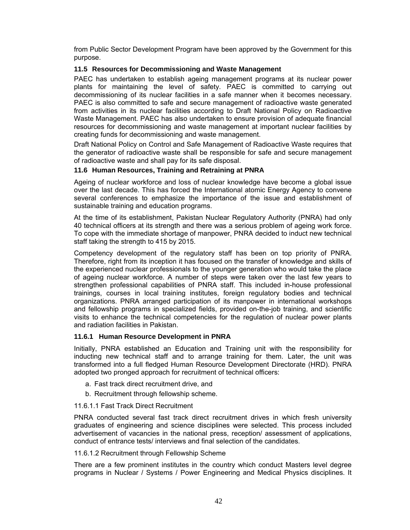from Public Sector Development Program have been approved by the Government for this purpose.

## **11.5 Resources for Decommissioning and Waste Management**

PAEC has undertaken to establish ageing management programs at its nuclear power plants for maintaining the level of safety. PAEC is committed to carrying out decommissioning of its nuclear facilities in a safe manner when it becomes necessary. PAEC is also committed to safe and secure management of radioactive waste generated from activities in its nuclear facilities according to Draft National Policy on Radioactive Waste Management. PAEC has also undertaken to ensure provision of adequate financial resources for decommissioning and waste management at important nuclear facilities by creating funds for decommissioning and waste management.

Draft National Policy on Control and Safe Management of Radioactive Waste requires that the generator of radioactive waste shall be responsible for safe and secure management of radioactive waste and shall pay for its safe disposal.

#### **11.6 Human Resources, Training and Retraining at PNRA**

Ageing of nuclear workforce and loss of nuclear knowledge have become a global issue over the last decade. This has forced the International atomic Energy Agency to convene several conferences to emphasize the importance of the issue and establishment of sustainable training and education programs.

At the time of its establishment, Pakistan Nuclear Regulatory Authority (PNRA) had only 40 technical officers at its strength and there was a serious problem of ageing work force. To cope with the immediate shortage of manpower, PNRA decided to induct new technical staff taking the strength to 415 by 2015.

Competency development of the regulatory staff has been on top priority of PNRA. Therefore, right from its inception it has focused on the transfer of knowledge and skills of the experienced nuclear professionals to the younger generation who would take the place of ageing nuclear workforce. A number of steps were taken over the last few years to strengthen professional capabilities of PNRA staff. This included in-house professional trainings, courses in local training institutes, foreign regulatory bodies and technical organizations. PNRA arranged participation of its manpower in international workshops and fellowship programs in specialized fields, provided on-the-job training, and scientific visits to enhance the technical competencies for the regulation of nuclear power plants and radiation facilities in Pakistan.

#### **11.6.1 Human Resource Development in PNRA**

Initially, PNRA established an Education and Training unit with the responsibility for inducting new technical staff and to arrange training for them. Later, the unit was transformed into a full fledged Human Resource Development Directorate (HRD). PNRA adopted two pronged approach for recruitment of technical officers:

- a. Fast track direct recruitment drive, and
- b. Recruitment through fellowship scheme.

#### 11.6.1.1 Fast Track Direct Recruitment

PNRA conducted several fast track direct recruitment drives in which fresh university graduates of engineering and science disciplines were selected. This process included advertisement of vacancies in the national press, reception/ assessment of applications, conduct of entrance tests/ interviews and final selection of the candidates.

#### 11.6.1.2 Recruitment through Fellowship Scheme

There are a few prominent institutes in the country which conduct Masters level degree programs in Nuclear / Systems / Power Engineering and Medical Physics disciplines. It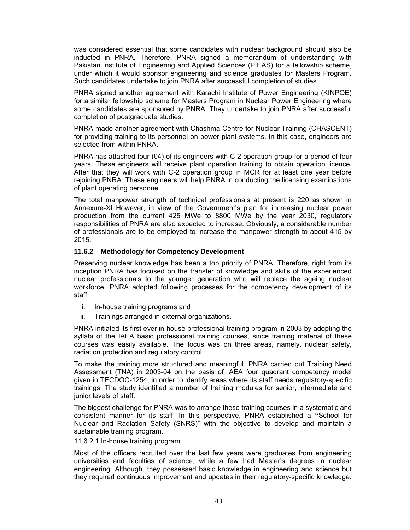was considered essential that some candidates with nuclear background should also be inducted in PNRA. Therefore, PNRA signed a memorandum of understanding with Pakistan Institute of Engineering and Applied Sciences (PIEAS) for a fellowship scheme, under which it would sponsor engineering and science graduates for Masters Program. Such candidates undertake to join PNRA after successful completion of studies.

PNRA signed another agreement with Karachi Institute of Power Engineering (KINPOE) for a similar fellowship scheme for Masters Program in Nuclear Power Engineering where some candidates are sponsored by PNRA. They undertake to join PNRA after successful completion of postgraduate studies.

PNRA made another agreement with Chashma Centre for Nuclear Training (CHASCENT) for providing training to its personnel on power plant systems. In this case, engineers are selected from within PNRA.

PNRA has attached four (04) of its engineers with C-2 operation group for a period of four years. These engineers will receive plant operation training to obtain operation licence. After that they will work with C-2 operation group in MCR for at least one year before rejoining PNRA. These engineers will help PNRA in conducting the licensing examinations of plant operating personnel.

The total manpower strength of technical professionals at present is 220 as shown in Annexure-XI However, in view of the Government's plan for increasing nuclear power production from the current 425 MWe to 8800 MWe by the year 2030, regulatory responsibilities of PNRA are also expected to increase. Obviously, a considerable number of professionals are to be employed to increase the manpower strength to about 415 by 2015.

#### **11.6.2 Methodology for Competency Development**

Preserving nuclear knowledge has been a top priority of PNRA. Therefore, right from its inception PNRA has focused on the transfer of knowledge and skills of the experienced nuclear professionals to the younger generation who will replace the ageing nuclear workforce. PNRA adopted following processes for the competency development of its staff:

- i. In-house training programs and
- ii. Trainings arranged in external organizations.

PNRA initiated its first ever in-house professional training program in 2003 by adopting the syllabi of the IAEA basic professional training courses, since training material of these courses was easily available. The focus was on three areas, namely, nuclear safety, radiation protection and regulatory control.

To make the training more structured and meaningful, PNRA carried out Training Need Assessment (TNA) in 2003-04 on the basis of IAEA four quadrant competency model given in TECDOC-1254, in order to identify areas where its staff needs regulatory-specific trainings. The study identified a number of training modules for senior, intermediate and junior levels of staff.

The biggest challenge for PNRA was to arrange these training courses in a systematic and consistent manner for its staff. In this perspective, PNRA established a **"**School for Nuclear and Radiation Safety (SNRS)" with the objective to develop and maintain a sustainable training program.

#### 11.6.2.1 In-house training program

Most of the officers recruited over the last few years were graduates from engineering universities and faculties of science, while a few had Master's degrees in nuclear engineering. Although, they possessed basic knowledge in engineering and science but they required continuous improvement and updates in their regulatory-specific knowledge.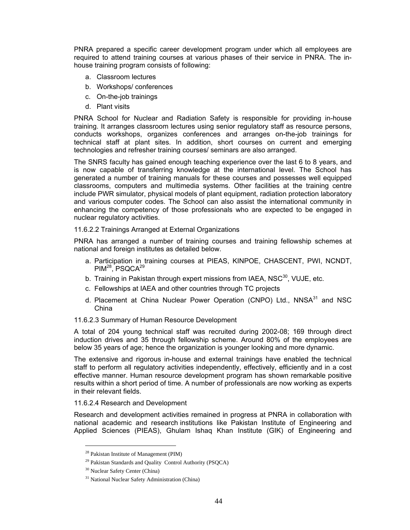PNRA prepared a specific career development program under which all employees are required to attend training courses at various phases of their service in PNRA. The inhouse training program consists of following:

- a. Classroom lectures
- b. Workshops/ conferences
- c. On-the-job trainings
- d. Plant visits

PNRA School for Nuclear and Radiation Safety is responsible for providing in-house training. It arranges classroom lectures using senior regulatory staff as resource persons, conducts workshops, organizes conferences and arranges on-the-job trainings for technical staff at plant sites. In addition, short courses on current and emerging technologies and refresher training courses/ seminars are also arranged.

The SNRS faculty has gained enough teaching experience over the last 6 to 8 years, and is now capable of transferring knowledge at the international level. The School has generated a number of training manuals for these courses and possesses well equipped classrooms, computers and multimedia systems. Other facilities at the training centre include PWR simulator, physical models of plant equipment, radiation protection laboratory and various computer codes. The School can also assist the international community in enhancing the competency of those professionals who are expected to be engaged in nuclear regulatory activities.

11.6.2.2 Trainings Arranged at External Organizations

PNRA has arranged a number of training courses and training fellowship schemes at national and foreign institutes as detailed below.

- a. Participation in training courses at PIEAS, KINPOE, CHASCENT, PWI, NCNDT, PIM<sup>28</sup>, PSQCA<sup>29</sup>
- b. Training in Pakistan through expert missions from IAEA,  $NSC^{30}$ , VUJE, etc.
- c. Fellowships at IAEA and other countries through TC projects
- d. Placement at China Nuclear Power Operation (CNPO) Ltd., NNSA<sup>31</sup> and NSC China

#### 11.6.2.3 Summary of Human Resource Development

A total of 204 young technical staff was recruited during 2002-08; 169 through direct induction drives and 35 through fellowship scheme. Around 80% of the employees are below 35 years of age; hence the organization is younger looking and more dynamic.

The extensive and rigorous in-house and external trainings have enabled the technical staff to perform all regulatory activities independently, effectively, efficiently and in a cost effective manner. Human resource development program has shown remarkable positive results within a short period of time. A number of professionals are now working as experts in their relevant fields.

#### 11.6.2.4 Research and Development

Research and development activities remained in progress at PNRA in collaboration with national academic and research institutions like Pakistan Institute of Engineering and Applied Sciences (PIEAS), Ghulam Ishaq Khan Institute (GIK) of Engineering and

l

<sup>28</sup> Pakistan Institute of Management (PIM)

<sup>&</sup>lt;sup>29</sup> Pakistan Standards and Quality Control Authority (PSQCA)

<sup>30</sup> Nuclear Safety Center (China)

<sup>&</sup>lt;sup>31</sup> National Nuclear Safety Administration (China)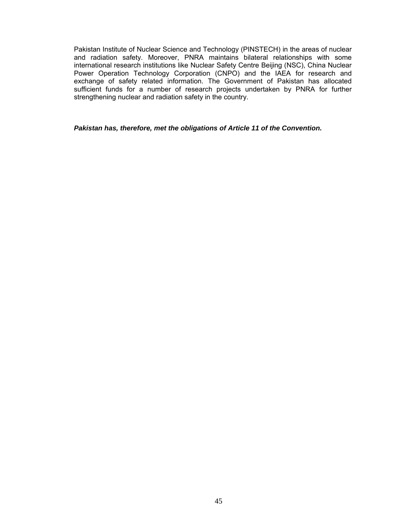Pakistan Institute of Nuclear Science and Technology (PINSTECH) in the areas of nuclear and radiation safety. Moreover, PNRA maintains bilateral relationships with some international research institutions like Nuclear Safety Centre Beijing (NSC), China Nuclear Power Operation Technology Corporation (CNPO) and the IAEA for research and exchange of safety related information. The Government of Pakistan has allocated sufficient funds for a number of research projects undertaken by PNRA for further strengthening nuclear and radiation safety in the country.

#### *Pakistan has, therefore, met the obligations of Article 11 of the Convention.*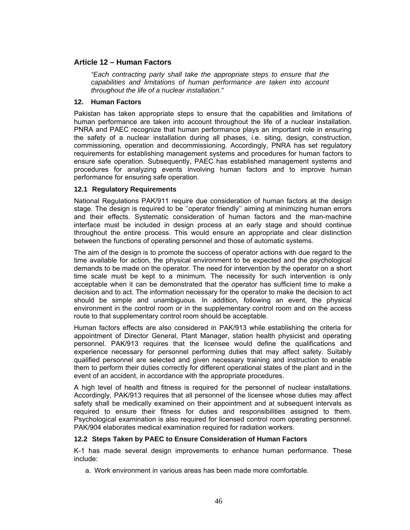# **Article 12 – Human Factors**

*"Each contracting party shall take the appropriate steps to ensure that the capabilities and limitations of human performance are taken into account throughout the life of a nuclear installation."* 

### **12. Human Factors**

Pakistan has taken appropriate steps to ensure that the capabilities and limitations of human performance are taken into account throughout the life of a nuclear installation. PNRA and PAEC recognize that human performance plays an important role in ensuring the safety of a nuclear installation during all phases, i.e. siting, design, construction, commissioning, operation and decommissioning. Accordingly, PNRA has set regulatory requirements for establishing management systems and procedures for human factors to ensure safe operation. Subsequently, PAEC has established management systems and procedures for analyzing events involving human factors and to improve human performance for ensuring safe operation.

## **12.1 Regulatory Requirements**

National Regulations PAK/911 require due consideration of human factors at the design stage. The design is required to be ''operator friendly'' aiming at minimizing human errors and their effects. Systematic consideration of human factors and the man-machine interface must be included in design process at an early stage and should continue throughout the entire process. This would ensure an appropriate and clear distinction between the functions of operating personnel and those of automatic systems.

The aim of the design is to promote the success of operator actions with due regard to the time available for action, the physical environment to be expected and the psychological demands to be made on the operator. The need for intervention by the operator on a short time scale must be kept to a minimum. The necessity for such intervention is only acceptable when it can be demonstrated that the operator has sufficient time to make a decision and to act. The information necessary for the operator to make the decision to act should be simple and unambiguous. In addition, following an event, the physical environment in the control room or in the supplementary control room and on the access route to that supplementary control room should be acceptable.

Human factors effects are also considered in PAK/913 while establishing the criteria for appointment of Director General, Plant Manager, station health physicist and operating personnel. PAK/913 requires that the licensee would define the qualifications and experience necessary for personnel performing duties that may affect safety. Suitably qualified personnel are selected and given necessary training and instruction to enable them to perform their duties correctly for different operational states of the plant and in the event of an accident, in accordance with the appropriate procedures.

A high level of health and fitness is required for the personnel of nuclear installations. Accordingly, PAK/913 requires that all personnel of the licensee whose duties may affect safety shall be medically examined on their appointment and at subsequent intervals as required to ensure their fitness for duties and responsibilities assigned to them. Psychological examination is also required for licensed control room operating personnel. PAK/904 elaborates medical examination required for radiation workers.

## **12.2 Steps Taken by PAEC to Ensure Consideration of Human Factors**

K-1 has made several design improvements to enhance human performance. These include:

a. Work environment in various areas has been made more comfortable.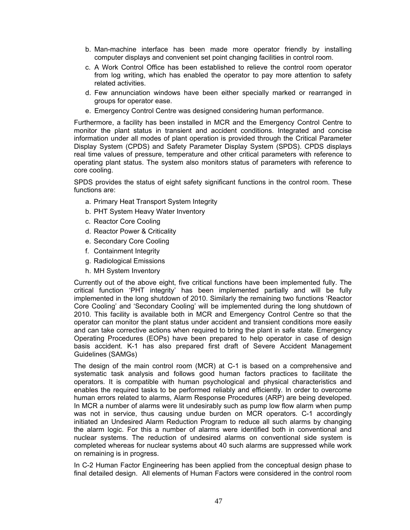- b. Man-machine interface has been made more operator friendly by installing computer displays and convenient set point changing facilities in control room.
- c. A Work Control Office has been established to relieve the control room operator from log writing, which has enabled the operator to pay more attention to safety related activities.
- d. Few annunciation windows have been either specially marked or rearranged in groups for operator ease.
- e. Emergency Control Centre was designed considering human performance.

Furthermore, a facility has been installed in MCR and the Emergency Control Centre to monitor the plant status in transient and accident conditions. Integrated and concise information under all modes of plant operation is provided through the Critical Parameter Display System (CPDS) and Safety Parameter Display System (SPDS). CPDS displays real time values of pressure, temperature and other critical parameters with reference to operating plant status. The system also monitors status of parameters with reference to core cooling.

SPDS provides the status of eight safety significant functions in the control room. These functions are:

- a. Primary Heat Transport System Integrity
- b. PHT System Heavy Water Inventory
- c. Reactor Core Cooling
- d. Reactor Power & Criticality
- e. Secondary Core Cooling
- f. Containment Integrity
- g. Radiological Emissions
- h. MH System Inventory

Currently out of the above eight, five critical functions have been implemented fully. The critical function 'PHT integrity' has been implemented partially and will be fully implemented in the long shutdown of 2010. Similarly the remaining two functions 'Reactor Core Cooling' and 'Secondary Cooling' will be implemented during the long shutdown of 2010. This facility is available both in MCR and Emergency Control Centre so that the operator can monitor the plant status under accident and transient conditions more easily and can take corrective actions when required to bring the plant in safe state. Emergency Operating Procedures (EOPs) have been prepared to help operator in case of design basis accident. K-1 has also prepared first draft of Severe Accident Management Guidelines (SAMGs)

The design of the main control room (MCR) at C-1 is based on a comprehensive and systematic task analysis and follows good human factors practices to facilitate the operators. It is compatible with human psychological and physical characteristics and enables the required tasks to be performed reliably and efficiently. In order to overcome human errors related to alarms, Alarm Response Procedures (ARP) are being developed. In MCR a number of alarms were lit undesirably such as pump low flow alarm when pump was not in service, thus causing undue burden on MCR operators. C-1 accordingly initiated an Undesired Alarm Reduction Program to reduce all such alarms by changing the alarm logic. For this a number of alarms were identified both in conventional and nuclear systems. The reduction of undesired alarms on conventional side system is completed whereas for nuclear systems about 40 such alarms are suppressed while work on remaining is in progress.

In C-2 Human Factor Engineering has been applied from the conceptual design phase to final detailed design. All elements of Human Factors were considered in the control room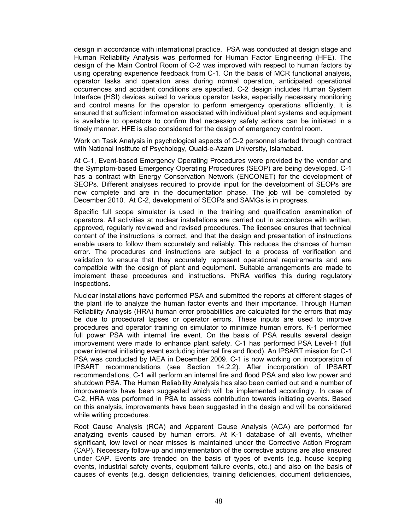design in accordance with international practice. PSA was conducted at design stage and Human Reliability Analysis was performed for Human Factor Engineering (HFE). The design of the Main Control Room of C-2 was improved with respect to human factors by using operating experience feedback from C-1. On the basis of MCR functional analysis, operator tasks and operation area during normal operation, anticipated operational occurrences and accident conditions are specified. C-2 design includes Human System Interface (HSI) devices suited to various operator tasks, especially necessary monitoring and control means for the operator to perform emergency operations efficiently. It is ensured that sufficient information associated with individual plant systems and equipment is available to operators to confirm that necessary safety actions can be initiated in a timely manner. HFE is also considered for the design of emergency control room.

Work on Task Analysis in psychological aspects of C-2 personnel started through contract with National Institute of Psychology, Quaid-e-Azam University, Islamabad.

At C-1, Event-based Emergency Operating Procedures were provided by the vendor and the Symptom-based Emergency Operating Procedures (SEOP) are being developed. C-1 has a contract with Energy Conservation Network (ENCONET) for the development of SEOPs. Different analyses required to provide input for the development of SEOPs are now complete and are in the documentation phase. The job will be completed by December 2010. At C-2, development of SEOPs and SAMGs is in progress.

Specific full scope simulator is used in the training and qualification examination of operators. All activities at nuclear installations are carried out in accordance with written, approved, regularly reviewed and revised procedures. The licensee ensures that technical content of the instructions is correct, and that the design and presentation of instructions enable users to follow them accurately and reliably. This reduces the chances of human error. The procedures and instructions are subject to a process of verification and validation to ensure that they accurately represent operational requirements and are compatible with the design of plant and equipment. Suitable arrangements are made to implement these procedures and instructions. PNRA verifies this during regulatory inspections.

Nuclear installations have performed PSA and submitted the reports at different stages of the plant life to analyze the human factor events and their importance. Through Human Reliability Analysis (HRA) human error probabilities are calculated for the errors that may be due to procedural lapses or operator errors. These inputs are used to improve procedures and operator training on simulator to minimize human errors. K-1 performed full power PSA with internal fire event. On the basis of PSA results several design improvement were made to enhance plant safety. C-1 has performed PSA Level-1 (full power internal initiating event excluding internal fire and flood). An IPSART mission for C-1 PSA was conducted by IAEA in December 2009. C-1 is now working on incorporation of IPSART recommendations (see Section 14.2.2). After incorporation of IPSART recommendations, C-1 will perform an internal fire and flood PSA and also low power and shutdown PSA. The Human Reliability Analysis has also been carried out and a number of improvements have been suggested which will be implemented accordingly. In case of C-2, HRA was performed in PSA to assess contribution towards initiating events. Based on this analysis, improvements have been suggested in the design and will be considered while writing procedures.

Root Cause Analysis (RCA) and Apparent Cause Analysis (ACA) are performed for analyzing events caused by human errors. At K-1 database of all events, whether significant, low level or near misses is maintained under the Corrective Action Program (CAP). Necessary follow-up and implementation of the corrective actions are also ensured under CAP. Events are trended on the basis of types of events (e.g. house keeping events, industrial safety events, equipment failure events, etc.) and also on the basis of causes of events (e.g. design deficiencies, training deficiencies, document deficiencies,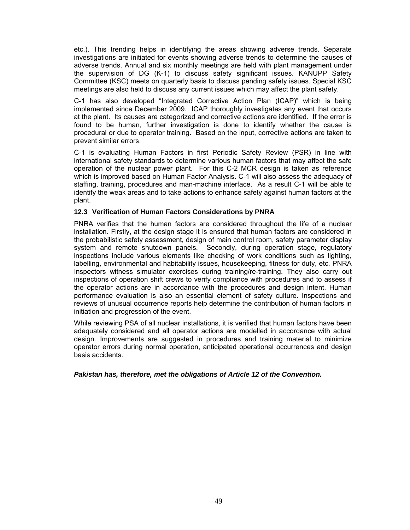etc.). This trending helps in identifying the areas showing adverse trends. Separate investigations are initiated for events showing adverse trends to determine the causes of adverse trends. Annual and six monthly meetings are held with plant management under the supervision of DG (K-1) to discuss safety significant issues. KANUPP Safety Committee (KSC) meets on quarterly basis to discuss pending safety issues. Special KSC meetings are also held to discuss any current issues which may affect the plant safety.

C-1 has also developed "Integrated Corrective Action Plan (ICAP)" which is being implemented since December 2009. ICAP thoroughly investigates any event that occurs at the plant. Its causes are categorized and corrective actions are identified. If the error is found to be human, further investigation is done to identify whether the cause is procedural or due to operator training. Based on the input, corrective actions are taken to prevent similar errors.

C-1 is evaluating Human Factors in first Periodic Safety Review (PSR) in line with international safety standards to determine various human factors that may affect the safe operation of the nuclear power plant. For this C-2 MCR design is taken as reference which is improved based on Human Factor Analysis. C-1 will also assess the adequacy of staffing, training, procedures and man-machine interface. As a result C-1 will be able to identify the weak areas and to take actions to enhance safety against human factors at the plant.

#### **12.3 Verification of Human Factors Considerations by PNRA**

PNRA verifies that the human factors are considered throughout the life of a nuclear installation. Firstly, at the design stage it is ensured that human factors are considered in the probabilistic safety assessment, design of main control room, safety parameter display system and remote shutdown panels. Secondly, during operation stage, regulatory inspections include various elements like checking of work conditions such as lighting, labelling, environmental and habitability issues, housekeeping, fitness for duty, etc. PNRA Inspectors witness simulator exercises during training/re-training. They also carry out inspections of operation shift crews to verify compliance with procedures and to assess if the operator actions are in accordance with the procedures and design intent. Human performance evaluation is also an essential element of safety culture. Inspections and reviews of unusual occurrence reports help determine the contribution of human factors in initiation and progression of the event.

While reviewing PSA of all nuclear installations, it is verified that human factors have been adequately considered and all operator actions are modelled in accordance with actual design. Improvements are suggested in procedures and training material to minimize operator errors during normal operation, anticipated operational occurrences and design basis accidents.

*Pakistan has, therefore, met the obligations of Article 12 of the Convention.*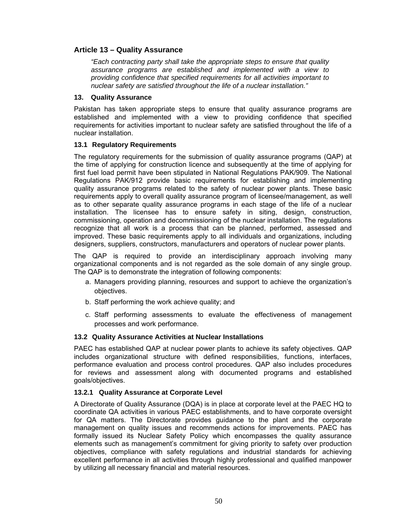## **Article 13 – Quality Assurance**

*"Each contracting party shall take the appropriate steps to ensure that quality assurance programs are established and implemented with a view to providing confidence that specified requirements for all activities important to nuclear safety are satisfied throughout the life of a nuclear installation."*

### **13. Quality Assurance**

Pakistan has taken appropriate steps to ensure that quality assurance programs are established and implemented with a view to providing confidence that specified requirements for activities important to nuclear safety are satisfied throughout the life of a nuclear installation.

## **13.1 Regulatory Requirements**

The regulatory requirements for the submission of quality assurance programs (QAP) at the time of applying for construction licence and subsequently at the time of applying for first fuel load permit have been stipulated in National Regulations PAK/909. The National Regulations PAK/912 provide basic requirements for establishing and implementing quality assurance programs related to the safety of nuclear power plants. These basic requirements apply to overall quality assurance program of licensee/management, as well as to other separate quality assurance programs in each stage of the life of a nuclear installation. The licensee has to ensure safety in siting, design, construction, commissioning, operation and decommissioning of the nuclear installation. The regulations recognize that all work is a process that can be planned, performed, assessed and improved. These basic requirements apply to all individuals and organizations, including designers, suppliers, constructors, manufacturers and operators of nuclear power plants.

The QAP is required to provide an interdisciplinary approach involving many organizational components and is not regarded as the sole domain of any single group. The QAP is to demonstrate the integration of following components:

- a. Managers providing planning, resources and support to achieve the organization's objectives.
- b. Staff performing the work achieve quality; and
- c. Staff performing assessments to evaluate the effectiveness of management processes and work performance.

## **13.2 Quality Assurance Activities at Nuclear Installations**

PAEC has established QAP at nuclear power plants to achieve its safety objectives. QAP includes organizational structure with defined responsibilities, functions, interfaces, performance evaluation and process control procedures. QAP also includes procedures for reviews and assessment along with documented programs and established goals/objectives.

## **13.2.1 Quality Assurance at Corporate Level**

A Directorate of Quality Assurance (DQA) is in place at corporate level at the PAEC HQ to coordinate QA activities in various PAEC establishments, and to have corporate oversight for QA matters. The Directorate provides guidance to the plant and the corporate management on quality issues and recommends actions for improvements. PAEC has formally issued its Nuclear Safety Policy which encompasses the quality assurance elements such as management's commitment for giving priority to safety over production objectives, compliance with safety regulations and industrial standards for achieving excellent performance in all activities through highly professional and qualified manpower by utilizing all necessary financial and material resources.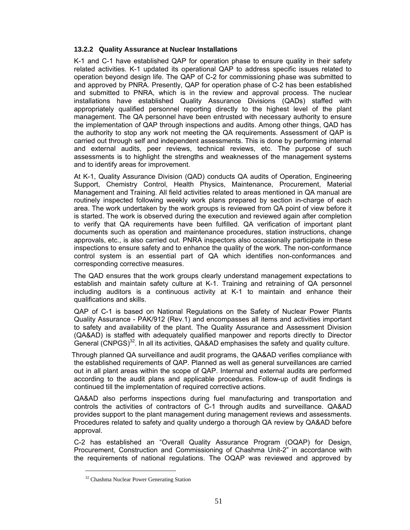## **13.2.2 Quality Assurance at Nuclear Installations**

K-1 and C-1 have established QAP for operation phase to ensure quality in their safety related activities. K-1 updated its operational QAP to address specific issues related to operation beyond design life. The QAP of C-2 for commissioning phase was submitted to and approved by PNRA. Presently, QAP for operation phase of C-2 has been established and submitted to PNRA, which is in the review and approval process. The nuclear installations have established Quality Assurance Divisions (QADs) staffed with appropriately qualified personnel reporting directly to the highest level of the plant management. The QA personnel have been entrusted with necessary authority to ensure the implementation of QAP through inspections and audits. Among other things, QAD has the authority to stop any work not meeting the QA requirements. Assessment of QAP is carried out through self and independent assessments. This is done by performing internal and external audits, peer reviews, technical reviews, etc. The purpose of such assessments is to highlight the strengths and weaknesses of the management systems and to identify areas for improvement.

At K-1, Quality Assurance Division (QAD) conducts QA audits of Operation, Engineering Support, Chemistry Control, Health Physics, Maintenance, Procurement, Material Management and Training. All field activities related to areas mentioned in QA manual are routinely inspected following weekly work plans prepared by section in-charge of each area. The work undertaken by the work groups is reviewed from QA point of view before it is started. The work is observed during the execution and reviewed again after completion to verify that QA requirements have been fulfilled. QA verification of important plant documents such as operation and maintenance procedures, station instructions, change approvals, etc., is also carried out. PNRA inspectors also occasionally participate in these inspections to ensure safety and to enhance the quality of the work. The non-conformance control system is an essential part of QA which identifies non-conformances and corresponding corrective measures.

 The QAD ensures that the work groups clearly understand management expectations to establish and maintain safety culture at K-1. Training and retraining of QA personnel including auditors is a continuous activity at K-1 to maintain and enhance their qualifications and skills.

QAP of C-1 is based on National Regulations on the Safety of Nuclear Power Plants Quality Assurance - PAK/912 (Rev.1) and encompasses all items and activities important to safety and availability of the plant. The Quality Assurance and Assessment Division (QA&AD) is staffed with adequately qualified manpower and reports directly to Director General  $(CNPGS)^{32}$ . In all its activities, QA&AD emphasises the safety and quality culture.

Through planned QA surveillance and audit programs, the QA&AD verifies compliance with the established requirements of QAP. Planned as well as general surveillances are carried out in all plant areas within the scope of QAP. Internal and external audits are performed according to the audit plans and applicable procedures. Follow-up of audit findings is continued till the implementation of required corrective actions.

 QA&AD also performs inspections during fuel manufacturing and transportation and controls the activities of contractors of C-1 through audits and surveillance. QA&AD provides support to the plant management during management reviews and assessments. Procedures related to safety and quality undergo a thorough QA review by QA&AD before approval.

C-2 has established an "Overall Quality Assurance Program (OQAP) for Design, Procurement, Construction and Commissioning of Chashma Unit-2" in accordance with the requirements of national regulations. The OQAP was reviewed and approved by

 $\overline{a}$ 

<sup>&</sup>lt;sup>32</sup> Chashma Nuclear Power Generating Station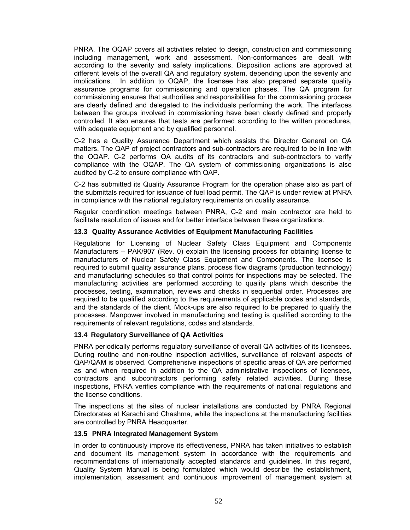PNRA. The OQAP covers all activities related to design, construction and commissioning including management, work and assessment. Non-conformances are dealt with according to the severity and safety implications. Disposition actions are approved at different levels of the overall QA and regulatory system, depending upon the severity and implications. In addition to OQAP, the licensee has also prepared separate quality assurance programs for commissioning and operation phases. The QA program for commissioning ensures that authorities and responsibilities for the commissioning process are clearly defined and delegated to the individuals performing the work. The interfaces between the groups involved in commissioning have been clearly defined and properly controlled. It also ensures that tests are performed according to the written procedures, with adequate equipment and by qualified personnel.

 C-2 has a Quality Assurance Department which assists the Director General on QA matters. The QAP of project contractors and sub-contractors are required to be in line with the OQAP. C-2 performs QA audits of its contractors and sub-contractors to verify compliance with the OQAP. The QA system of commissioning organizations is also audited by C-2 to ensure compliance with QAP.

C-2 has submitted its Quality Assurance Program for the operation phase also as part of the submittals required for issuance of fuel load permit. The QAP is under review at PNRA in compliance with the national regulatory requirements on quality assurance.

Regular coordination meetings between PNRA, C-2 and main contractor are held to facilitate resolution of issues and for better interface between these organizations.

#### **13.3 Quality Assurance Activities of Equipment Manufacturing Facilities**

Regulations for Licensing of Nuclear Safety Class Equipment and Components Manufacturers – PAK/907 (Rev. 0) explain the licensing process for obtaining license to manufacturers of Nuclear Safety Class Equipment and Components. The licensee is required to submit quality assurance plans, process flow diagrams (production technology) and manufacturing schedules so that control points for inspections may be selected. The manufacturing activities are performed according to quality plans which describe the processes, testing, examination, reviews and checks in sequential order. Processes are required to be qualified according to the requirements of applicable codes and standards, and the standards of the client. Mock-ups are also required to be prepared to qualify the processes. Manpower involved in manufacturing and testing is qualified according to the requirements of relevant regulations, codes and standards.

## **13.4 Regulatory Surveillance of QA Activities**

PNRA periodically performs regulatory surveillance of overall QA activities of its licensees. During routine and non-routine inspection activities, surveillance of relevant aspects of QAP/QAM is observed. Comprehensive inspections of specific areas of QA are performed as and when required in addition to the QA administrative inspections of licensees, contractors and subcontractors performing safety related activities. During these inspections, PNRA verifies compliance with the requirements of national regulations and the license conditions.

The inspections at the sites of nuclear installations are conducted by PNRA Regional Directorates at Karachi and Chashma, while the inspections at the manufacturing facilities are controlled by PNRA Headquarter.

#### **13.5 PNRA Integrated Management System**

In order to continuously improve its effectiveness, PNRA has taken initiatives to establish and document its management system in accordance with the requirements and recommendations of internationally accepted standards and guidelines. In this regard, Quality System Manual is being formulated which would describe the establishment, implementation, assessment and continuous improvement of management system at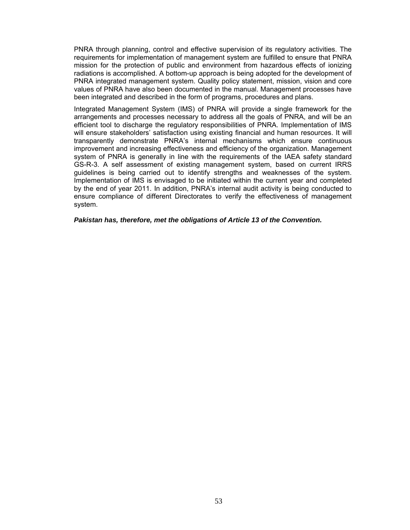PNRA through planning, control and effective supervision of its regulatory activities. The requirements for implementation of management system are fulfilled to ensure that PNRA mission for the protection of public and environment from hazardous effects of ionizing radiations is accomplished. A bottom-up approach is being adopted for the development of PNRA integrated management system. Quality policy statement, mission, vision and core values of PNRA have also been documented in the manual. Management processes have been integrated and described in the form of programs, procedures and plans.

Integrated Management System (IMS) of PNRA will provide a single framework for the arrangements and processes necessary to address all the goals of PNRA, and will be an efficient tool to discharge the regulatory responsibilities of PNRA. Implementation of IMS will ensure stakeholders' satisfaction using existing financial and human resources. It will transparently demonstrate PNRA's internal mechanisms which ensure continuous improvement and increasing effectiveness and efficiency of the organization. Management system of PNRA is generally in line with the requirements of the IAEA safety standard GS-R-3. A self assessment of existing management system, based on current IRRS guidelines is being carried out to identify strengths and weaknesses of the system. Implementation of IMS is envisaged to be initiated within the current year and completed by the end of year 2011. In addition, PNRA's internal audit activity is being conducted to ensure compliance of different Directorates to verify the effectiveness of management system.

*Pakistan has, therefore, met the obligations of Article 13 of the Convention.*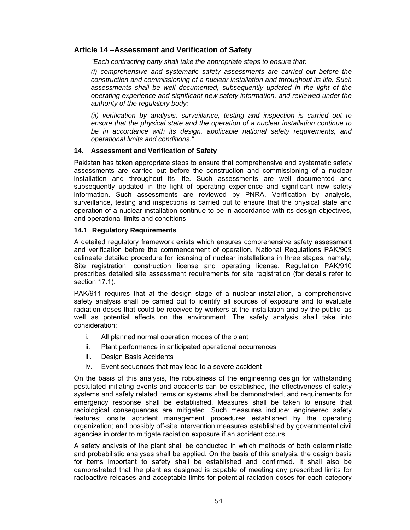# **Article 14 –Assessment and Verification of Safety**

*"Each contracting party shall take the appropriate steps to ensure that:* 

*(i) comprehensive and systematic safety assessments are carried out before the construction and commissioning of a nuclear installation and throughout its life. Such*  assessments shall be well documented, subsequently updated in the light of the *operating experience and significant new safety information, and reviewed under the authority of the regulatory body;* 

*(ii) verification by analysis, surveillance, testing and inspection is carried out to ensure that the physical state and the operation of a nuclear installation continue to be in accordance with its design, applicable national safety requirements, and operational limits and conditions."* 

## **14. Assessment and Verification of Safety**

Pakistan has taken appropriate steps to ensure that comprehensive and systematic safety assessments are carried out before the construction and commissioning of a nuclear installation and throughout its life. Such assessments are well documented and subsequently updated in the light of operating experience and significant new safety information. Such assessments are reviewed by PNRA. Verification by analysis, surveillance, testing and inspections is carried out to ensure that the physical state and operation of a nuclear installation continue to be in accordance with its design objectives, and operational limits and conditions.

#### **14.1 Regulatory Requirements**

A detailed regulatory framework exists which ensures comprehensive safety assessment and verification before the commencement of operation. National Regulations PAK/909 delineate detailed procedure for licensing of nuclear installations in three stages, namely, Site registration, construction license and operating license. Regulation PAK/910 prescribes detailed site assessment requirements for site registration (for details refer to section 17.1).

PAK/911 requires that at the design stage of a nuclear installation, a comprehensive safety analysis shall be carried out to identify all sources of exposure and to evaluate radiation doses that could be received by workers at the installation and by the public, as well as potential effects on the environment. The safety analysis shall take into consideration:

- i. All planned normal operation modes of the plant
- ii. Plant performance in anticipated operational occurrences
- iii. Design Basis Accidents
- iv. Event sequences that may lead to a severe accident

On the basis of this analysis, the robustness of the engineering design for withstanding postulated initiating events and accidents can be established, the effectiveness of safety systems and safety related items or systems shall be demonstrated, and requirements for emergency response shall be established. Measures shall be taken to ensure that radiological consequences are mitigated. Such measures include: engineered safety features; onsite accident management procedures established by the operating organization; and possibly off-site intervention measures established by governmental civil agencies in order to mitigate radiation exposure if an accident occurs.

A safety analysis of the plant shall be conducted in which methods of both deterministic and probabilistic analyses shall be applied. On the basis of this analysis, the design basis for items important to safety shall be established and confirmed. It shall also be demonstrated that the plant as designed is capable of meeting any prescribed limits for radioactive releases and acceptable limits for potential radiation doses for each category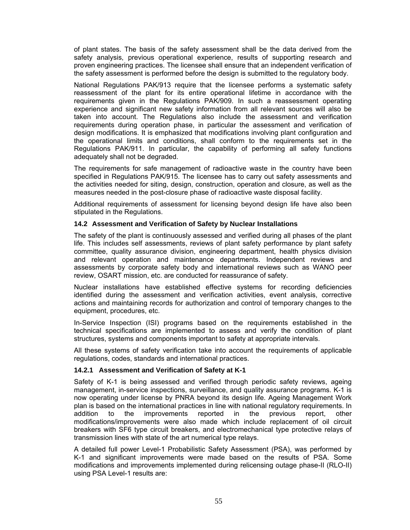of plant states. The basis of the safety assessment shall be the data derived from the safety analysis, previous operational experience, results of supporting research and proven engineering practices. The licensee shall ensure that an independent verification of the safety assessment is performed before the design is submitted to the regulatory body.

National Regulations PAK/913 require that the licensee performs a systematic safety reassessment of the plant for its entire operational lifetime in accordance with the requirements given in the Regulations PAK/909. In such a reassessment operating experience and significant new safety information from all relevant sources will also be taken into account. The Regulations also include the assessment and verification requirements during operation phase, in particular the assessment and verification of design modifications. It is emphasized that modifications involving plant configuration and the operational limits and conditions, shall conform to the requirements set in the Regulations PAK/911. In particular, the capability of performing all safety functions adequately shall not be degraded.

The requirements for safe management of radioactive waste in the country have been specified in Regulations PAK/915. The licensee has to carry out safety assessments and the activities needed for siting, design, construction, operation and closure, as well as the measures needed in the post-closure phase of radioactive waste disposal facility.

Additional requirements of assessment for licensing beyond design life have also been stipulated in the Regulations.

#### **14.2 Assessment and Verification of Safety by Nuclear Installations**

The safety of the plant is continuously assessed and verified during all phases of the plant life. This includes self assessments, reviews of plant safety performance by plant safety committee, quality assurance division, engineering department, health physics division and relevant operation and maintenance departments. Independent reviews and assessments by corporate safety body and international reviews such as WANO peer review, OSART mission, etc. are conducted for reassurance of safety.

Nuclear installations have established effective systems for recording deficiencies identified during the assessment and verification activities, event analysis, corrective actions and maintaining records for authorization and control of temporary changes to the equipment, procedures, etc.

In-Service Inspection (ISI) programs based on the requirements established in the technical specifications are implemented to assess and verify the condition of plant structures, systems and components important to safety at appropriate intervals.

All these systems of safety verification take into account the requirements of applicable regulations, codes, standards and international practices.

#### **14.2.1 Assessment and Verification of Safety at K-1**

Safety of K-1 is being assessed and verified through periodic safety reviews, ageing management, in-service inspections, surveillance, and quality assurance programs. K-1 is now operating under license by PNRA beyond its design life. Ageing Management Work plan is based on the international practices in line with national regulatory requirements. In addition to the improvements reported in the previous report, other modifications/improvements were also made which include replacement of oil circuit breakers with SF6 type circuit breakers, and electromechanical type protective relays of transmission lines with state of the art numerical type relays.

A detailed full power Level-1 Probabilistic Safety Assessment (PSA), was performed by K-1 and significant improvements were made based on the results of PSA. Some modifications and improvements implemented during relicensing outage phase-II (RLO-II) using PSA Level-1 results are: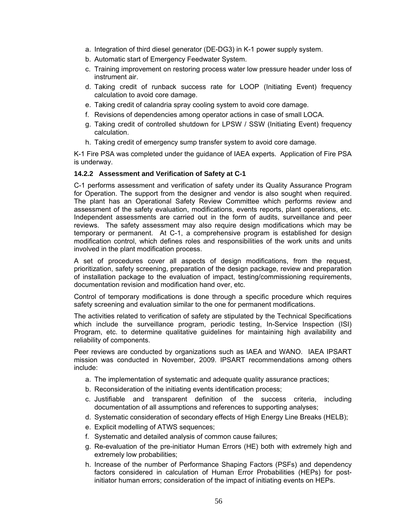- a. Integration of third diesel generator (DE-DG3) in K-1 power supply system.
- b. Automatic start of Emergency Feedwater System.
- c. Training improvement on restoring process water low pressure header under loss of instrument air.
- d. Taking credit of runback success rate for LOOP (Initiating Event) frequency calculation to avoid core damage.
- e. Taking credit of calandria spray cooling system to avoid core damage.
- f. Revisions of dependencies among operator actions in case of small LOCA.
- g. Taking credit of controlled shutdown for LPSW / SSW (Initiating Event) frequency calculation.
- h. Taking credit of emergency sump transfer system to avoid core damage.

K-1 Fire PSA was completed under the guidance of IAEA experts. Application of Fire PSA is underway.

#### **14.2.2 Assessment and Verification of Safety at C-1**

C-1 performs assessment and verification of safety under its Quality Assurance Program for Operation. The support from the designer and vendor is also sought when required. The plant has an Operational Safety Review Committee which performs review and assessment of the safety evaluation, modifications, events reports, plant operations, etc. Independent assessments are carried out in the form of audits, surveillance and peer reviews. The safety assessment may also require design modifications which may be temporary or permanent. At C-1, a comprehensive program is established for design modification control, which defines roles and responsibilities of the work units and units involved in the plant modification process.

A set of procedures cover all aspects of design modifications, from the request, prioritization, safety screening, preparation of the design package, review and preparation of installation package to the evaluation of impact, testing/commissioning requirements, documentation revision and modification hand over, etc.

Control of temporary modifications is done through a specific procedure which requires safety screening and evaluation similar to the one for permanent modifications.

The activities related to verification of safety are stipulated by the Technical Specifications which include the surveillance program, periodic testing, In-Service Inspection (ISI) Program, etc. to determine qualitative guidelines for maintaining high availability and reliability of components.

Peer reviews are conducted by organizations such as IAEA and WANO. IAEA IPSART mission was conducted in November, 2009. IPSART recommendations among others include:

- a. The implementation of systematic and adequate quality assurance practices;
- b. Reconsideration of the initiating events identification process;
- c. Justifiable and transparent definition of the success criteria, including documentation of all assumptions and references to supporting analyses;
- d. Systematic consideration of secondary effects of High Energy Line Breaks (HELB);
- e. Explicit modelling of ATWS sequences;
- f. Systematic and detailed analysis of common cause failures;
- g. Re-evaluation of the pre-initiator Human Errors (HE) both with extremely high and extremely low probabilities;
- h. Increase of the number of Performance Shaping Factors (PSFs) and dependency factors considered in calculation of Human Error Probabilities (HEPs) for postinitiator human errors; consideration of the impact of initiating events on HEPs.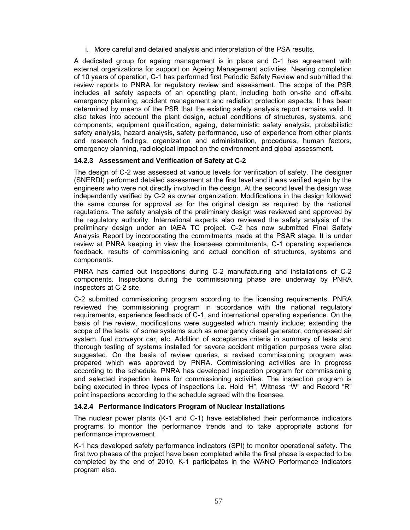i. More careful and detailed analysis and interpretation of the PSA results.

A dedicated group for ageing management is in place and C-1 has agreement with external organizations for support on Ageing Management activities. Nearing completion of 10 years of operation, C-1 has performed first Periodic Safety Review and submitted the review reports to PNRA for regulatory review and assessment. The scope of the PSR includes all safety aspects of an operating plant, including both on-site and off-site emergency planning, accident management and radiation protection aspects. It has been determined by means of the PSR that the existing safety analysis report remains valid. It also takes into account the plant design, actual conditions of structures, systems, and components, equipment qualification, ageing, deterministic safety analysis, probabilistic safety analysis, hazard analysis, safety performance, use of experience from other plants and research findings, organization and administration, procedures, human factors, emergency planning, radiological impact on the environment and global assessment.

## **14.2.3 Assessment and Verification of Safety at C-2**

The design of C-2 was assessed at various levels for verification of safety. The designer (SNERDI) performed detailed assessment at the first level and it was verified again by the engineers who were not directly involved in the design. At the second level the design was independently verified by C-2 as owner organization. Modifications in the design followed the same course for approval as for the original design as required by the national regulations. The safety analysis of the preliminary design was reviewed and approved by the regulatory authority. International experts also reviewed the safety analysis of the preliminary design under an IAEA TC project. C-2 has now submitted Final Safety Analysis Report by incorporating the commitments made at the PSAR stage. It is under review at PNRA keeping in view the licensees commitments, C-1 operating experience feedback, results of commissioning and actual condition of structures, systems and components.

PNRA has carried out inspections during C-2 manufacturing and installations of C-2 components. Inspections during the commissioning phase are underway by PNRA inspectors at C-2 site.

C-2 submitted commissioning program according to the licensing requirements. PNRA reviewed the commissioning program in accordance with the national regulatory requirements, experience feedback of C-1, and international operating experience. On the basis of the review, modifications were suggested which mainly include; extending the scope of the tests of some systems such as emergency diesel generator, compressed air system, fuel conveyor car, etc. Addition of acceptance criteria in summary of tests and thorough testing of systems installed for severe accident mitigation purposes were also suggested. On the basis of review queries, a revised commissioning program was prepared which was approved by PNRA. Commissioning activities are in progress according to the schedule. PNRA has developed inspection program for commissioning and selected inspection items for commissioning activities. The inspection program is being executed in three types of inspections i.e. Hold "H", Witness "W" and Record "R" point inspections according to the schedule agreed with the licensee.

## **14.2.4 Performance Indicators Program of Nuclear Installations**

The nuclear power plants (K-1 and C-1) have established their performance indicators programs to monitor the performance trends and to take appropriate actions for performance improvement.

K-1 has developed safety performance indicators (SPI) to monitor operational safety. The first two phases of the project have been completed while the final phase is expected to be completed by the end of 2010. K-1 participates in the WANO Performance Indicators program also.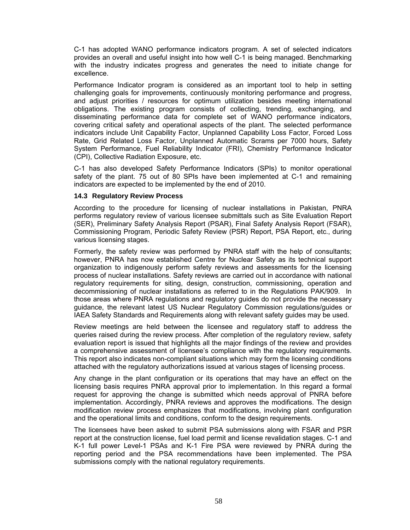C-1 has adopted WANO performance indicators program. A set of selected indicators provides an overall and useful insight into how well C-1 is being managed. Benchmarking with the industry indicates progress and generates the need to initiate change for excellence.

Performance Indicator program is considered as an important tool to help in setting challenging goals for improvements, continuously monitoring performance and progress, and adjust priorities / resources for optimum utilization besides meeting international obligations. The existing program consists of collecting, trending, exchanging, and disseminating performance data for complete set of WANO performance indicators, covering critical safety and operational aspects of the plant. The selected performance indicators include Unit Capability Factor, Unplanned Capability Loss Factor, Forced Loss Rate, Grid Related Loss Factor, Unplanned Automatic Scrams per 7000 hours, Safety System Performance, Fuel Reliability Indicator (FRI), Chemistry Performance Indicator (CPI), Collective Radiation Exposure, etc.

C-1 has also developed Safety Performance Indicators (SPIs) to monitor operational safety of the plant. 75 out of 80 SPIs have been implemented at C-1 and remaining indicators are expected to be implemented by the end of 2010.

#### **14.3 Regulatory Review Process**

According to the procedure for licensing of nuclear installations in Pakistan, PNRA performs regulatory review of various licensee submittals such as Site Evaluation Report (SER), Preliminary Safety Analysis Report (PSAR), Final Safety Analysis Report (FSAR), Commissioning Program, Periodic Safety Review (PSR) Report, PSA Report, etc., during various licensing stages.

Formerly, the safety review was performed by PNRA staff with the help of consultants; however, PNRA has now established Centre for Nuclear Safety as its technical support organization to indigenously perform safety reviews and assessments for the licensing process of nuclear installations. Safety reviews are carried out in accordance with national regulatory requirements for siting, design, construction, commissioning, operation and decommissioning of nuclear installations as referred to in the Regulations PAK/909. In those areas where PNRA regulations and regulatory guides do not provide the necessary guidance, the relevant latest US Nuclear Regulatory Commission regulations/guides or IAEA Safety Standards and Requirements along with relevant safety guides may be used.

Review meetings are held between the licensee and regulatory staff to address the queries raised during the review process. After completion of the regulatory review, safety evaluation report is issued that highlights all the major findings of the review and provides a comprehensive assessment of licensee's compliance with the regulatory requirements. This report also indicates non-compliant situations which may form the licensing conditions attached with the regulatory authorizations issued at various stages of licensing process.

Any change in the plant configuration or its operations that may have an effect on the licensing basis requires PNRA approval prior to implementation. In this regard a formal request for approving the change is submitted which needs approval of PNRA before implementation. Accordingly, PNRA reviews and approves the modifications. The design modification review process emphasizes that modifications, involving plant configuration and the operational limits and conditions, conform to the design requirements.

The licensees have been asked to submit PSA submissions along with FSAR and PSR report at the construction license, fuel load permit and license revalidation stages. C-1 and K-1 full power Level-1 PSAs and K-1 Fire PSA were reviewed by PNRA during the reporting period and the PSA recommendations have been implemented. The PSA submissions comply with the national regulatory requirements.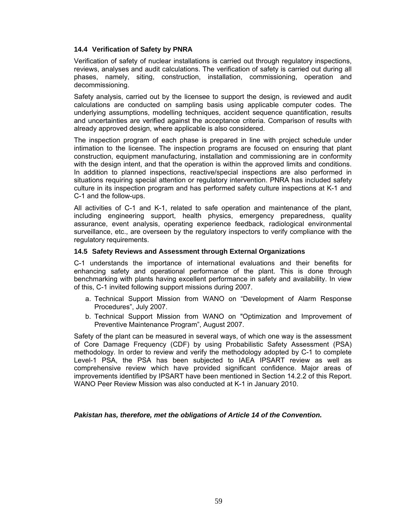### **14.4 Verification of Safety by PNRA**

Verification of safety of nuclear installations is carried out through regulatory inspections, reviews, analyses and audit calculations. The verification of safety is carried out during all phases, namely, siting, construction, installation, commissioning, operation and decommissioning.

Safety analysis, carried out by the licensee to support the design, is reviewed and audit calculations are conducted on sampling basis using applicable computer codes. The underlying assumptions, modelling techniques, accident sequence quantification, results and uncertainties are verified against the acceptance criteria. Comparison of results with already approved design, where applicable is also considered.

The inspection program of each phase is prepared in line with project schedule under intimation to the licensee. The inspection programs are focused on ensuring that plant construction, equipment manufacturing, installation and commissioning are in conformity with the design intent, and that the operation is within the approved limits and conditions. In addition to planned inspections, reactive/special inspections are also performed in situations requiring special attention or regulatory intervention. PNRA has included safety culture in its inspection program and has performed safety culture inspections at K-1 and C-1 and the follow-ups.

All activities of C-1 and K-1, related to safe operation and maintenance of the plant, including engineering support, health physics, emergency preparedness, quality assurance, event analysis, operating experience feedback, radiological environmental surveillance, etc., are overseen by the regulatory inspectors to verify compliance with the regulatory requirements.

#### **14.5 Safety Reviews and Assessment through External Organizations**

C-1 understands the importance of international evaluations and their benefits for enhancing safety and operational performance of the plant. This is done through benchmarking with plants having excellent performance in safety and availability. In view of this, C-1 invited following support missions during 2007.

- a. Technical Support Mission from WANO on "Development of Alarm Response Procedures", July 2007.
- b. Technical Support Mission from WANO on "Optimization and Improvement of Preventive Maintenance Program", August 2007.

Safety of the plant can be measured in several ways, of which one way is the assessment of Core Damage Frequency (CDF) by using Probabilistic Safety Assessment (PSA) methodology. In order to review and verify the methodology adopted by C-1 to complete Level-1 PSA, the PSA has been subjected to IAEA IPSART review as well as comprehensive review which have provided significant confidence. Major areas of improvements identified by IPSART have been mentioned in Section 14.2.2 of this Report. WANO Peer Review Mission was also conducted at K-1 in January 2010.

*Pakistan has, therefore, met the obligations of Article 14 of the Convention.*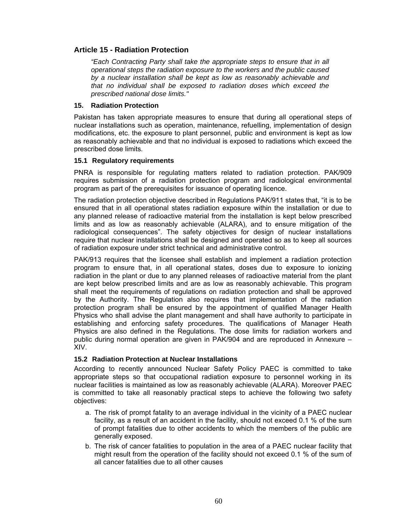# **Article 15 - Radiation Protection**

*"Each Contracting Party shall take the appropriate steps to ensure that in all operational steps the radiation exposure to the workers and the public caused by a nuclear installation shall be kept as low as reasonably achievable and that no individual shall be exposed to radiation doses which exceed the prescribed national dose limits."* 

#### **15. Radiation Protection**

Pakistan has taken appropriate measures to ensure that during all operational steps of nuclear installations such as operation, maintenance, refuelling, implementation of design modifications, etc. the exposure to plant personnel, public and environment is kept as low as reasonably achievable and that no individual is exposed to radiations which exceed the prescribed dose limits.

#### **15.1 Regulatory requirements**

PNRA is responsible for regulating matters related to radiation protection. PAK/909 requires submission of a radiation protection program and radiological environmental program as part of the prerequisites for issuance of operating licence.

The radiation protection objective described in Regulations PAK/911 states that, "it is to be ensured that in all operational states radiation exposure within the installation or due to any planned release of radioactive material from the installation is kept below prescribed limits and as low as reasonably achievable (ALARA), and to ensure mitigation of the radiological consequences". The safety objectives for design of nuclear installations require that nuclear installations shall be designed and operated so as to keep all sources of radiation exposure under strict technical and administrative control.

PAK/913 requires that the licensee shall establish and implement a radiation protection program to ensure that, in all operational states, doses due to exposure to ionizing radiation in the plant or due to any planned releases of radioactive material from the plant are kept below prescribed limits and are as low as reasonably achievable. This program shall meet the requirements of regulations on radiation protection and shall be approved by the Authority. The Regulation also requires that implementation of the radiation protection program shall be ensured by the appointment of qualified Manager Health Physics who shall advise the plant management and shall have authority to participate in establishing and enforcing safety procedures. The qualifications of Manager Heath Physics are also defined in the Regulations. The dose limits for radiation workers and public during normal operation are given in PAK/904 and are reproduced in Annexure – XIV.

## **15.2 Radiation Protection at Nuclear Installations**

According to recently announced Nuclear Safety Policy PAEC is committed to take appropriate steps so that occupational radiation exposure to personnel working in its nuclear facilities is maintained as low as reasonably achievable (ALARA). Moreover PAEC is committed to take all reasonably practical steps to achieve the following two safety objectives:

- a. The risk of prompt fatality to an average individual in the vicinity of a PAEC nuclear facility, as a result of an accident in the facility, should not exceed 0.1 % of the sum of prompt fatalities due to other accidents to which the members of the public are generally exposed.
- b. The risk of cancer fatalities to population in the area of a PAEC nuclear facility that might result from the operation of the facility should not exceed 0.1 % of the sum of all cancer fatalities due to all other causes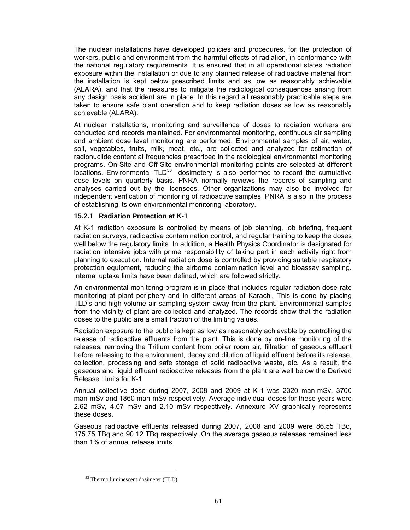The nuclear installations have developed policies and procedures, for the protection of workers, public and environment from the harmful effects of radiation, in conformance with the national regulatory requirements. It is ensured that in all operational states radiation exposure within the installation or due to any planned release of radioactive material from the installation is kept below prescribed limits and as low as reasonably achievable (ALARA), and that the measures to mitigate the radiological consequences arising from any design basis accident are in place. In this regard all reasonably practicable steps are taken to ensure safe plant operation and to keep radiation doses as low as reasonably achievable (ALARA).

At nuclear installations, monitoring and surveillance of doses to radiation workers are conducted and records maintained. For environmental monitoring, continuous air sampling and ambient dose level monitoring are performed. Environmental samples of air, water, soil, vegetables, fruits, milk, meat, etc., are collected and analyzed for estimation of radionuclide content at frequencies prescribed in the radiological environmental monitoring programs. On-Site and Off-Site environmental monitoring points are selected at different  $locations$ . Environmental TLD $^{33}$  dosimetery is also performed to record the cumulative dose levels on quarterly basis. PNRA normally reviews the records of sampling and analyses carried out by the licensees. Other organizations may also be involved for independent verification of monitoring of radioactive samples. PNRA is also in the process of establishing its own environmental monitoring laboratory.

#### **15.2.1 Radiation Protection at K-1**

At K-1 radiation exposure is controlled by means of job planning, job briefing, frequent radiation surveys, radioactive contamination control, and regular training to keep the doses well below the regulatory limits. In addition, a Health Physics Coordinator is designated for radiation intensive jobs with prime responsibility of taking part in each activity right from planning to execution. Internal radiation dose is controlled by providing suitable respiratory protection equipment, reducing the airborne contamination level and bioassay sampling. Internal uptake limits have been defined, which are followed strictly.

An environmental monitoring program is in place that includes regular radiation dose rate monitoring at plant periphery and in different areas of Karachi. This is done by placing TLD's and high volume air sampling system away from the plant. Environmental samples from the vicinity of plant are collected and analyzed. The records show that the radiation doses to the public are a small fraction of the limiting values.

Radiation exposure to the public is kept as low as reasonably achievable by controlling the release of radioactive effluents from the plant. This is done by on-line monitoring of the releases, removing the Tritium content from boiler room air, filtration of gaseous effluent before releasing to the environment, decay and dilution of liquid effluent before its release, collection, processing and safe storage of solid radioactive waste, etc. As a result, the gaseous and liquid effluent radioactive releases from the plant are well below the Derived Release Limits for K-1.

Annual collective dose during 2007, 2008 and 2009 at K-1 was 2320 man-mSv, 3700 man-mSv and 1860 man-mSv respectively. Average individual doses for these years were 2.62 mSv, 4.07 mSv and 2.10 mSv respectively. Annexure–XV graphically represents these doses.

Gaseous radioactive effluents released during 2007, 2008 and 2009 were 86.55 TBq, 175.75 TBq and 90.12 TBq respectively. On the average gaseous releases remained less than 1% of annual release limits.

 $\overline{a}$ 

<sup>33</sup> Thermo luminescent dosimeter (TLD)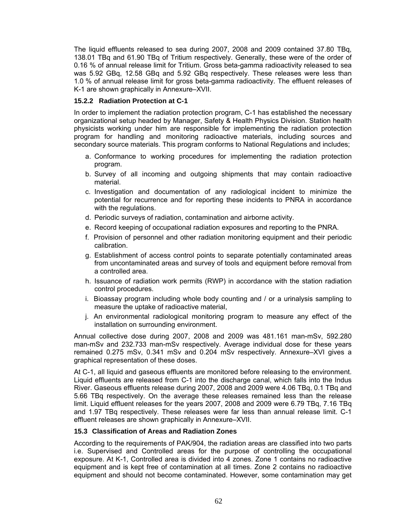The liquid effluents released to sea during 2007, 2008 and 2009 contained 37.80 TBq, 138.01 TBq and 61.90 TBq of Tritium respectively. Generally, these were of the order of 0.16 % of annual release limit for Tritium. Gross beta-gamma radioactivity released to sea was 5.92 GBq, 12.58 GBq and 5.92 GBq respectively. These releases were less than 1.0 % of annual release limit for gross beta-gamma radioactivity. The effluent releases of K-1 are shown graphically in Annexure–XVII.

# **15.2.2 Radiation Protection at C-1**

In order to implement the radiation protection program, C-1 has established the necessary organizational setup headed by Manager, Safety & Health Physics Division. Station health physicists working under him are responsible for implementing the radiation protection program for handling and monitoring radioactive materials, including sources and secondary source materials. This program conforms to National Regulations and includes;

- a. Conformance to working procedures for implementing the radiation protection program.
- b. Survey of all incoming and outgoing shipments that may contain radioactive material.
- c. Investigation and documentation of any radiological incident to minimize the potential for recurrence and for reporting these incidents to PNRA in accordance with the regulations.
- d. Periodic surveys of radiation, contamination and airborne activity.
- e. Record keeping of occupational radiation exposures and reporting to the PNRA.
- f. Provision of personnel and other radiation monitoring equipment and their periodic calibration.
- g. Establishment of access control points to separate potentially contaminated areas from uncontaminated areas and survey of tools and equipment before removal from a controlled area.
- h. Issuance of radiation work permits (RWP) in accordance with the station radiation control procedures.
- i. Bioassay program including whole body counting and / or a urinalysis sampling to measure the uptake of radioactive material,
- j. An environmental radiological monitoring program to measure any effect of the installation on surrounding environment.

Annual collective dose during 2007, 2008 and 2009 was 481.161 man-mSv, 592.280 man-mSv and 232.733 man-mSv respectively. Average individual dose for these years remained 0.275 mSv, 0.341 mSv and 0.204 mSv respectively. Annexure–XVI gives a graphical representation of these doses.

At C-1, all liquid and gaseous effluents are monitored before releasing to the environment. Liquid effluents are released from C-1 into the discharge canal, which falls into the Indus River. Gaseous effluents release during 2007, 2008 and 2009 were 4.06 TBq, 0.1 TBq and 5.66 TBq respectively. On the average these releases remained less than the release limit. Liquid effluent releases for the years 2007, 2008 and 2009 were 6.79 TBq, 7.16 TBq and 1.97 TBq respectively. These releases were far less than annual release limit. C-1 effluent releases are shown graphically in Annexure–XVII.

## **15.3 Classification of Areas and Radiation Zones**

According to the requirements of PAK/904, the radiation areas are classified into two parts i.e. Supervised and Controlled areas for the purpose of controlling the occupational exposure. At K-1, Controlled area is divided into 4 zones. Zone 1 contains no radioactive equipment and is kept free of contamination at all times. Zone 2 contains no radioactive equipment and should not become contaminated. However, some contamination may get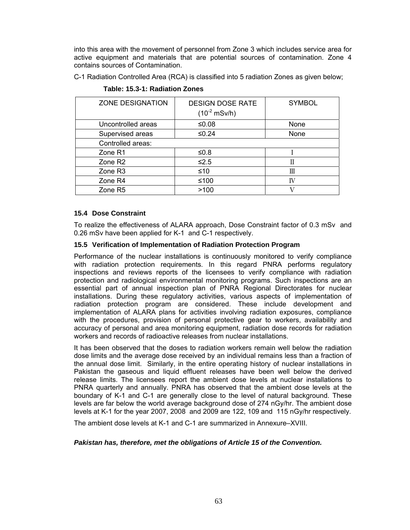into this area with the movement of personnel from Zone 3 which includes service area for active equipment and materials that are potential sources of contamination. Zone 4 contains sources of Contamination.

C-1 Radiation Controlled Area (RCA) is classified into 5 radiation Zones as given below;

| <b>ZONE DESIGNATION</b> | <b>DESIGN DOSE RATE</b><br>$(10^{-2} \text{ mSv/h})$ | <b>SYMBOL</b> |
|-------------------------|------------------------------------------------------|---------------|
| Uncontrolled areas      | ≤0.08                                                | None          |
| Supervised areas        | $≤0.24$                                              | None          |
| Controlled areas:       |                                                      |               |
| Zone R1                 | ≤0.8                                                 |               |
| Zone R <sub>2</sub>     | $≤2.5$                                               | Π             |
| Zone R3                 | $≤10$                                                | Ш             |
| Zone R4                 | ≤100                                                 | IV            |
| Zone R5                 | >100                                                 |               |

**Table: 15.3-1: Radiation Zones** 

## **15.4 Dose Constraint**

To realize the effectiveness of ALARA approach, Dose Constraint factor of 0.3 mSv and 0.26 mSv have been applied for K-1 and C-1 respectively.

## **15.5 Verification of Implementation of Radiation Protection Program**

Performance of the nuclear installations is continuously monitored to verify compliance with radiation protection requirements. In this regard PNRA performs regulatory inspections and reviews reports of the licensees to verify compliance with radiation protection and radiological environmental monitoring programs. Such inspections are an essential part of annual inspection plan of PNRA Regional Directorates for nuclear installations. During these regulatory activities, various aspects of implementation of radiation protection program are considered. These include development and implementation of ALARA plans for activities involving radiation exposures, compliance with the procedures, provision of personal protective gear to workers, availability and accuracy of personal and area monitoring equipment, radiation dose records for radiation workers and records of radioactive releases from nuclear installations.

It has been observed that the doses to radiation workers remain well below the radiation dose limits and the average dose received by an individual remains less than a fraction of the annual dose limit. Similarly, in the entire operating history of nuclear installations in Pakistan the gaseous and liquid effluent releases have been well below the derived release limits. The licensees report the ambient dose levels at nuclear installations to PNRA quarterly and annually. PNRA has observed that the ambient dose levels at the boundary of K-1 and C-1 are generally close to the level of natural background. These levels are far below the world average background dose of 274 nGy/hr. The ambient dose levels at K-1 for the year 2007, 2008 and 2009 are 122, 109 and 115 nGy/hr respectively.

The ambient dose levels at K-1 and C-1 are summarized in Annexure–XVIII.

## *Pakistan has, therefore, met the obligations of Article 15 of the Convention.*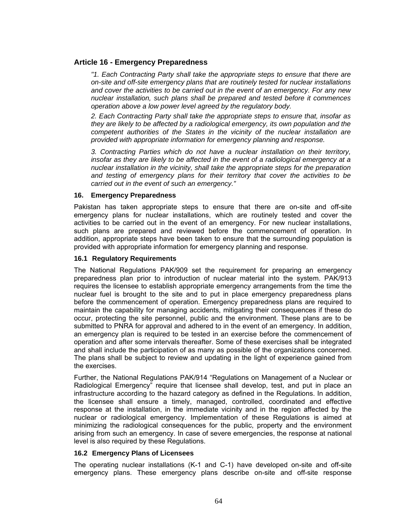# **Article 16 - Emergency Preparedness**

*"1. Each Contracting Party shall take the appropriate steps to ensure that there are on-site and off-site emergency plans that are routinely tested for nuclear installations and cover the activities to be carried out in the event of an emergency. For any new nuclear installation, such plans shall be prepared and tested before it commences operation above a low power level agreed by the regulatory body.* 

*2. Each Contracting Party shall take the appropriate steps to ensure that, insofar as they are likely to be affected by a radiological emergency, its own population and the competent authorities of the States in the vicinity of the nuclear installation are provided with appropriate information for emergency planning and response.* 

*3. Contracting Parties which do not have a nuclear installation on their territory, insofar as they are likely to be affected in the event of a radiological emergency at a nuclear installation in the vicinity, shall take the appropriate steps for the preparation and testing of emergency plans for their territory that cover the activities to be carried out in the event of such an emergency."*

#### **16. Emergency Preparedness**

Pakistan has taken appropriate steps to ensure that there are on-site and off-site emergency plans for nuclear installations, which are routinely tested and cover the activities to be carried out in the event of an emergency. For new nuclear installations, such plans are prepared and reviewed before the commencement of operation. In addition, appropriate steps have been taken to ensure that the surrounding population is provided with appropriate information for emergency planning and response.

#### **16.1 Regulatory Requirements**

The National Regulations PAK/909 set the requirement for preparing an emergency preparedness plan prior to introduction of nuclear material into the system. PAK/913 requires the licensee to establish appropriate emergency arrangements from the time the nuclear fuel is brought to the site and to put in place emergency preparedness plans before the commencement of operation. Emergency preparedness plans are required to maintain the capability for managing accidents, mitigating their consequences if these do occur, protecting the site personnel, public and the environment. These plans are to be submitted to PNRA for approval and adhered to in the event of an emergency. In addition, an emergency plan is required to be tested in an exercise before the commencement of operation and after some intervals thereafter. Some of these exercises shall be integrated and shall include the participation of as many as possible of the organizations concerned. The plans shall be subject to review and updating in the light of experience gained from the exercises.

Further, the National Regulations PAK/914 "Regulations on Management of a Nuclear or Radiological Emergency" require that licensee shall develop, test, and put in place an infrastructure according to the hazard category as defined in the Regulations. In addition, the licensee shall ensure a timely, managed, controlled, coordinated and effective response at the installation, in the immediate vicinity and in the region affected by the nuclear or radiological emergency. Implementation of these Regulations is aimed at minimizing the radiological consequences for the public, property and the environment arising from such an emergency. In case of severe emergencies, the response at national level is also required by these Regulations.

## **16.2 Emergency Plans of Licensees**

The operating nuclear installations (K-1 and C-1) have developed on-site and off-site emergency plans. These emergency plans describe on-site and off-site response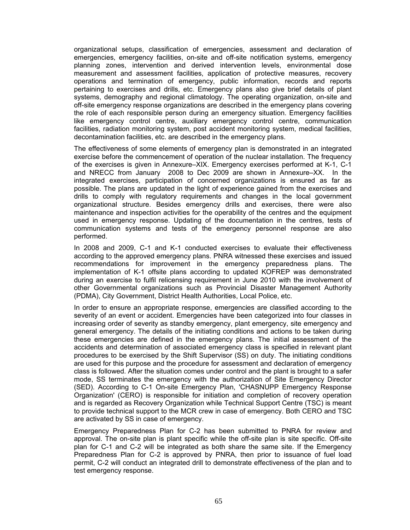organizational setups, classification of emergencies, assessment and declaration of emergencies, emergency facilities, on-site and off-site notification systems, emergency planning zones, intervention and derived intervention levels, environmental dose measurement and assessment facilities, application of protective measures, recovery operations and termination of emergency, public information, records and reports pertaining to exercises and drills, etc. Emergency plans also give brief details of plant systems, demography and regional climatology. The operating organization, on-site and off-site emergency response organizations are described in the emergency plans covering the role of each responsible person during an emergency situation. Emergency facilities like emergency control centre, auxiliary emergency control centre, communication facilities, radiation monitoring system, post accident monitoring system, medical facilities, decontamination facilities, etc. are described in the emergency plans.

The effectiveness of some elements of emergency plan is demonstrated in an integrated exercise before the commencement of operation of the nuclear installation. The frequency of the exercises is given in Annexure–XIX. Emergency exercises performed at K-1, C-1 and NRECC from January 2008 to Dec 2009 are shown in Annexure–XX. In the integrated exercises, participation of concerned organizations is ensured as far as possible. The plans are updated in the light of experience gained from the exercises and drills to comply with regulatory requirements and changes in the local government organizational structure. Besides emergency drills and exercises, there were also maintenance and inspection activities for the operability of the centres and the equipment used in emergency response. Updating of the documentation in the centres, tests of communication systems and tests of the emergency personnel response are also performed.

In 2008 and 2009, C-1 and K-1 conducted exercises to evaluate their effectiveness according to the approved emergency plans. PNRA witnessed these exercises and issued recommendations for improvement in the emergency preparedness plans. The implementation of K-1 offsite plans according to updated KOFREP was demonstrated during an exercise to fulfil relicensing requirement in June 2010 with the involvement of other Governmental organizations such as Provincial Disaster Management Authority (PDMA), City Government, District Health Authorities, Local Police, etc.

In order to ensure an appropriate response, emergencies are classified according to the severity of an event or accident. Emergencies have been categorized into four classes in increasing order of severity as standby emergency, plant emergency, site emergency and general emergency. The details of the initiating conditions and actions to be taken during these emergencies are defined in the emergency plans. The initial assessment of the accidents and determination of associated emergency class is specified in relevant plant procedures to be exercised by the Shift Supervisor (SS) on duty. The initiating conditions are used for this purpose and the procedure for assessment and declaration of emergency class is followed. After the situation comes under control and the plant is brought to a safer mode, SS terminates the emergency with the authorization of Site Emergency Director (SED). According to C-1 On-site Emergency Plan, 'CHASNUPP Emergency Response Organization' (CERO) is responsible for initiation and completion of recovery operation and is regarded as Recovery Organization while Technical Support Centre (TSC) is meant to provide technical support to the MCR crew in case of emergency. Both CERO and TSC are activated by SS in case of emergency.

Emergency Preparedness Plan for C-2 has been submitted to PNRA for review and approval. The on-site plan is plant specific while the off-site plan is site specific. Off-site plan for C-1 and C-2 will be integrated as both share the same site. If the Emergency Preparedness Plan for C-2 is approved by PNRA, then prior to issuance of fuel load permit, C-2 will conduct an integrated drill to demonstrate effectiveness of the plan and to test emergency response.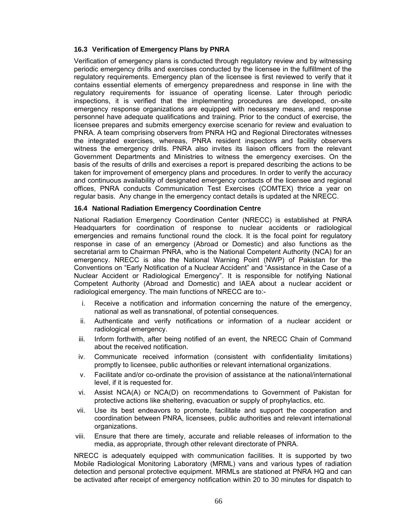### **16.3 Verification of Emergency Plans by PNRA**

Verification of emergency plans is conducted through regulatory review and by witnessing periodic emergency drills and exercises conducted by the licensee in the fulfillment of the regulatory requirements. Emergency plan of the licensee is first reviewed to verify that it contains essential elements of emergency preparedness and response in line with the regulatory requirements for issuance of operating license. Later through periodic inspections, it is verified that the implementing procedures are developed, on-site emergency response organizations are equipped with necessary means, and response personnel have adequate qualifications and training. Prior to the conduct of exercise, the licensee prepares and submits emergency exercise scenario for review and evaluation to PNRA. A team comprising observers from PNRA HQ and Regional Directorates witnesses the integrated exercises, whereas, PNRA resident inspectors and facility observers witness the emergency drills. PNRA also invites its liaison officers from the relevant Government Departments and Ministries to witness the emergency exercises. On the basis of the results of drills and exercises a report is prepared describing the actions to be taken for improvement of emergency plans and procedures. In order to verify the accuracy and continuous availability of designated emergency contacts of the licensee and regional offices, PNRA conducts Communication Test Exercises (COMTEX) thrice a year on regular basis. Any change in the emergency contact details is updated at the NRECC.

#### **16.4 National Radiation Emergency Coordination Centre**

National Radiation Emergency Coordination Center (NRECC) is established at PNRA Headquarters for coordination of response to nuclear accidents or radiological emergencies and remains functional round the clock. It is the focal point for regulatory response in case of an emergency (Abroad or Domestic) and also functions as the secretarial arm to Chairman PNRA, who is the National Competent Authority (NCA) for an emergency. NRECC is also the National Warning Point (NWP) of Pakistan for the Conventions on "Early Notification of a Nuclear Accident" and "Assistance in the Case of a Nuclear Accident or Radiological Emergency". It is responsible for notifying National Competent Authority (Abroad and Domestic) and IAEA about a nuclear accident or radiological emergency. The main functions of NRECC are to:-

- i. Receive a notification and information concerning the nature of the emergency, national as well as transnational, of potential consequences.
- ii. Authenticate and verify notifications or information of a nuclear accident or radiological emergency.
- iii. Inform forthwith, after being notified of an event, the NRECC Chain of Command about the received notification.
- iv. Communicate received information (consistent with confidentiality limitations) promptly to licensee, public authorities or relevant international organizations.
- v. Facilitate and/or co-ordinate the provision of assistance at the national/international level, if it is requested for.
- vi. Assist NCA(A) or NCA(D) on recommendations to Government of Pakistan for protective actions like sheltering, evacuation or supply of prophylactics, etc.
- vii. Use its best endeavors to promote, facilitate and support the cooperation and coordination between PNRA, licensees, public authorities and relevant international organizations.
- viii. Ensure that there are timely, accurate and reliable releases of information to the media, as appropriate, through other relevant directorate of PNRA.

NRECC is adequately equipped with communication facilities. It is supported by two Mobile Radiological Monitoring Laboratory (MRML) vans and various types of radiation detection and personal protective equipment. MRMLs are stationed at PNRA HQ and can be activated after receipt of emergency notification within 20 to 30 minutes for dispatch to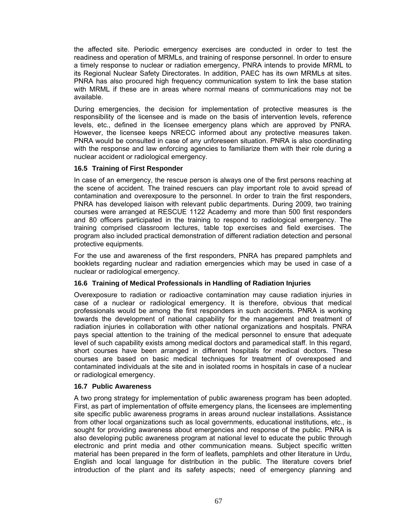the affected site. Periodic emergency exercises are conducted in order to test the readiness and operation of MRMLs, and training of response personnel. In order to ensure a timely response to nuclear or radiation emergency, PNRA intends to provide MRML to its Regional Nuclear Safety Directorates. In addition, PAEC has its own MRMLs at sites. PNRA has also procured high frequency communication system to link the base station with MRML if these are in areas where normal means of communications may not be available.

During emergencies, the decision for implementation of protective measures is the responsibility of the licensee and is made on the basis of intervention levels, reference levels, etc., defined in the licensee emergency plans which are approved by PNRA. However, the licensee keeps NRECC informed about any protective measures taken. PNRA would be consulted in case of any unforeseen situation. PNRA is also coordinating with the response and law enforcing agencies to familiarize them with their role during a nuclear accident or radiological emergency.

#### **16.5 Training of First Responder**

In case of an emergency, the rescue person is always one of the first persons reaching at the scene of accident. The trained rescuers can play important role to avoid spread of contamination and overexposure to the personnel. In order to train the first responders, PNRA has developed liaison with relevant public departments. During 2009, two training courses were arranged at RESCUE 1122 Academy and more than 500 first responders and 80 officers participated in the training to respond to radiological emergency. The training comprised classroom lectures, table top exercises and field exercises. The program also included practical demonstration of different radiation detection and personal protective equipments.

For the use and awareness of the first responders, PNRA has prepared pamphlets and booklets regarding nuclear and radiation emergencies which may be used in case of a nuclear or radiological emergency.

# **16.6 Training of Medical Professionals in Handling of Radiation Injuries**

Overexposure to radiation or radioactive contamination may cause radiation injuries in case of a nuclear or radiological emergency. It is therefore, obvious that medical professionals would be among the first responders in such accidents. PNRA is working towards the development of national capability for the management and treatment of radiation injuries in collaboration with other national organizations and hospitals. PNRA pays special attention to the training of the medical personnel to ensure that adequate level of such capability exists among medical doctors and paramedical staff. In this regard, short courses have been arranged in different hospitals for medical doctors. These courses are based on basic medical techniques for treatment of overexposed and contaminated individuals at the site and in isolated rooms in hospitals in case of a nuclear or radiological emergency.

#### **16.7 Public Awareness**

A two prong strategy for implementation of public awareness program has been adopted. First, as part of implementation of offsite emergency plans, the licensees are implementing site specific public awareness programs in areas around nuclear installations. Assistance from other local organizations such as local governments, educational institutions, etc., is sought for providing awareness about emergencies and response of the public. PNRA is also developing public awareness program at national level to educate the public through electronic and print media and other communication means. Subject specific written material has been prepared in the form of leaflets, pamphlets and other literature in Urdu, English and local language for distribution in the public. The literature covers brief introduction of the plant and its safety aspects; need of emergency planning and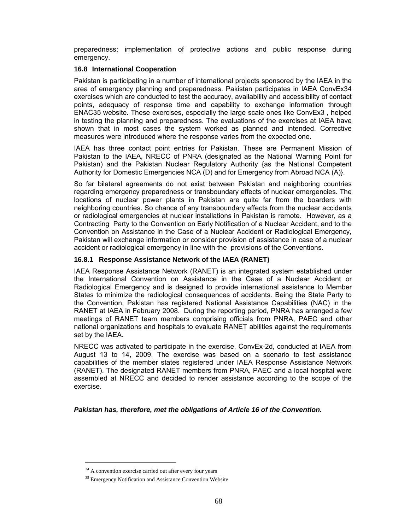preparedness; implementation of protective actions and public response during emergency.

# **16.8 International Cooperation**

Pakistan is participating in a number of international projects sponsored by the IAEA in the area of emergency planning and preparedness. Pakistan participates in IAEA ConvEx34 exercises which are conducted to test the accuracy, availability and accessibility of contact points, adequacy of response time and capability to exchange information through ENAC35 website. These exercises, especially the large scale ones like ConvEx3 , helped in testing the planning and preparedness. The evaluations of the exercises at IAEA have shown that in most cases the system worked as planned and intended. Corrective measures were introduced where the response varies from the expected one.

IAEA has three contact point entries for Pakistan. These are Permanent Mission of Pakistan to the IAEA, NRECC of PNRA (designated as the National Warning Point for Pakistan) and the Pakistan Nuclear Regulatory Authority {as the National Competent Authority for Domestic Emergencies NCA (D) and for Emergency from Abroad NCA (A)}.

So far bilateral agreements do not exist between Pakistan and neighboring countries regarding emergency preparedness or transboundary effects of nuclear emergencies. The locations of nuclear power plants in Pakistan are quite far from the boarders with neighboring countries. So chance of any transboundary effects from the nuclear accidents or radiological emergencies at nuclear installations in Pakistan is remote. However, as a Contracting Party to the Convention on Early Notification of a Nuclear Accident, and to the Convention on Assistance in the Case of a Nuclear Accident or Radiological Emergency, Pakistan will exchange information or consider provision of assistance in case of a nuclear accident or radiological emergency in line with the provisions of the Conventions.

# **16.8.1 Response Assistance Network of the IAEA (RANET)**

IAEA Response Assistance Network (RANET) is an integrated system established under the International Convention on Assistance in the Case of a Nuclear Accident or Radiological Emergency and is designed to provide international assistance to Member States to minimize the radiological consequences of accidents. Being the State Party to the Convention, Pakistan has registered National Assistance Capabilities (NAC) in the RANET at IAEA in February 2008. During the reporting period, PNRA has arranged a few meetings of RANET team members comprising officials from PNRA, PAEC and other national organizations and hospitals to evaluate RANET abilities against the requirements set by the IAEA.

NRECC was activated to participate in the exercise, ConvEx-2d, conducted at IAEA from August 13 to 14, 2009. The exercise was based on a scenario to test assistance capabilities of the member states registered under IAEA Response Assistance Network (RANET). The designated RANET members from PNRA, PAEC and a local hospital were assembled at NRECC and decided to render assistance according to the scope of the exercise.

*Pakistan has, therefore, met the obligations of Article 16 of the Convention.* 

 $\overline{a}$ 

<sup>&</sup>lt;sup>34</sup> A convention exercise carried out after every four years

<sup>&</sup>lt;sup>35</sup> Emergency Notification and Assistance Convention Website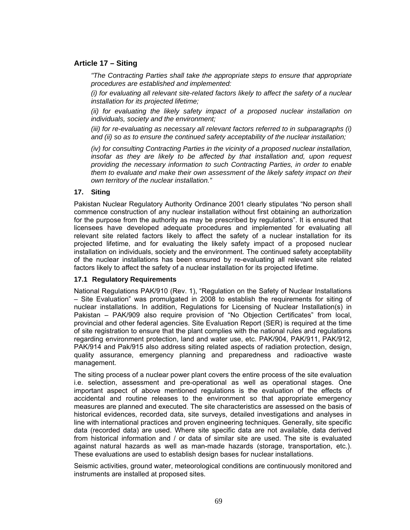# **Article 17 – Siting**

*"The Contracting Parties shall take the appropriate steps to ensure that appropriate procedures are established and implemented:* 

*(i) for evaluating all relevant site-related factors likely to affect the safety of a nuclear installation for its projected lifetime;* 

*(ii) for evaluating the likely safety impact of a proposed nuclear installation on individuals, society and the environment;* 

*(iii) for re-evaluating as necessary all relevant factors referred to in subparagraphs (i) and (ii) so as to ensure the continued safety acceptability of the nuclear installation;* 

*(iv) for consulting Contracting Parties in the vicinity of a proposed nuclear installation,*  insofar as they are likely to be affected by that installation and, upon request *providing the necessary information to such Contracting Parties, in order to enable them to evaluate and make their own assessment of the likely safety impact on their own territory of the nuclear installation."* 

#### **17. Siting**

Pakistan Nuclear Regulatory Authority Ordinance 2001 clearly stipulates "No person shall commence construction of any nuclear installation without first obtaining an authorization for the purpose from the authority as may be prescribed by regulations". It is ensured that licensees have developed adequate procedures and implemented for evaluating all relevant site related factors likely to affect the safety of a nuclear installation for its projected lifetime, and for evaluating the likely safety impact of a proposed nuclear installation on individuals, society and the environment. The continued safety acceptability of the nuclear installations has been ensured by re-evaluating all relevant site related factors likely to affect the safety of a nuclear installation for its projected lifetime.

#### **17.1 Regulatory Requirements**

National Regulations PAK/910 (Rev. 1), "Regulation on the Safety of Nuclear Installations – Site Evaluation" was promulgated in 2008 to establish the requirements for siting of nuclear installations. In addition, Regulations for Licensing of Nuclear Installation(s) in Pakistan – PAK/909 also require provision of "No Objection Certificates" from local, provincial and other federal agencies. Site Evaluation Report (SER) is required at the time of site registration to ensure that the plant complies with the national rules and regulations regarding environment protection, land and water use, etc. PAK/904, PAK/911, PAK/912, PAK/914 and Pak/915 also address siting related aspects of radiation protection, design, quality assurance, emergency planning and preparedness and radioactive waste management.

The siting process of a nuclear power plant covers the entire process of the site evaluation i.e. selection, assessment and pre-operational as well as operational stages. One important aspect of above mentioned regulations is the evaluation of the effects of accidental and routine releases to the environment so that appropriate emergency measures are planned and executed. The site characteristics are assessed on the basis of historical evidences, recorded data, site surveys, detailed investigations and analyses in line with international practices and proven engineering techniques. Generally, site specific data (recorded data) are used. Where site specific data are not available, data derived from historical information and / or data of similar site are used. The site is evaluated against natural hazards as well as man-made hazards (storage, transportation, etc.). These evaluations are used to establish design bases for nuclear installations.

Seismic activities, ground water, meteorological conditions are continuously monitored and instruments are installed at proposed sites.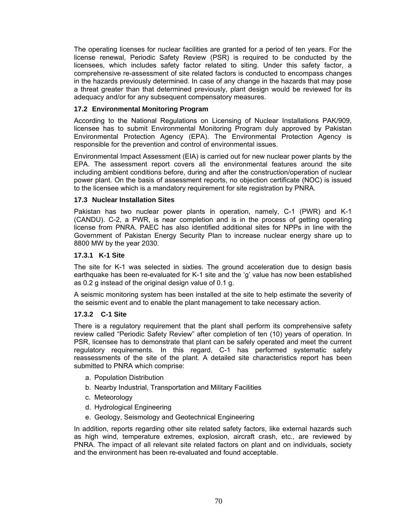The operating licenses for nuclear facilities are granted for a period of ten years. For the license renewal, Periodic Safety Review (PSR) is required to be conducted by the licensees, which includes safety factor related to siting. Under this safety factor, a comprehensive re-assessment of site related factors is conducted to encompass changes in the hazards previously determined. In case of any change in the hazards that may pose a threat greater than that determined previously, plant design would be reviewed for its adequacy and/or for any subsequent compensatory measures.

### **17.2 Environmental Monitoring Program**

According to the National Regulations on Licensing of Nuclear Installations PAK/909, licensee has to submit Environmental Monitoring Program duly approved by Pakistan Environmental Protection Agency (EPA). The Environmental Protection Agency is responsible for the prevention and control of environmental issues.

Environmental Impact Assessment (EIA) is carried out for new nuclear power plants by the EPA. The assessment report covers all the environmental features around the site including ambient conditions before, during and after the construction/operation of nuclear power plant. On the basis of assessment reports, no objection certificate (NOC) is issued to the licensee which is a mandatory requirement for site registration by PNRA.

#### **17.3 Nuclear Installation Sites**

Pakistan has two nuclear power plants in operation, namely, C-1 (PWR) and K-1 (CANDU). C-2, a PWR, is near completion and is in the process of getting operating license from PNRA. PAEC has also identified additional sites for NPPs in line with the Government of Pakistan Energy Security Plan to increase nuclear energy share up to 8800 MW by the year 2030.

#### **17.3.1 K-1 Site**

The site for K-1 was selected in sixties. The ground acceleration due to design basis earthquake has been re-evaluated for K-1 site and the 'g' value has now been established as 0.2 g instead of the original design value of 0.1 g.

A seismic monitoring system has been installed at the site to help estimate the severity of the seismic event and to enable the plant management to take necessary action.

# **17.3.2 C-1 Site**

There is a regulatory requirement that the plant shall perform its comprehensive safety review called "Periodic Safety Review" after completion of ten (10) years of operation. In PSR, licensee has to demonstrate that plant can be safely operated and meet the current regulatory requirements. In this regard, C-1 has performed systematic safety reassessments of the site of the plant. A detailed site characteristics report has been submitted to PNRA which comprise:

- a. Population Distribution
- b. Nearby Industrial, Transportation and Military Facilities
- c. Meteorology
- d. Hydrological Engineering
- e. Geology, Seismology and Geotechnical Engineering

In addition, reports regarding other site related safety factors, like external hazards such as high wind, temperature extremes, explosion, aircraft crash, etc., are reviewed by PNRA. The impact of all relevant site related factors on plant and on individuals, society and the environment has been re-evaluated and found acceptable.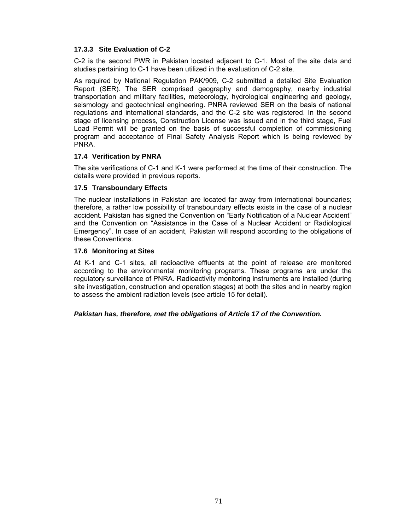# **17.3.3 Site Evaluation of C-2**

C-2 is the second PWR in Pakistan located adjacent to C-1. Most of the site data and studies pertaining to C-1 have been utilized in the evaluation of C-2 site.

As required by National Regulation PAK/909, C-2 submitted a detailed Site Evaluation Report (SER). The SER comprised geography and demography, nearby industrial transportation and military facilities, meteorology, hydrological engineering and geology, seismology and geotechnical engineering. PNRA reviewed SER on the basis of national regulations and international standards, and the C-2 site was registered. In the second stage of licensing process, Construction License was issued and in the third stage, Fuel Load Permit will be granted on the basis of successful completion of commissioning program and acceptance of Final Safety Analysis Report which is being reviewed by PNRA.

# **17.4 Verification by PNRA**

The site verifications of C-1 and K-1 were performed at the time of their construction. The details were provided in previous reports.

# **17.5 Transboundary Effects**

The nuclear installations in Pakistan are located far away from international boundaries; therefore, a rather low possibility of transboundary effects exists in the case of a nuclear accident. Pakistan has signed the Convention on "Early Notification of a Nuclear Accident" and the Convention on "Assistance in the Case of a Nuclear Accident or Radiological Emergency". In case of an accident, Pakistan will respond according to the obligations of these Conventions.

# **17.6 Monitoring at Sites**

At K-1 and C-1 sites, all radioactive effluents at the point of release are monitored according to the environmental monitoring programs. These programs are under the regulatory surveillance of PNRA. Radioactivity monitoring instruments are installed (during site investigation, construction and operation stages) at both the sites and in nearby region to assess the ambient radiation levels (see article 15 for detail).

# *Pakistan has, therefore, met the obligations of Article 17 of the Convention.*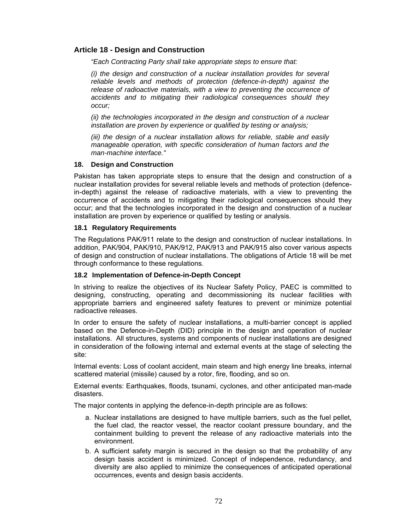# **Article 18 - Design and Construction**

*"Each Contracting Party shall take appropriate steps to ensure that:* 

*(i) the design and construction of a nuclear installation provides for several reliable levels and methods of protection (defence-in-depth) against the*  release of radioactive materials, with a view to preventing the occurrence of *accidents and to mitigating their radiological consequences should they occur;* 

*(ii) the technologies incorporated in the design and construction of a nuclear installation are proven by experience or qualified by testing or analysis;* 

*(iii) the design of a nuclear installation allows for reliable, stable and easily manageable operation, with specific consideration of human factors and the man-machine interface."* 

#### **18. Design and Construction**

Pakistan has taken appropriate steps to ensure that the design and construction of a nuclear installation provides for several reliable levels and methods of protection (defencein-depth) against the release of radioactive materials, with a view to preventing the occurrence of accidents and to mitigating their radiological consequences should they occur; and that the technologies incorporated in the design and construction of a nuclear installation are proven by experience or qualified by testing or analysis.

# **18.1 Regulatory Requirements**

The Regulations PAK/911 relate to the design and construction of nuclear installations. In addition, PAK/904, PAK/910, PAK/912, PAK/913 and PAK/915 also cover various aspects of design and construction of nuclear installations. The obligations of Article 18 will be met through conformance to these regulations.

# **18.2 Implementation of Defence-in-Depth Concept**

In striving to realize the objectives of its Nuclear Safety Policy, PAEC is committed to designing, constructing, operating and decommissioning its nuclear facilities with appropriate barriers and engineered safety features to prevent or minimize potential radioactive releases.

In order to ensure the safety of nuclear installations, a multi-barrier concept is applied based on the Defence-in-Depth (DID) principle in the design and operation of nuclear installations. All structures, systems and components of nuclear installations are designed in consideration of the following internal and external events at the stage of selecting the site:

Internal events: Loss of coolant accident, main steam and high energy line breaks, internal scattered material (missile) caused by a rotor, fire, flooding, and so on.

External events: Earthquakes, floods, tsunami, cyclones, and other anticipated man-made disasters.

The major contents in applying the defence-in-depth principle are as follows:

- a. Nuclear installations are designed to have multiple barriers, such as the fuel pellet, the fuel clad, the reactor vessel, the reactor coolant pressure boundary, and the containment building to prevent the release of any radioactive materials into the environment.
- b. A sufficient safety margin is secured in the design so that the probability of any design basis accident is minimized. Concept of independence, redundancy, and diversity are also applied to minimize the consequences of anticipated operational occurrences, events and design basis accidents.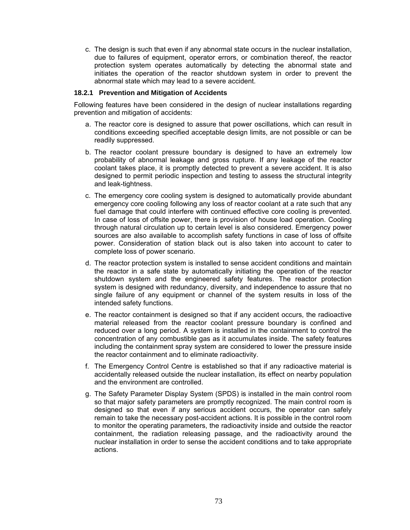c. The design is such that even if any abnormal state occurs in the nuclear installation, due to failures of equipment, operator errors, or combination thereof, the reactor protection system operates automatically by detecting the abnormal state and initiates the operation of the reactor shutdown system in order to prevent the abnormal state which may lead to a severe accident.

#### **18.2.1 Prevention and Mitigation of Accidents**

Following features have been considered in the design of nuclear installations regarding prevention and mitigation of accidents:

- a. The reactor core is designed to assure that power oscillations, which can result in conditions exceeding specified acceptable design limits, are not possible or can be readily suppressed.
- b. The reactor coolant pressure boundary is designed to have an extremely low probability of abnormal leakage and gross rupture. If any leakage of the reactor coolant takes place, it is promptly detected to prevent a severe accident. It is also designed to permit periodic inspection and testing to assess the structural integrity and leak-tightness.
- c. The emergency core cooling system is designed to automatically provide abundant emergency core cooling following any loss of reactor coolant at a rate such that any fuel damage that could interfere with continued effective core cooling is prevented. In case of loss of offsite power, there is provision of house load operation. Cooling through natural circulation up to certain level is also considered. Emergency power sources are also available to accomplish safety functions in case of loss of offsite power. Consideration of station black out is also taken into account to cater to complete loss of power scenario.
- d. The reactor protection system is installed to sense accident conditions and maintain the reactor in a safe state by automatically initiating the operation of the reactor shutdown system and the engineered safety features. The reactor protection system is designed with redundancy, diversity, and independence to assure that no single failure of any equipment or channel of the system results in loss of the intended safety functions.
- e. The reactor containment is designed so that if any accident occurs, the radioactive material released from the reactor coolant pressure boundary is confined and reduced over a long period. A system is installed in the containment to control the concentration of any combustible gas as it accumulates inside. The safety features including the containment spray system are considered to lower the pressure inside the reactor containment and to eliminate radioactivity.
- f. The Emergency Control Centre is established so that if any radioactive material is accidentally released outside the nuclear installation, its effect on nearby population and the environment are controlled.
- g. The Safety Parameter Display System (SPDS) is installed in the main control room so that major safety parameters are promptly recognized. The main control room is designed so that even if any serious accident occurs, the operator can safely remain to take the necessary post-accident actions. It is possible in the control room to monitor the operating parameters, the radioactivity inside and outside the reactor containment, the radiation releasing passage, and the radioactivity around the nuclear installation in order to sense the accident conditions and to take appropriate actions.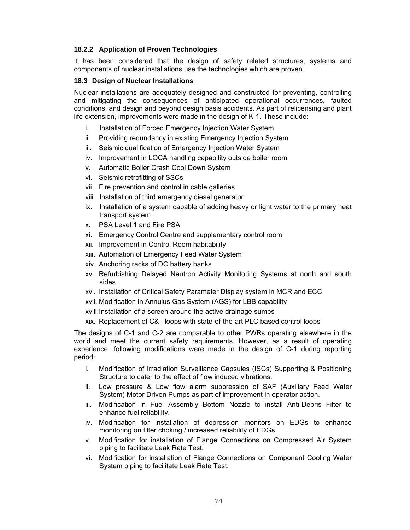# **18.2.2 Application of Proven Technologies**

It has been considered that the design of safety related structures, systems and components of nuclear installations use the technologies which are proven.

# **18.3 Design of Nuclear Installations**

Nuclear installations are adequately designed and constructed for preventing, controlling and mitigating the consequences of anticipated operational occurrences, faulted conditions, and design and beyond design basis accidents. As part of relicensing and plant life extension, improvements were made in the design of K-1. These include:

- i. Installation of Forced Emergency Injection Water System
- ii. Providing redundancy in existing Emergency Injection System
- iii. Seismic qualification of Emergency Injection Water System
- iv. Improvement in LOCA handling capability outside boiler room
- v. Automatic Boiler Crash Cool Down System
- vi. Seismic retrofitting of SSCs
- vii. Fire prevention and control in cable galleries
- viii. Installation of third emergency diesel generator
- ix. Installation of a system capable of adding heavy or light water to the primary heat transport system
- x. PSA Level 1 and Fire PSA
- xi. Emergency Control Centre and supplementary control room
- xii. Improvement in Control Room habitability
- xiii. Automation of Emergency Feed Water System
- xiv. Anchoring racks of DC battery banks
- xv. Refurbishing Delayed Neutron Activity Monitoring Systems at north and south sides
- xvi. Installation of Critical Safety Parameter Display system in MCR and ECC
- xvii. Modification in Annulus Gas System (AGS) for LBB capability
- xviii. Installation of a screen around the active drainage sumps
- xix. Replacement of C& I loops with state-of-the-art PLC based control loops

The designs of C-1 and C-2 are comparable to other PWRs operating elsewhere in the world and meet the current safety requirements. However, as a result of operating experience, following modifications were made in the design of C-1 during reporting period:

- i. Modification of Irradiation Surveillance Capsules (ISCs) Supporting & Positioning Structure to cater to the effect of flow induced vibrations.
- ii. Low pressure & Low flow alarm suppression of SAF (Auxiliary Feed Water System) Motor Driven Pumps as part of improvement in operator action.
- iii. Modification in Fuel Assembly Bottom Nozzle to install Anti-Debris Filter to enhance fuel reliability.
- iv. Modification for installation of depression monitors on EDGs to enhance monitoring on filter choking / increased reliability of EDGs.
- v. Modification for installation of Flange Connections on Compressed Air System piping to facilitate Leak Rate Test.
- vi. Modification for installation of Flange Connections on Component Cooling Water System piping to facilitate Leak Rate Test.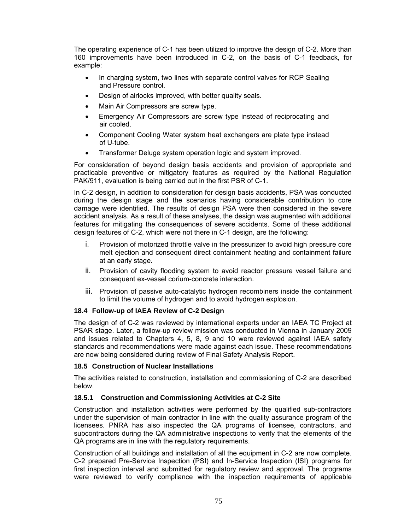The operating experience of C-1 has been utilized to improve the design of C-2. More than 160 improvements have been introduced in C-2, on the basis of C-1 feedback, for example:

- In charging system, two lines with separate control valves for RCP Sealing and Pressure control.
- Design of airlocks improved, with better quality seals.
- Main Air Compressors are screw type.
- Emergency Air Compressors are screw type instead of reciprocating and air cooled.
- Component Cooling Water system heat exchangers are plate type instead of U-tube.
- Transformer Deluge system operation logic and system improved.

For consideration of beyond design basis accidents and provision of appropriate and practicable preventive or mitigatory features as required by the National Regulation PAK/911, evaluation is being carried out in the first PSR of C-1.

In C-2 design, in addition to consideration for design basis accidents, PSA was conducted during the design stage and the scenarios having considerable contribution to core damage were identified. The results of design PSA were then considered in the severe accident analysis. As a result of these analyses, the design was augmented with additional features for mitigating the consequences of severe accidents. Some of these additional design features of C-2, which were not there in C-1 design, are the following:

- i. Provision of motorized throttle valve in the pressurizer to avoid high pressure core melt ejection and consequent direct containment heating and containment failure at an early stage.
- ii. Provision of cavity flooding system to avoid reactor pressure vessel failure and consequent ex-vessel corium-concrete interaction.
- iii. Provision of passive auto-catalytic hydrogen recombiners inside the containment to limit the volume of hydrogen and to avoid hydrogen explosion.

# **18.4 Follow-up of IAEA Review of C-2 Design**

The design of of C-2 was reviewed by international experts under an IAEA TC Project at PSAR stage. Later, a follow-up review mission was conducted in Vienna in January 2009 and issues related to Chapters 4, 5, 8, 9 and 10 were reviewed against IAEA safety standards and recommendations were made against each issue. These recommendations are now being considered during review of Final Safety Analysis Report.

# **18.5 Construction of Nuclear Installations**

The activities related to construction, installation and commissioning of C-2 are described below.

# **18.5.1 Construction and Commissioning Activities at C-2 Site**

Construction and installation activities were performed by the qualified sub-contractors under the supervision of main contractor in line with the quality assurance program of the licensees. PNRA has also inspected the QA programs of licensee, contractors, and subcontractors during the QA administrative inspections to verify that the elements of the QA programs are in line with the regulatory requirements.

Construction of all buildings and installation of all the equipment in C-2 are now complete. C-2 prepared Pre-Service Inspection (PSI) and In-Service Inspection (ISI) programs for first inspection interval and submitted for regulatory review and approval. The programs were reviewed to verify compliance with the inspection requirements of applicable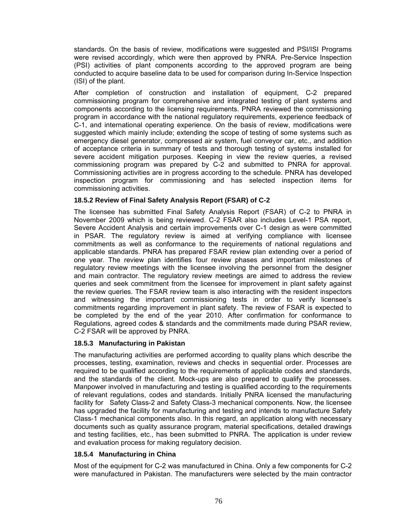standards. On the basis of review, modifications were suggested and PSI/ISI Programs were revised accordingly, which were then approved by PNRA. Pre-Service Inspection (PSI) activities of plant components according to the approved program are being conducted to acquire baseline data to be used for comparison during In-Service Inspection (ISI) of the plant.

After completion of construction and installation of equipment, C-2 prepared commissioning program for comprehensive and integrated testing of plant systems and components according to the licensing requirements. PNRA reviewed the commissioning program in accordance with the national regulatory requirements, experience feedback of C-1, and international operating experience. On the basis of review, modifications were suggested which mainly include; extending the scope of testing of some systems such as emergency diesel generator, compressed air system, fuel conveyor car, etc., and addition of acceptance criteria in summary of tests and thorough testing of systems installed for severe accident mitigation purposes. Keeping in view the review queries, a revised commissioning program was prepared by C-2 and submitted to PNRA for approval. Commissioning activities are in progress according to the schedule. PNRA has developed inspection program for commissioning and has selected inspection items for commissioning activities.

# **18.5.2 Review of Final Safety Analysis Report (FSAR) of C-2**

The licensee has submitted Final Safety Analysis Report (FSAR) of C-2 to PNRA in November 2009 which is being reviewed. C-2 FSAR also includes Level-1 PSA report, Severe Accident Analysis and certain improvements over C-1 design as were committed in PSAR. The regulatory review is aimed at verifying compliance with licensee commitments as well as conformance to the requirements of national regulations and applicable standards. PNRA has prepared FSAR review plan extending over a period of one year. The review plan identifies four review phases and important milestones of regulatory review meetings with the licensee involving the personnel from the designer and main contractor. The regulatory review meetings are aimed to address the review queries and seek commitment from the licensee for improvement in plant safety against the review queries. The FSAR review team is also interacting with the resident inspectors and witnessing the important commissioning tests in order to verify licensee's commitments regarding improvement in plant safety. The review of FSAR is expected to be completed by the end of the year 2010. After confirmation for conformance to Regulations, agreed codes & standards and the commitments made during PSAR review, C-2 FSAR will be approved by PNRA.

#### **18.5.3 Manufacturing in Pakistan**

The manufacturing activities are performed according to quality plans which describe the processes, testing, examination, reviews and checks in sequential order. Processes are required to be qualified according to the requirements of applicable codes and standards, and the standards of the client. Mock-ups are also prepared to qualify the processes. Manpower involved in manufacturing and testing is qualified according to the requirements of relevant regulations, codes and standards. Initially PNRA licensed the manufacturing facility for Safety Class-2 and Safety Class-3 mechanical components. Now, the licensee has upgraded the facility for manufacturing and testing and intends to manufacture Safety Class-1 mechanical components also. In this regard, an application along with necessary documents such as quality assurance program, material specifications, detailed drawings and testing facilities, etc., has been submitted to PNRA. The application is under review and evaluation process for making regulatory decision.

# **18.5.4 Manufacturing in China**

Most of the equipment for C-2 was manufactured in China. Only a few components for C-2 were manufactured in Pakistan. The manufacturers were selected by the main contractor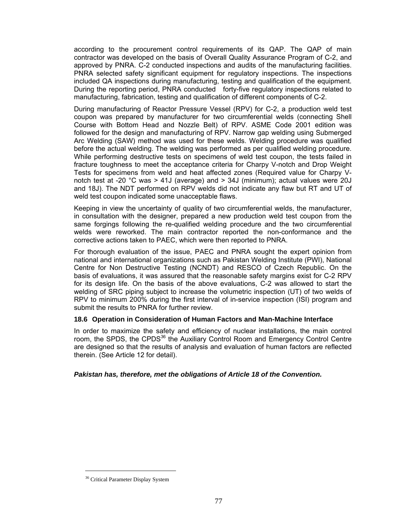according to the procurement control requirements of its QAP. The QAP of main contractor was developed on the basis of Overall Quality Assurance Program of C-2, and approved by PNRA. C-2 conducted inspections and audits of the manufacturing facilities. PNRA selected safety significant equipment for regulatory inspections. The inspections included QA inspections during manufacturing, testing and qualification of the equipment. During the reporting period, PNRA conducted forty-five regulatory inspections related to manufacturing, fabrication, testing and qualification of different components of C-2.

During manufacturing of Reactor Pressure Vessel (RPV) for C-2, a production weld test coupon was prepared by manufacturer for two circumferential welds (connecting Shell Course with Bottom Head and Nozzle Belt) of RPV. ASME Code 2001 edition was followed for the design and manufacturing of RPV. Narrow gap welding using Submerged Arc Welding (SAW) method was used for these welds. Welding procedure was qualified before the actual welding. The welding was performed as per qualified welding procedure. While performing destructive tests on specimens of weld test coupon, the tests failed in fracture toughness to meet the acceptance criteria for Charpy V-notch and Drop Weight Tests for specimens from weld and heat affected zones (Required value for Charpy Vnotch test at -20 °C was > 41J (average) and > 34J (minimum); actual values were 20J and 18J). The NDT performed on RPV welds did not indicate any flaw but RT and UT of weld test coupon indicated some unacceptable flaws.

Keeping in view the uncertainty of quality of two circumferential welds, the manufacturer, in consultation with the designer, prepared a new production weld test coupon from the same forgings following the re-qualified welding procedure and the two circumferential welds were reworked. The main contractor reported the non-conformance and the corrective actions taken to PAEC, which were then reported to PNRA.

For thorough evaluation of the issue, PAEC and PNRA sought the expert opinion from national and international organizations such as Pakistan Welding Institute (PWI), National Centre for Non Destructive Testing (NCNDT) and RESCO of Czech Republic. On the basis of evaluations, it was assured that the reasonable safety margins exist for C-2 RPV for its design life. On the basis of the above evaluations, C-2 was allowed to start the welding of SRC piping subject to increase the volumetric inspection (UT) of two welds of RPV to minimum 200% during the first interval of in-service inspection (ISI) program and submit the results to PNRA for further review.

#### **18.6 Operation in Consideration of Human Factors and Man-Machine Interface**

In order to maximize the safety and efficiency of nuclear installations, the main control room, the SPDS, the CPDS<sup>36</sup> the Auxiliary Control Room and Emergency Control Centre are designed so that the results of analysis and evaluation of human factors are reflected therein. (See Article 12 for detail).

#### *Pakistan has, therefore, met the obligations of Article 18 of the Convention.*

 $\overline{a}$ 

<sup>&</sup>lt;sup>36</sup> Critical Parameter Display System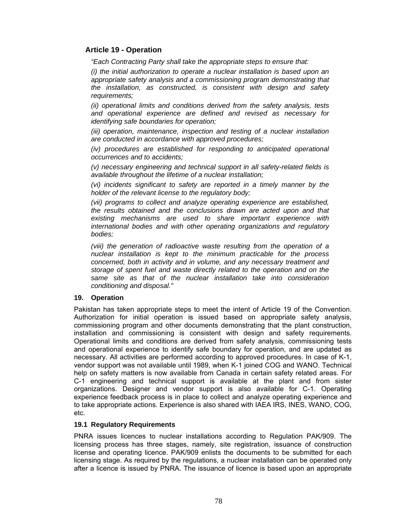# **Article 19 - Operation**

*"Each Contracting Party shall take the appropriate steps to ensure that:* 

*(i) the initial authorization to operate a nuclear installation is based upon an appropriate safety analysis and a commissioning program demonstrating that the installation, as constructed, is consistent with design and safety requirements;* 

*(ii) operational limits and conditions derived from the safety analysis, tests and operational experience are defined and revised as necessary for identifying safe boundaries for operation;* 

*(iii) operation, maintenance, inspection and testing of a nuclear installation are conducted in accordance with approved procedures;* 

*(iv) procedures are established for responding to anticipated operational occurrences and to accidents;* 

*(v) necessary engineering and technical support in all safety-related fields is available throughout the lifetime of a nuclear installation;* 

*(vi) incidents significant to safety are reported in a timely manner by the holder of the relevant license to the regulatory body;* 

*(vii) programs to collect and analyze operating experience are established, the results obtained and the conclusions drawn are acted upon and that existing mechanisms are used to share important experience with international bodies and with other operating organizations and regulatory bodies;* 

*(viii) the generation of radioactive waste resulting from the operation of a nuclear installation is kept to the minimum practicable for the process concerned, both in activity and in volume, and any necessary treatment and storage of spent fuel and waste directly related to the operation and on the same site as that of the nuclear installation take into consideration conditioning and disposal."* 

# **19. Operation**

Pakistan has taken appropriate steps to meet the intent of Article 19 of the Convention. Authorization for initial operation is issued based on appropriate safety analysis, commissioning program and other documents demonstrating that the plant construction, installation and commissioning is consistent with design and safety requirements. Operational limits and conditions are derived from safety analysis, commissioning tests and operational experience to identify safe boundary for operation, and are updated as necessary. All activities are performed according to approved procedures. In case of K-1, vendor support was not available until 1989, when K-1 joined COG and WANO. Technical help on safety matters is now available from Canada in certain safety related areas. For C-1 engineering and technical support is available at the plant and from sister organizations. Designer and vendor support is also available for C-1. Operating experience feedback process is in place to collect and analyze operating experience and to take appropriate actions. Experience is also shared with IAEA IRS, INES, WANO, COG, etc.

#### **19.1 Regulatory Requirements**

PNRA issues licences to nuclear installations according to Regulation PAK/909. The licensing process has three stages, namely, site registration, issuance of construction license and operating licence. PAK/909 enlists the documents to be submitted for each licensing stage. As required by the regulations, a nuclear installation can be operated only after a licence is issued by PNRA. The issuance of licence is based upon an appropriate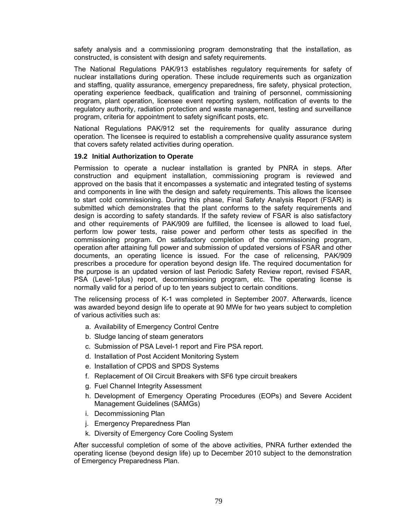safety analysis and a commissioning program demonstrating that the installation, as constructed, is consistent with design and safety requirements.

The National Regulations PAK/913 establishes regulatory requirements for safety of nuclear installations during operation. These include requirements such as organization and staffing, quality assurance, emergency preparedness, fire safety, physical protection, operating experience feedback, qualification and training of personnel, commissioning program, plant operation, licensee event reporting system, notification of events to the regulatory authority, radiation protection and waste management, testing and surveillance program, criteria for appointment to safety significant posts, etc.

National Regulations PAK/912 set the requirements for quality assurance during operation. The licensee is required to establish a comprehensive quality assurance system that covers safety related activities during operation.

#### **19.2 Initial Authorization to Operate**

Permission to operate a nuclear installation is granted by PNRA in steps. After construction and equipment installation, commissioning program is reviewed and approved on the basis that it encompasses a systematic and integrated testing of systems and components in line with the design and safety requirements. This allows the licensee to start cold commissioning. During this phase, Final Safety Analysis Report (FSAR) is submitted which demonstrates that the plant conforms to the safety requirements and design is according to safety standards. If the safety review of FSAR is also satisfactory and other requirements of PAK/909 are fulfilled, the licensee is allowed to load fuel, perform low power tests, raise power and perform other tests as specified in the commissioning program. On satisfactory completion of the commissioning program, operation after attaining full power and submission of updated versions of FSAR and other documents, an operating licence is issued. For the case of relicensing, PAK/909 prescribes a procedure for operation beyond design life. The required documentation for the purpose is an updated version of last Periodic Safety Review report, revised FSAR, PSA (Level-1plus) report, decommissioning program, etc. The operating license is normally valid for a period of up to ten years subject to certain conditions.

The relicensing process of K-1 was completed in September 2007. Afterwards, licence was awarded beyond design life to operate at 90 MWe for two years subject to completion of various activities such as:

- a. Availability of Emergency Control Centre
- b. Sludge lancing of steam generators
- c. Submission of PSA Level-1 report and Fire PSA report.
- d. Installation of Post Accident Monitoring System
- e. Installation of CPDS and SPDS Systems
- f. Replacement of Oil Circuit Breakers with SF6 type circuit breakers
- g. Fuel Channel Integrity Assessment
- h. Development of Emergency Operating Procedures (EOPs) and Severe Accident Management Guidelines (SAMGs)
- i. Decommissioning Plan
- j. Emergency Preparedness Plan
- k. Diversity of Emergency Core Cooling System

After successful completion of some of the above activities, PNRA further extended the operating license (beyond design life) up to December 2010 subject to the demonstration of Emergency Preparedness Plan.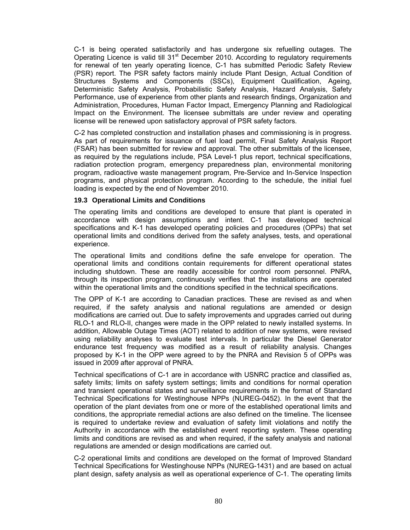C-1 is being operated satisfactorily and has undergone six refuelling outages. The Operating Licence is valid till  $31<sup>st</sup>$  December 2010. According to regulatory requirements for renewal of ten yearly operating licence, C-1 has submitted Periodic Safety Review (PSR) report. The PSR safety factors mainly include Plant Design, Actual Condition of Structures Systems and Components (SSCs), Equipment Qualification, Ageing, Deterministic Safety Analysis, Probabilistic Safety Analysis, Hazard Analysis, Safety Performance, use of experience from other plants and research findings, Organization and Administration, Procedures, Human Factor Impact, Emergency Planning and Radiological Impact on the Environment. The licensee submittals are under review and operating license will be renewed upon satisfactory approval of PSR safety factors.

C-2 has completed construction and installation phases and commissioning is in progress. As part of requirements for issuance of fuel load permit, Final Safety Analysis Report (FSAR) has been submitted for review and approval. The other submittals of the licensee, as required by the regulations include, PSA Level-1 plus report, technical specifications, radiation protection program, emergency preparedness plan, environmental monitoring program, radioactive waste management program, Pre-Service and In-Service Inspection programs, and physical protection program. According to the schedule, the initial fuel loading is expected by the end of November 2010.

#### **19.3 Operational Limits and Conditions**

The operating limits and conditions are developed to ensure that plant is operated in accordance with design assumptions and intent. C-1 has developed technical specifications and K-1 has developed operating policies and procedures (OPPs) that set operational limits and conditions derived from the safety analyses, tests, and operational experience.

The operational limits and conditions define the safe envelope for operation. The operational limits and conditions contain requirements for different operational states including shutdown. These are readily accessible for control room personnel. PNRA, through its inspection program, continuously verifies that the installations are operated within the operational limits and the conditions specified in the technical specifications.

The OPP of K-1 are according to Canadian practices. These are revised as and when required, if the safety analysis and national regulations are amended or design modifications are carried out. Due to safety improvements and upgrades carried out during RLO-1 and RLO-II, changes were made in the OPP related to newly installed systems. In addition, Allowable Outage Times (AOT) related to addition of new systems, were revised using reliability analyses to evaluate test intervals. In particular the Diesel Generator endurance test frequency was modified as a result of reliability analysis. Changes proposed by K-1 in the OPP were agreed to by the PNRA and Revision 5 of OPPs was issued in 2009 after approval of PNRA.

Technical specifications of C-1 are in accordance with USNRC practice and classified as, safety limits; limits on safety system settings; limits and conditions for normal operation and transient operational states and surveillance requirements in the format of Standard Technical Specifications for Westinghouse NPPs (NUREG-0452). In the event that the operation of the plant deviates from one or more of the established operational limits and conditions, the appropriate remedial actions are also defined on the timeline. The licensee is required to undertake review and evaluation of safety limit violations and notify the Authority in accordance with the established event reporting system. These operating limits and conditions are revised as and when required, if the safety analysis and national regulations are amended or design modifications are carried out.

C-2 operational limits and conditions are developed on the format of Improved Standard Technical Specifications for Westinghouse NPPs (NUREG-1431) and are based on actual plant design, safety analysis as well as operational experience of C-1. The operating limits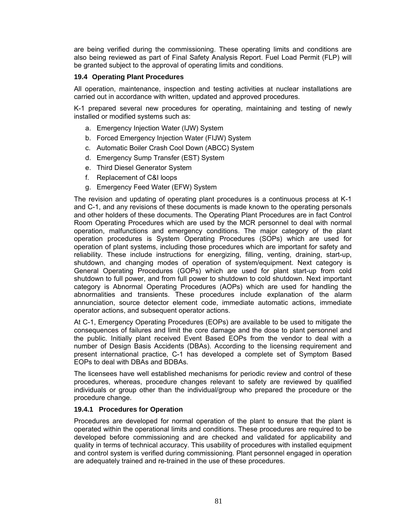are being verified during the commissioning. These operating limits and conditions are also being reviewed as part of Final Safety Analysis Report. Fuel Load Permit (FLP) will be granted subject to the approval of operating limits and conditions.

# **19.4 Operating Plant Procedures**

All operation, maintenance, inspection and testing activities at nuclear installations are carried out in accordance with written, updated and approved procedures.

K-1 prepared several new procedures for operating, maintaining and testing of newly installed or modified systems such as:

- a. Emergency Injection Water (IJW) System
- b. Forced Emergency Injection Water (FIJW) System
- c. Automatic Boiler Crash Cool Down (ABCC) System
- d. Emergency Sump Transfer (EST) System
- e. Third Diesel Generator System
- f. Replacement of C&I loops
- g. Emergency Feed Water (EFW) System

The revision and updating of operating plant procedures is a continuous process at K-1 and C-1, and any revisions of these documents is made known to the operating personals and other holders of these documents. The Operating Plant Procedures are in fact Control Room Operating Procedures which are used by the MCR personnel to deal with normal operation, malfunctions and emergency conditions. The major category of the plant operation procedures is System Operating Procedures (SOPs) which are used for operation of plant systems, including those procedures which are important for safety and reliability. These include instructions for energizing, filling, venting, draining, start-up, shutdown, and changing modes of operation of system/equipment. Next category is General Operating Procedures (GOPs) which are used for plant start-up from cold shutdown to full power, and from full power to shutdown to cold shutdown. Next important category is Abnormal Operating Procedures (AOPs) which are used for handling the abnormalities and transients. These procedures include explanation of the alarm annunciation, source detector element code, immediate automatic actions, immediate operator actions, and subsequent operator actions.

At C-1, Emergency Operating Procedures (EOPs) are available to be used to mitigate the consequences of failures and limit the core damage and the dose to plant personnel and the public. Initially plant received Event Based EOPs from the vendor to deal with a number of Design Basis Accidents (DBAs). According to the licensing requirement and present international practice, C-1 has developed a complete set of Symptom Based EOPs to deal with DBAs and BDBAs.

The licensees have well established mechanisms for periodic review and control of these procedures, whereas, procedure changes relevant to safety are reviewed by qualified individuals or group other than the individual/group who prepared the procedure or the procedure change.

# **19.4.1 Procedures for Operation**

Procedures are developed for normal operation of the plant to ensure that the plant is operated within the operational limits and conditions. These procedures are required to be developed before commissioning and are checked and validated for applicability and quality in terms of technical accuracy. This usability of procedures with installed equipment and control system is verified during commissioning. Plant personnel engaged in operation are adequately trained and re-trained in the use of these procedures.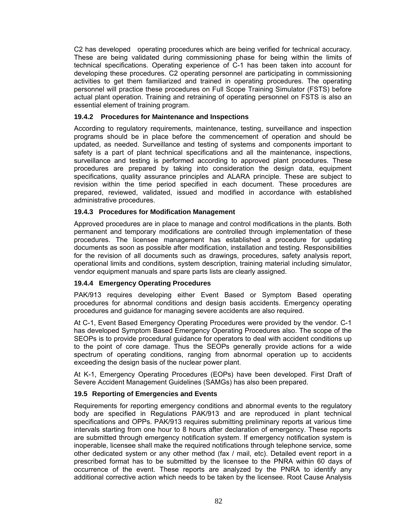C2 has developed operating procedures which are being verified for technical accuracy. These are being validated during commissioning phase for being within the limits of technical specifications. Operating experience of C-1 has been taken into account for developing these procedures. C2 operating personnel are participating in commissioning activities to get them familiarized and trained in operating procedures. The operating personnel will practice these procedures on Full Scope Training Simulator (FSTS) before actual plant operation. Training and retraining of operating personnel on FSTS is also an essential element of training program.

### **19.4.2 Procedures for Maintenance and Inspections**

According to regulatory requirements, maintenance, testing, surveillance and inspection programs should be in place before the commencement of operation and should be updated, as needed. Surveillance and testing of systems and components important to safety is a part of plant technical specifications and all the maintenance, inspections, surveillance and testing is performed according to approved plant procedures. These procedures are prepared by taking into consideration the design data, equipment specifications, quality assurance principles and ALARA principle. These are subject to revision within the time period specified in each document. These procedures are prepared, reviewed, validated, issued and modified in accordance with established administrative procedures.

#### **19.4.3 Procedures for Modification Management**

Approved procedures are in place to manage and control modifications in the plants. Both permanent and temporary modifications are controlled through implementation of these procedures. The licensee management has established a procedure for updating documents as soon as possible after modification, installation and testing. Responsibilities for the revision of all documents such as drawings, procedures, safety analysis report, operational limits and conditions, system description, training material including simulator, vendor equipment manuals and spare parts lists are clearly assigned.

# **19.4.4 Emergency Operating Procedures**

PAK/913 requires developing either Event Based or Symptom Based operating procedures for abnormal conditions and design basis accidents. Emergency operating procedures and guidance for managing severe accidents are also required.

At C-1, Event Based Emergency Operating Procedures were provided by the vendor. C-1 has developed Symptom Based Emergency Operating Procedures also. The scope of the SEOPs is to provide procedural guidance for operators to deal with accident conditions up to the point of core damage. Thus the SEOPs generally provide actions for a wide spectrum of operating conditions, ranging from abnormal operation up to accidents exceeding the design basis of the nuclear power plant.

At K-1, Emergency Operating Procedures (EOPs) have been developed. First Draft of Severe Accident Management Guidelines (SAMGs) has also been prepared.

#### **19.5 Reporting of Emergencies and Events**

Requirements for reporting emergency conditions and abnormal events to the regulatory body are specified in Regulations PAK/913 and are reproduced in plant technical specifications and OPPs. PAK/913 requires submitting preliminary reports at various time intervals starting from one hour to 8 hours after declaration of emergency. These reports are submitted through emergency notification system. If emergency notification system is inoperable, licensee shall make the required notifications through telephone service, some other dedicated system or any other method (fax / mail, etc). Detailed event report in a prescribed format has to be submitted by the licensee to the PNRA within 60 days of occurrence of the event. These reports are analyzed by the PNRA to identify any additional corrective action which needs to be taken by the licensee. Root Cause Analysis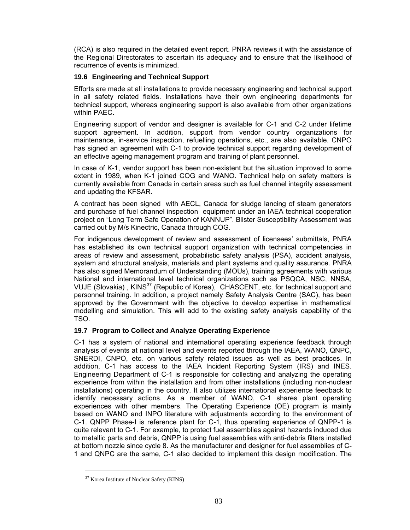(RCA) is also required in the detailed event report. PNRA reviews it with the assistance of the Regional Directorates to ascertain its adequacy and to ensure that the likelihood of recurrence of events is minimized.

# **19.6 Engineering and Technical Support**

Efforts are made at all installations to provide necessary engineering and technical support in all safety related fields. Installations have their own engineering departments for technical support, whereas engineering support is also available from other organizations within PAEC.

Engineering support of vendor and designer is available for C-1 and C-2 under lifetime support agreement. In addition, support from vendor country organizations for maintenance, in-service inspection, refuelling operations, etc., are also available. CNPO has signed an agreement with C-1 to provide technical support regarding development of an effective ageing management program and training of plant personnel.

In case of K-1, vendor support has been non-existent but the situation improved to some extent in 1989, when K-1 joined COG and WANO. Technical help on safety matters is currently available from Canada in certain areas such as fuel channel integrity assessment and updating the KFSAR.

A contract has been signed with AECL, Canada for sludge lancing of steam generators and purchase of fuel channel inspection equipment under an IAEA technical cooperation project on "Long Term Safe Operation of KANNUP". Blister Susceptibility Assessment was carried out by M/s Kinectric, Canada through COG.

For indigenous development of review and assessment of licensees' submittals, PNRA has established its own technical support organization with technical competencies in areas of review and assessment, probabilistic safety analysis (PSA), accident analysis, system and structural analysis, materials and plant systems and quality assurance. PNRA has also signed Memorandum of Understanding (MOUs), training agreements with various National and international level technical organizations such as PSQCA, NSC, NNSA, VUJE (Slovakia), KINS<sup>37</sup> (Republic of Korea), CHASCENT, etc. for technical support and personnel training. In addition, a project namely Safety Analysis Centre (SAC), has been approved by the Government with the objective to develop expertise in mathematical modelling and simulation. This will add to the existing safety analysis capability of the TSO.

# **19.7 Program to Collect and Analyze Operating Experience**

C-1 has a system of national and international operating experience feedback through analysis of events at national level and events reported through the IAEA, WANO, QNPC, SNERDI, CNPO, etc. on various safety related issues as well as best practices. In addition, C-1 has access to the IAEA Incident Reporting System (IRS) and INES. Engineering Department of C-1 is responsible for collecting and analyzing the operating experience from within the installation and from other installations (including non-nuclear installations) operating in the country. It also utilizes international experience feedback to identify necessary actions. As a member of WANO, C-1 shares plant operating experiences with other members. The Operating Experience (OE) program is mainly based on WANO and INPO literature with adjustments according to the environment of C-1. QNPP Phase-I is reference plant for C-1, thus operating experience of QNPP-1 is quite relevant to C-1. For example, to protect fuel assemblies against hazards induced due to metallic parts and debris, QNPP is using fuel assemblies with anti-debris filters installed at bottom nozzle since cycle 8. As the manufacturer and designer for fuel assemblies of C-1 and QNPC are the same, C-1 also decided to implement this design modification. The

 $\overline{a}$ 

<sup>37</sup> Korea Institute of Nuclear Safety (KINS)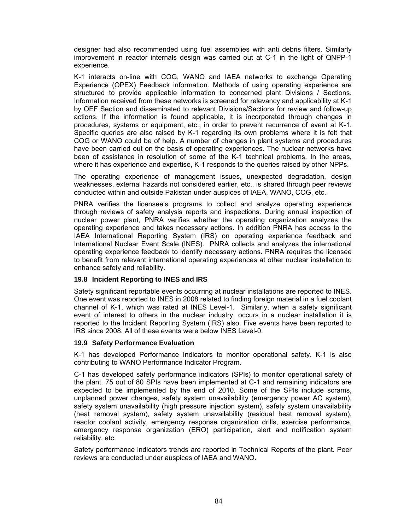designer had also recommended using fuel assemblies with anti debris filters. Similarly improvement in reactor internals design was carried out at C-1 in the light of QNPP-1 experience.

K-1 interacts on-line with COG, WANO and IAEA networks to exchange Operating Experience (OPEX) Feedback information. Methods of using operating experience are structured to provide applicable information to concerned plant Divisions / Sections. Information received from these networks is screened for relevancy and applicability at K-1 by OEF Section and disseminated to relevant Divisions/Sections for review and follow-up actions. If the information is found applicable, it is incorporated through changes in procedures, systems or equipment, etc., in order to prevent recurrence of event at K-1. Specific queries are also raised by K-1 regarding its own problems where it is felt that COG or WANO could be of help. A number of changes in plant systems and procedures have been carried out on the basis of operating experiences. The nuclear networks have been of assistance in resolution of some of the K-1 technical problems. In the areas, where it has experience and expertise, K-1 responds to the queries raised by other NPPs.

The operating experience of management issues, unexpected degradation, design weaknesses, external hazards not considered earlier, etc., is shared through peer reviews conducted within and outside Pakistan under auspices of IAEA, WANO, COG, etc.

PNRA verifies the licensee's programs to collect and analyze operating experience through reviews of safety analysis reports and inspections. During annual inspection of nuclear power plant, PNRA verifies whether the operating organization analyzes the operating experience and takes necessary actions. In addition PNRA has access to the IAEA International Reporting System (IRS) on operating experience feedback and International Nuclear Event Scale (INES). PNRA collects and analyzes the international operating experience feedback to identify necessary actions. PNRA requires the licensee to benefit from relevant international operating experiences at other nuclear installation to enhance safety and reliability.

# **19.8 Incident Reporting to INES and IRS**

Safety significant reportable events occurring at nuclear installations are reported to INES. One event was reported to INES in 2008 related to finding foreign material in a fuel coolant channel of K-1, which was rated at INES Level-1. Similarly, when a safety significant event of interest to others in the nuclear industry, occurs in a nuclear installation it is reported to the Incident Reporting System (IRS) also. Five events have been reported to IRS since 2008. All of these events were below INES Level-0.

#### **19.9 Safety Performance Evaluation**

K-1 has developed Performance Indicators to monitor operational safety. K-1 is also contributing to WANO Performance Indicator Program.

C-1 has developed safety performance indicators (SPIs) to monitor operational safety of the plant. 75 out of 80 SPIs have been implemented at C-1 and remaining indicators are expected to be implemented by the end of 2010. Some of the SPIs include scrams, unplanned power changes, safety system unavailability (emergency power AC system), safety system unavailability (high pressure injection system), safety system unavailability (heat removal system), safety system unavailability (residual heat removal system), reactor coolant activity, emergency response organization drills, exercise performance, emergency response organization (ERO) participation, alert and notification system reliability, etc.

Safety performance indicators trends are reported in Technical Reports of the plant. Peer reviews are conducted under auspices of IAEA and WANO.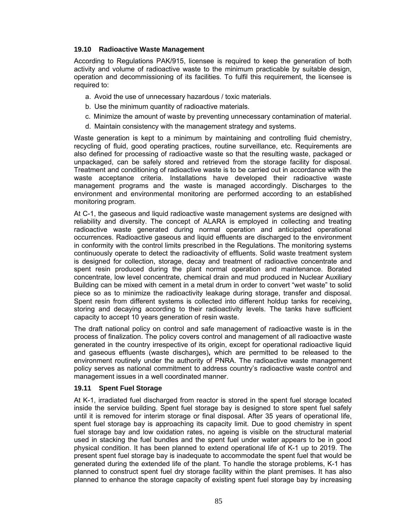# **19.10 Radioactive Waste Management**

According to Regulations PAK/915, licensee is required to keep the generation of both activity and volume of radioactive waste to the minimum practicable by suitable design, operation and decommissioning of its facilities. To fulfil this requirement, the licensee is required to:

- a. Avoid the use of unnecessary hazardous / toxic materials.
- b. Use the minimum quantity of radioactive materials.
- c. Minimize the amount of waste by preventing unnecessary contamination of material.
- d. Maintain consistency with the management strategy and systems.

Waste generation is kept to a minimum by maintaining and controlling fluid chemistry, recycling of fluid, good operating practices, routine surveillance, etc. Requirements are also defined for processing of radioactive waste so that the resulting waste, packaged or unpackaged, can be safely stored and retrieved from the storage facility for disposal. Treatment and conditioning of radioactive waste is to be carried out in accordance with the waste acceptance criteria. Installations have developed their radioactive waste management programs and the waste is managed accordingly. Discharges to the environment and environmental monitoring are performed according to an established monitoring program.

At C-1, the gaseous and liquid radioactive waste management systems are designed with reliability and diversity. The concept of ALARA is employed in collecting and treating radioactive waste generated during normal operation and anticipated operational occurrences. Radioactive gaseous and liquid effluents are discharged to the environment in conformity with the control limits prescribed in the Regulations. The monitoring systems continuously operate to detect the radioactivity of effluents. Solid waste treatment system is designed for collection, storage, decay and treatment of radioactive concentrate and spent resin produced during the plant normal operation and maintenance. Borated concentrate, low level concentrate, chemical drain and mud produced in Nuclear Auxiliary Building can be mixed with cement in a metal drum in order to convert "wet waste" to solid piece so as to minimize the radioactivity leakage during storage, transfer and disposal. Spent resin from different systems is collected into different holdup tanks for receiving, storing and decaying according to their radioactivity levels. The tanks have sufficient capacity to accept 10 years generation of resin waste.

The draft national policy on control and safe management of radioactive waste is in the process of finalization. The policy covers control and management of all radioactive waste generated in the country irrespective of its origin, except for operational radioactive liquid and gaseous effluents (waste discharges)**,** which are permitted to be released to the environment routinely under the authority of PNRA. The radioactive waste management policy serves as national commitment to address country's radioactive waste control and management issues in a well coordinated manner.

# **19.11 Spent Fuel Storage**

At K-1, irradiated fuel discharged from reactor is stored in the spent fuel storage located inside the service building. Spent fuel storage bay is designed to store spent fuel safely until it is removed for interim storage or final disposal. After 35 years of operational life, spent fuel storage bay is approaching its capacity limit. Due to good chemistry in spent fuel storage bay and low oxidation rates, no ageing is visible on the structural material used in stacking the fuel bundles and the spent fuel under water appears to be in good physical condition. It has been planned to extend operational life of K-1 up to 2019. The present spent fuel storage bay is inadequate to accommodate the spent fuel that would be generated during the extended life of the plant. To handle the storage problems, K-1 has planned to construct spent fuel dry storage facility within the plant premises. It has also planned to enhance the storage capacity of existing spent fuel storage bay by increasing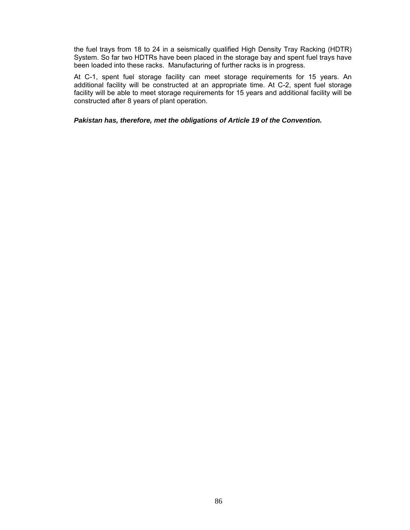the fuel trays from 18 to 24 in a seismically qualified High Density Tray Racking (HDTR) System. So far two HDTRs have been placed in the storage bay and spent fuel trays have been loaded into these racks. Manufacturing of further racks is in progress.

At C-1, spent fuel storage facility can meet storage requirements for 15 years. An additional facility will be constructed at an appropriate time. At C-2, spent fuel storage facility will be able to meet storage requirements for 15 years and additional facility will be constructed after 8 years of plant operation.

*Pakistan has, therefore, met the obligations of Article 19 of the Convention.*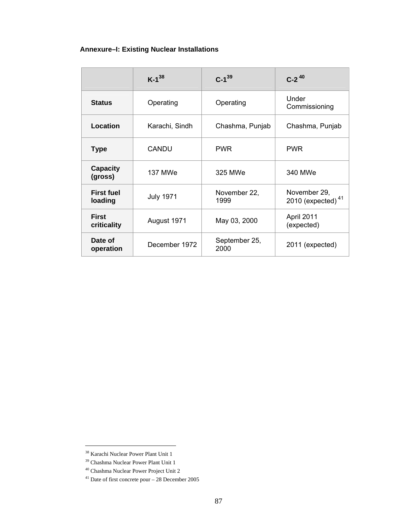# **Annexure–I: Existing Nuclear Installations**

|                              | $K-1^{38}$       | $C-1^{39}$            | $C-2^{40}$                                    |
|------------------------------|------------------|-----------------------|-----------------------------------------------|
| <b>Status</b>                | Operating        | Operating             | Under<br>Commissioning                        |
| Location                     | Karachi, Sindh   | Chashma, Punjab       | Chashma, Punjab                               |
| <b>Type</b>                  | <b>CANDU</b>     | <b>PWR</b>            | <b>PWR</b>                                    |
| <b>Capacity</b><br>(gross)   | <b>137 MWe</b>   | 325 MWe               | 340 MWe                                       |
| <b>First fuel</b><br>loading | <b>July 1971</b> | November 22,<br>1999  | November 29,<br>2010 (expected) <sup>41</sup> |
| <b>First</b><br>criticality  | August 1971      | May 03, 2000          | April 2011<br>(expected)                      |
| Date of<br>operation         | December 1972    | September 25,<br>2000 | 2011 (expected)                               |

 $\overline{a}$ 

<sup>38</sup> Karachi Nuclear Power Plant Unit 1

<sup>&</sup>lt;sup>39</sup> Chashma Nuclear Power Plant Unit 1

<sup>40</sup> Chashma Nuclear Power Project Unit 2

 $41$  Date of first concrete pour  $-28$  December 2005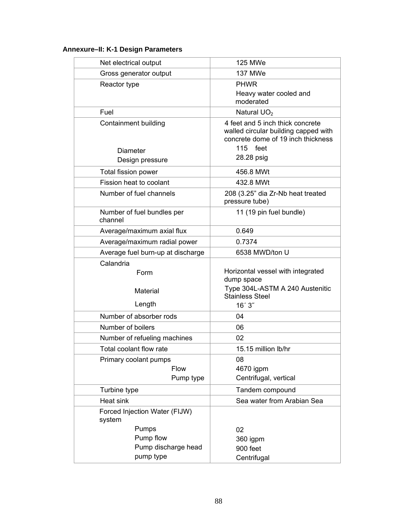# **Annexure–II: K-1 Design Parameters**

| Net electrical output                   | 125 MWe                                                                                                        |  |
|-----------------------------------------|----------------------------------------------------------------------------------------------------------------|--|
| Gross generator output                  | <b>137 MWe</b>                                                                                                 |  |
| Reactor type                            | <b>PHWR</b>                                                                                                    |  |
|                                         | Heavy water cooled and                                                                                         |  |
|                                         | moderated                                                                                                      |  |
| Fuel                                    | Natural UO <sub>2</sub>                                                                                        |  |
| Containment building                    | 4 feet and 5 inch thick concrete<br>walled circular building capped with<br>concrete dome of 19 inch thickness |  |
| <b>Diameter</b>                         | 115 feet                                                                                                       |  |
| Design pressure                         | 28.28 psig                                                                                                     |  |
| Total fission power                     | 456.8 MWt                                                                                                      |  |
| Fission heat to coolant                 | 432.8 MWt                                                                                                      |  |
| Number of fuel channels                 | 208 (3.25" dia Zr-Nb heat treated<br>pressure tube)                                                            |  |
| Number of fuel bundles per<br>channel   | 11 (19 pin fuel bundle)                                                                                        |  |
| Average/maximum axial flux              | 0.649                                                                                                          |  |
| Average/maximum radial power            | 0.7374                                                                                                         |  |
| Average fuel burn-up at discharge       | 6538 MWD/ton U                                                                                                 |  |
| Calandria                               |                                                                                                                |  |
| Form                                    | Horizontal vessel with integrated<br>dump space                                                                |  |
| Material                                | Type 304L-ASTM A 240 Austenitic<br><b>Stainless Steel</b>                                                      |  |
| Length                                  | 16'3''                                                                                                         |  |
| Number of absorber rods                 | 04                                                                                                             |  |
| Number of boilers                       | 06                                                                                                             |  |
| Number of refueling machines            | 02                                                                                                             |  |
| Total coolant flow rate                 | 15.15 million lb/hr                                                                                            |  |
| Primary coolant pumps                   | 08                                                                                                             |  |
| <b>Flow</b>                             | 4670 igpm                                                                                                      |  |
| Pump type                               | Centrifugal, vertical                                                                                          |  |
| Turbine type                            | Tandem compound                                                                                                |  |
| Heat sink                               | Sea water from Arabian Sea                                                                                     |  |
| Forced Injection Water (FIJW)<br>system |                                                                                                                |  |
| Pumps                                   | 02                                                                                                             |  |
| Pump flow                               | 360 igpm                                                                                                       |  |
| Pump discharge head                     | 900 feet                                                                                                       |  |
| pump type                               | Centrifugal                                                                                                    |  |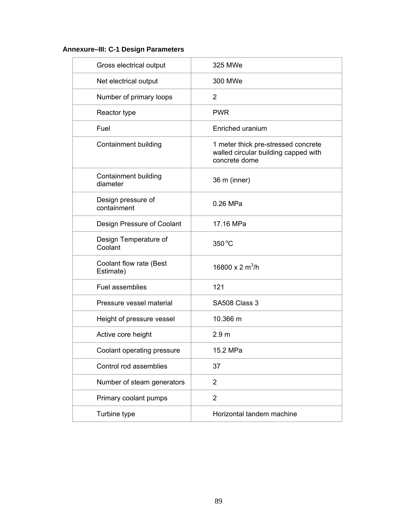# **Annexure–III: C-1 Design Parameters**

| Gross electrical output              | 325 MWe                                                                                      |
|--------------------------------------|----------------------------------------------------------------------------------------------|
| Net electrical output                | 300 MWe                                                                                      |
| Number of primary loops              | 2                                                                                            |
| Reactor type                         | <b>PWR</b>                                                                                   |
| Fuel                                 | Enriched uranium                                                                             |
| Containment building                 | 1 meter thick pre-stressed concrete<br>walled circular building capped with<br>concrete dome |
| Containment building<br>diameter     | 36 m (inner)                                                                                 |
| Design pressure of<br>containment    | 0.26 MPa                                                                                     |
| Design Pressure of Coolant           | 17.16 MPa                                                                                    |
| Design Temperature of<br>Coolant     | 350 °C                                                                                       |
| Coolant flow rate (Best<br>Estimate) | 16800 x 2 $m^3/h$                                                                            |
| Fuel assemblies                      | 121                                                                                          |
| Pressure vessel material             | SA508 Class 3                                                                                |
| Height of pressure vessel            | 10.366 m                                                                                     |
| Active core height                   | 2.9 <sub>m</sub>                                                                             |
| Coolant operating pressure           | 15.2 MPa                                                                                     |
| Control rod assemblies               | 37                                                                                           |
| Number of steam generators           | $\overline{2}$                                                                               |
| Primary coolant pumps                | $\overline{2}$                                                                               |
| Turbine type                         | Horizontal tandem machine                                                                    |
|                                      |                                                                                              |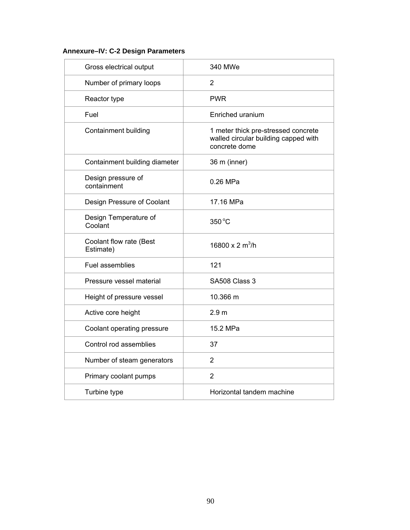# **Annexure–IV: C-2 Design Parameters**

| Gross electrical output              | 340 MWe                                                                                      |
|--------------------------------------|----------------------------------------------------------------------------------------------|
| Number of primary loops              | 2                                                                                            |
| Reactor type                         | <b>PWR</b>                                                                                   |
| Fuel                                 | Enriched uranium                                                                             |
| Containment building                 | 1 meter thick pre-stressed concrete<br>walled circular building capped with<br>concrete dome |
| Containment building diameter        | 36 m (inner)                                                                                 |
| Design pressure of<br>containment    | 0.26 MPa                                                                                     |
| Design Pressure of Coolant           | 17.16 MPa                                                                                    |
| Design Temperature of<br>Coolant     | 350 °C                                                                                       |
| Coolant flow rate (Best<br>Estimate) | 16800 x 2 $m^3/h$                                                                            |
| Fuel assemblies                      | 121                                                                                          |
| Pressure vessel material             | SA508 Class 3                                                                                |
| Height of pressure vessel            | 10.366 m                                                                                     |
| Active core height                   | 2.9 <sub>m</sub>                                                                             |
| Coolant operating pressure           | 15.2 MPa                                                                                     |
| Control rod assemblies               | 37                                                                                           |
| Number of steam generators           | $\overline{2}$                                                                               |
| Primary coolant pumps                | $\overline{2}$                                                                               |
| Turbine type                         | Horizontal tandem machine                                                                    |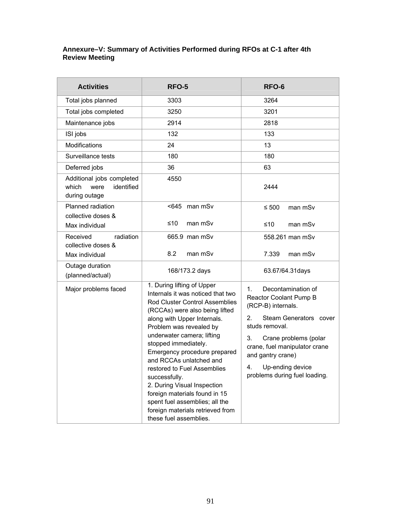# **Annexure–V: Summary of Activities Performed during RFOs at C-1 after 4th Review Meeting**

| <b>Activities</b>                                                         | RFO-5                                                                                                                                                                                                                                                                                                                                                                                                                                                                                                                                 | RFO-6                                                                                                                                                                                                                                                                           |  |
|---------------------------------------------------------------------------|---------------------------------------------------------------------------------------------------------------------------------------------------------------------------------------------------------------------------------------------------------------------------------------------------------------------------------------------------------------------------------------------------------------------------------------------------------------------------------------------------------------------------------------|---------------------------------------------------------------------------------------------------------------------------------------------------------------------------------------------------------------------------------------------------------------------------------|--|
| Total jobs planned                                                        | 3303                                                                                                                                                                                                                                                                                                                                                                                                                                                                                                                                  | 3264                                                                                                                                                                                                                                                                            |  |
| Total jobs completed                                                      | 3250                                                                                                                                                                                                                                                                                                                                                                                                                                                                                                                                  | 3201                                                                                                                                                                                                                                                                            |  |
| Maintenance jobs                                                          | 2914                                                                                                                                                                                                                                                                                                                                                                                                                                                                                                                                  | 2818                                                                                                                                                                                                                                                                            |  |
| ISI jobs                                                                  | 132                                                                                                                                                                                                                                                                                                                                                                                                                                                                                                                                   | 133                                                                                                                                                                                                                                                                             |  |
| Modifications                                                             | 24                                                                                                                                                                                                                                                                                                                                                                                                                                                                                                                                    | 13                                                                                                                                                                                                                                                                              |  |
| Surveillance tests                                                        | 180                                                                                                                                                                                                                                                                                                                                                                                                                                                                                                                                   | 180                                                                                                                                                                                                                                                                             |  |
| Deferred jobs                                                             | 36                                                                                                                                                                                                                                                                                                                                                                                                                                                                                                                                    | 63                                                                                                                                                                                                                                                                              |  |
| Additional jobs completed<br>identified<br>which<br>were<br>during outage | 4550                                                                                                                                                                                                                                                                                                                                                                                                                                                                                                                                  | 2444                                                                                                                                                                                                                                                                            |  |
| Planned radiation<br>collective doses &<br>Max individual                 | <645 man mSv<br>≤10<br>man m <sub>Sv</sub>                                                                                                                                                                                                                                                                                                                                                                                                                                                                                            | ≤ 500<br>man m <sub>Sv</sub><br>≤10<br>man m <sub>Sv</sub>                                                                                                                                                                                                                      |  |
| radiation<br>Received<br>collective doses &<br>Max individual             | 665.9 man mSv<br>8.2<br>man mSv                                                                                                                                                                                                                                                                                                                                                                                                                                                                                                       | 558.261 man mSv<br>7.339<br>man m <sub>Sv</sub>                                                                                                                                                                                                                                 |  |
| Outage duration<br>(planned/actual)                                       | 168/173.2 days                                                                                                                                                                                                                                                                                                                                                                                                                                                                                                                        | 63.67/64.31days                                                                                                                                                                                                                                                                 |  |
| Major problems faced                                                      | 1. During lifting of Upper<br>Internals it was noticed that two<br><b>Rod Cluster Control Assemblies</b><br>(RCCAs) were also being lifted<br>along with Upper Internals.<br>Problem was revealed by<br>underwater camera; lifting<br>stopped immediately.<br>Emergency procedure prepared<br>and RCCAs unlatched and<br>restored to Fuel Assemblies<br>successfully.<br>2. During Visual Inspection<br>foreign materials found in 15<br>spent fuel assemblies; all the<br>foreign materials retrieved from<br>these fuel assemblies. | Decontamination of<br>$1_{-}$<br>Reactor Coolant Pump B<br>(RCP-B) internals.<br>2.<br>Steam Generators cover<br>studs removal.<br>3.<br>Crane problems (polar<br>crane, fuel manipulator crane<br>and gantry crane)<br>4.<br>Up-ending device<br>problems during fuel loading. |  |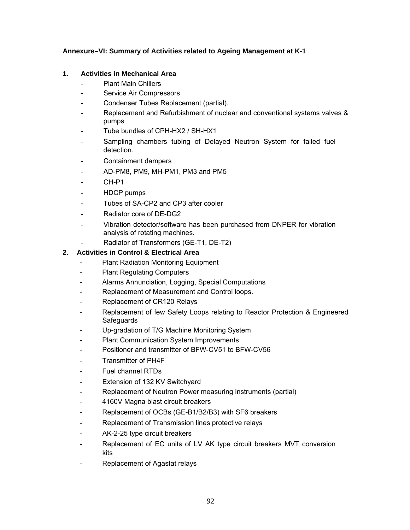# **Annexure–VI: Summary of Activities related to Ageing Management at K-1**

# **1. Activities in Mechanical Area**

- Plant Main Chillers
- Service Air Compressors
- Condenser Tubes Replacement (partial).
- Replacement and Refurbishment of nuclear and conventional systems valves & pumps
- Tube bundles of CPH-HX2 / SH-HX1
- Sampling chambers tubing of Delayed Neutron System for failed fuel detection.
- Containment dampers
- AD-PM8, PM9, MH-PM1, PM3 and PM5
- CH-P1
- HDCP pumps
- Tubes of SA-CP2 and CP3 after cooler
- Radiator core of DE-DG2
- Vibration detector/software has been purchased from DNPER for vibration analysis of rotating machines.
	- Radiator of Transformers (GE-T1, DE-T2)

# **2. Activities in Control & Electrical Area**

- Plant Radiation Monitoring Equipment
- Plant Regulating Computers
- Alarms Annunciation, Logging, Special Computations
- Replacement of Measurement and Control loops.
- Replacement of CR120 Relays
- Replacement of few Safety Loops relating to Reactor Protection & Engineered **Safeguards**
- Up-gradation of T/G Machine Monitoring System
- Plant Communication System Improvements
- Positioner and transmitter of BFW-CV51 to BFW-CV56
- Transmitter of PH4F
- Fuel channel RTDs
- Extension of 132 KV Switchyard
- Replacement of Neutron Power measuring instruments (partial)
- 4160V Magna blast circuit breakers
- Replacement of OCBs (GE-B1/B2/B3) with SF6 breakers
- Replacement of Transmission lines protective relays
- AK-2-25 type circuit breakers
- Replacement of EC units of LV AK type circuit breakers MVT conversion kits
- Replacement of Agastat relays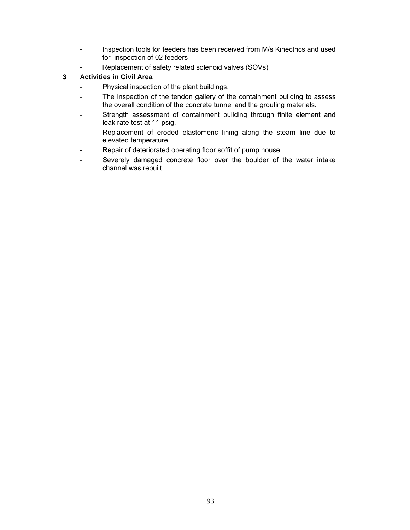- Inspection tools for feeders has been received from M/s Kinectrics and used for inspection of 02 feeders
- Replacement of safety related solenoid valves (SOVs)

# **3 Activities in Civil Area**

- Physical inspection of the plant buildings.
- The inspection of the tendon gallery of the containment building to assess the overall condition of the concrete tunnel and the grouting materials.
- Strength assessment of containment building through finite element and leak rate test at 11 psig.
- Replacement of eroded elastomeric lining along the steam line due to elevated temperature.
- Repair of deteriorated operating floor soffit of pump house.
- Severely damaged concrete floor over the boulder of the water intake channel was rebuilt.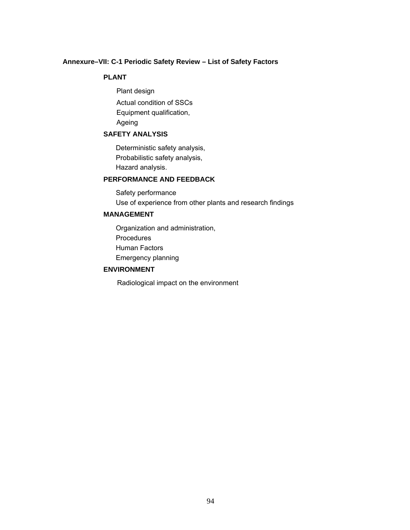#### **Annexure–VII: C-1 Periodic Safety Review – List of Safety Factors**

# **PLANT**

Plant design Actual condition of SSCs Equipment qualification, Ageing

# **SAFETY ANALYSIS**

Deterministic safety analysis, Probabilistic safety analysis, Hazard analysis.

# **PERFORMANCE AND FEEDBACK**

Safety performance Use of experience from other plants and research findings

# **MANAGEMENT**

Organization and administration, **Procedures** Human Factors Emergency planning

# **ENVIRONMENT**

Radiological impact on the environment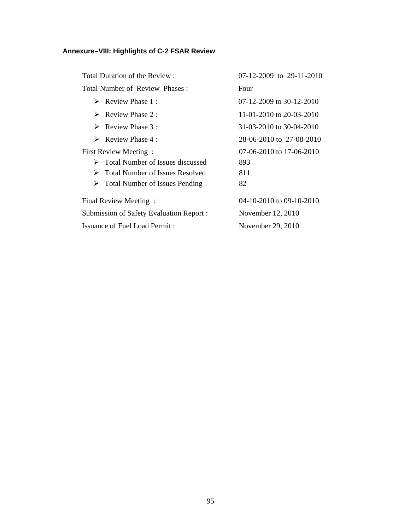# **Annexure–VIII: Highlights of C-2 FSAR Review**

| Total Duration of the Review:                     | 07-12-2009 to 29-11-2010   |
|---------------------------------------------------|----------------------------|
| Total Number of Review Phases:                    | Four                       |
| $\triangleright$ Review Phase 1:                  | 07-12-2009 to 30-12-2010   |
| $\triangleright$ Review Phase 2 :                 | 11-01-2010 to 20-03-2010   |
| $\triangleright$ Review Phase 3 :                 | 31-03-2010 to 30-04-2010   |
| $\triangleright$ Review Phase 4 :                 | 28-06-2010 to 27-08-2010   |
| First Review Meeting:                             | $07-06-2010$ to 17-06-2010 |
| $\triangleright$ Total Number of Issues discussed | 893                        |
| $\triangleright$ Total Number of Issues Resolved  | 811                        |
| $\triangleright$ Total Number of Issues Pending   | 82                         |
| Final Review Meeting:                             | 04-10-2010 to 09-10-2010   |
| Submission of Safety Evaluation Report:           | November 12, 2010          |
| Issuance of Fuel Load Permit:                     | November 29, 2010          |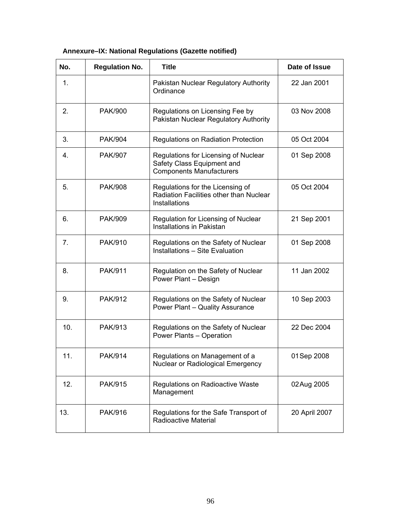| No. | <b>Regulation No.</b> | <b>Title</b>                                                                                          | Date of Issue |
|-----|-----------------------|-------------------------------------------------------------------------------------------------------|---------------|
| 1.  |                       | Pakistan Nuclear Regulatory Authority<br>Ordinance                                                    | 22 Jan 2001   |
| 2.  | <b>PAK/900</b>        | Regulations on Licensing Fee by<br>Pakistan Nuclear Regulatory Authority                              | 03 Nov 2008   |
| 3.  | <b>PAK/904</b>        | Regulations on Radiation Protection                                                                   | 05 Oct 2004   |
| 4.  | <b>PAK/907</b>        | Regulations for Licensing of Nuclear<br>Safety Class Equipment and<br><b>Components Manufacturers</b> | 01 Sep 2008   |
| 5.  | <b>PAK/908</b>        | Regulations for the Licensing of<br>Radiation Facilities other than Nuclear<br>Installations          | 05 Oct 2004   |
| 6.  | <b>PAK/909</b>        | Regulation for Licensing of Nuclear<br>Installations in Pakistan                                      | 21 Sep 2001   |
| 7.  | PAK/910               | Regulations on the Safety of Nuclear<br><b>Installations - Site Evaluation</b>                        | 01 Sep 2008   |
| 8.  | PAK/911               | Regulation on the Safety of Nuclear<br>Power Plant - Design                                           | 11 Jan 2002   |
| 9.  | <b>PAK/912</b>        | Regulations on the Safety of Nuclear<br>Power Plant - Quality Assurance                               | 10 Sep 2003   |
| 10. | PAK/913               | Regulations on the Safety of Nuclear<br>Power Plants - Operation                                      | 22 Dec 2004   |
| 11. | PAK/914               | Regulations on Management of a<br>Nuclear or Radiological Emergency                                   | 01 Sep 2008   |
| 12. | PAK/915               | Regulations on Radioactive Waste<br>Management                                                        | 02Aug 2005    |
| 13. | PAK/916               | Regulations for the Safe Transport of<br>Radioactive Material                                         | 20 April 2007 |

# **Annexure–IX: National Regulations (Gazette notified)**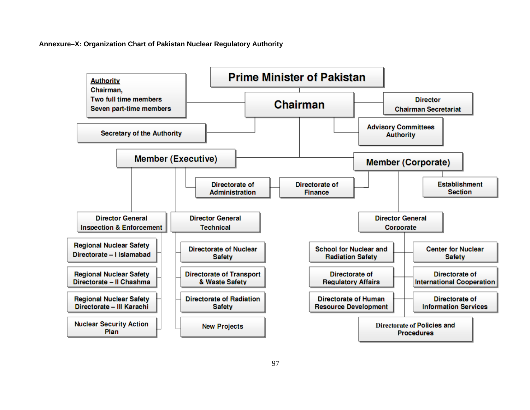**Annexure–X: Organization Chart of Pakistan Nuclear Regulatory Authority** 

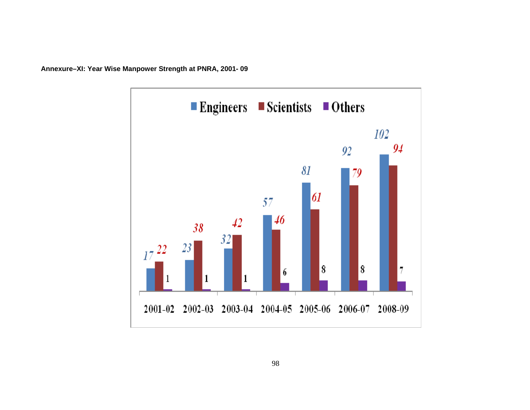

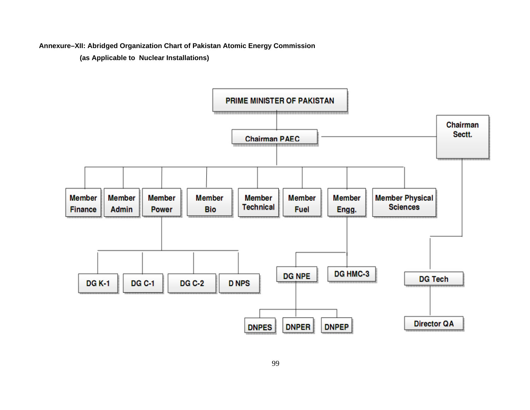**Annexure–XII: Abridged Organization Chart of Pakistan Atomic Energy Commission** 

**(as Applicable to Nuclear Installations)** 

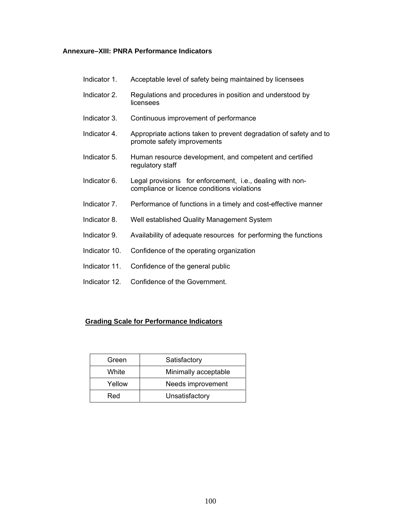### **Annexure–XIII: PNRA Performance Indicators**

- Indicator 1. Acceptable level of safety being maintained by licensees
- Indicator 2. Regulations and procedures in position and understood by licensees
- Indicator 3. Continuous improvement of performance
- Indicator 4. Appropriate actions taken to prevent degradation of safety and to promote safety improvements
- Indicator 5. Human resource development, and competent and certified regulatory staff
- Indicator 6. Legal provisions for enforcement, i.e., dealing with noncompliance or licence conditions violations
- Indicator 7. Performance of functions in a timely and cost-effective manner
- Indicator 8. Well established Quality Management System
- Indicator 9. Availability of adequate resources for performing the functions
- Indicator 10. Confidence of the operating organization
- Indicator 11. Confidence of the general public
- Indicator 12. Confidence of the Government.

#### **Grading Scale for Performance Indicators**

| Green                       | Satisfactory         |  |
|-----------------------------|----------------------|--|
| White                       | Minimally acceptable |  |
| Needs improvement<br>Yellow |                      |  |
| Red                         | Unsatisfactory       |  |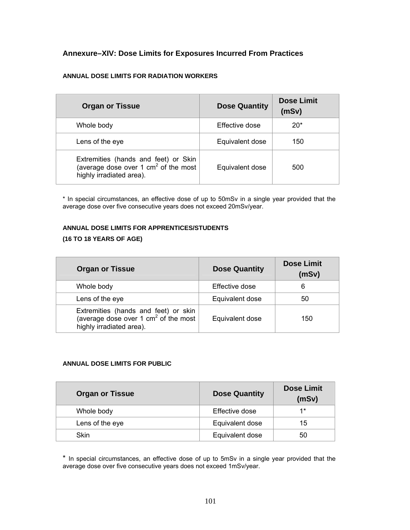# **Annexure–XIV: Dose Limits for Exposures Incurred From Practices**

### **ANNUAL DOSE LIMITS FOR RADIATION WORKERS**

| <b>Organ or Tissue</b>                                                                                             | <b>Dose Quantity</b> | <b>Dose Limit</b><br>(mSv) |
|--------------------------------------------------------------------------------------------------------------------|----------------------|----------------------------|
| Whole body                                                                                                         | Effective dose       | $20*$                      |
| Lens of the eye                                                                                                    | Equivalent dose      | 150                        |
| Extremities (hands and feet) or Skin<br>(average dose over 1 $\text{cm}^2$ of the most<br>highly irradiated area). | Equivalent dose      | 500                        |

\* In special circumstances, an effective dose of up to 50mSv in a single year provided that the average dose over five consecutive years does not exceed 20mSv/year.

# **ANNUAL DOSE LIMITS FOR APPRENTICES/STUDENTS**

# **(16 TO 18 YEARS OF AGE)**

| <b>Organ or Tissue</b>                                                                                             | <b>Dose Quantity</b> | <b>Dose Limit</b><br>(mSv) |
|--------------------------------------------------------------------------------------------------------------------|----------------------|----------------------------|
| Whole body                                                                                                         | Effective dose       | 6                          |
| Lens of the eye                                                                                                    | Equivalent dose      | 50                         |
| Extremities (hands and feet) or skin<br>(average dose over 1 $\text{cm}^2$ of the most<br>highly irradiated area). | Equivalent dose      | 150                        |

#### **ANNUAL DOSE LIMITS FOR PUBLIC**

| <b>Organ or Tissue</b> | <b>Dose Quantity</b> | <b>Dose Limit</b><br>(mSv) |
|------------------------|----------------------|----------------------------|
| Whole body             | Effective dose       | $1*$                       |
| Lens of the eye        | Equivalent dose      | 15                         |
| Skin                   | Equivalent dose      | 50                         |

\* In special circumstances, an effective dose of up to 5mSv in a single year provided that the average dose over five consecutive years does not exceed 1mSv/year.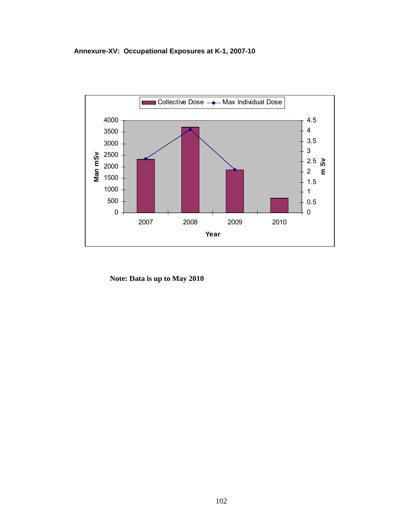# **Annexure-XV: Occupational Exposures at K-1, 2007-10**



**Note: Data is up to May 2010**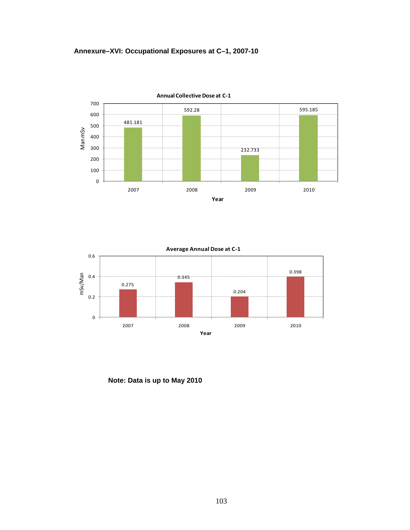





**Note: Data is up to May 2010**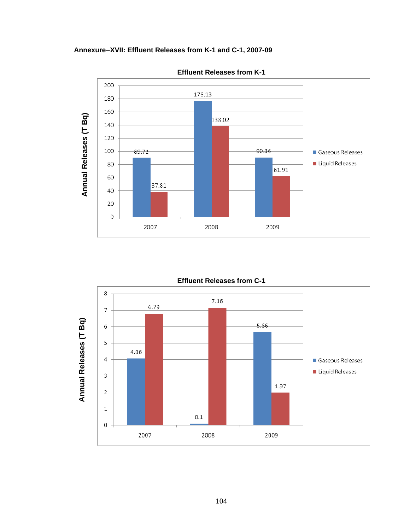**Annexure–XVII: Effluent Releases from K-1 and C-1, 2007-09** 



**Effluent Releases from K-1** 

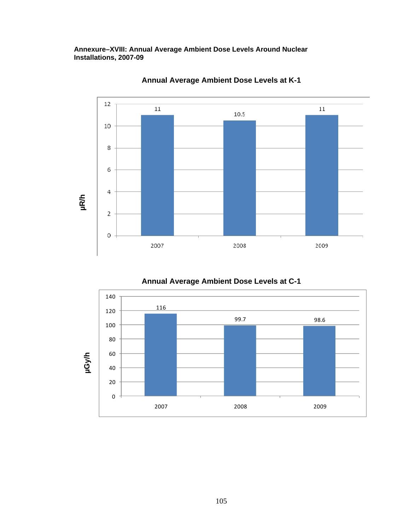**Annexure–XVIII: Annual Average Ambient Dose Levels Around Nuclear Installations, 2007-09** 



**Annual Average Ambient Dose Levels at K-1** 



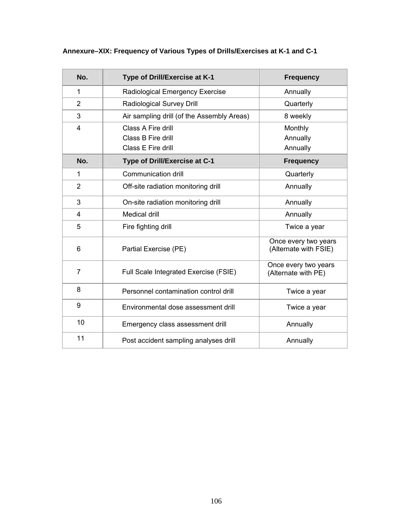| No.            | Type of Drill/Exercise at K-1              | <b>Frequency</b>                              |
|----------------|--------------------------------------------|-----------------------------------------------|
| 1              | Radiological Emergency Exercise            | Annually                                      |
| 2              | Radiological Survey Drill                  | Quarterly                                     |
| 3              | Air sampling drill (of the Assembly Areas) | 8 weekly                                      |
| 4              | Class A Fire drill                         | Monthly                                       |
|                | Class B Fire drill                         | Annually                                      |
|                | Class E Fire drill                         | Annually                                      |
| No.            | Type of Drill/Exercise at C-1              | <b>Frequency</b>                              |
| 1              | Communication drill                        | Quarterly                                     |
| 2              | Off-site radiation monitoring drill        | Annually                                      |
| 3              | On-site radiation monitoring drill         | Annually                                      |
| 4              | Medical drill                              | Annually                                      |
| 5              | Fire fighting drill                        | Twice a year                                  |
| 6              | Partial Exercise (PE)                      | Once every two years<br>(Alternate with FSIE) |
| $\overline{7}$ | Full Scale Integrated Exercise (FSIE)      | Once every two years<br>(Alternate with PE)   |
| 8              | Personnel contamination control drill      | Twice a year                                  |
| 9              | Environmental dose assessment drill        | Twice a year                                  |
| 10             | Emergency class assessment drill           | Annually                                      |
| 11             | Post accident sampling analyses drill      | Annually                                      |

# **Annexure–XIX: Frequency of Various Types of Drills/Exercises at K-1 and C-1**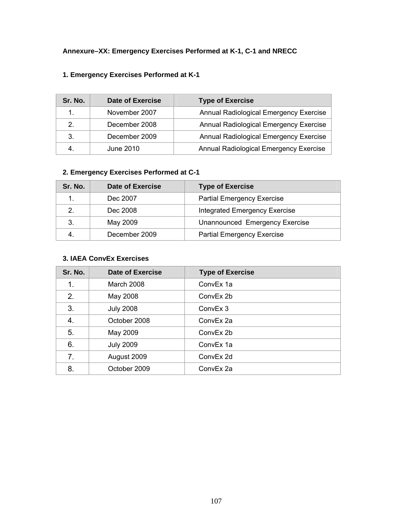| Sr. No.        | <b>Date of Exercise</b> | <b>Type of Exercise</b>                |
|----------------|-------------------------|----------------------------------------|
| 1.             | November 2007           | Annual Radiological Emergency Exercise |
| 2 <sub>1</sub> | December 2008           | Annual Radiological Emergency Exercise |
| 3.             | December 2009           | Annual Radiological Emergency Exercise |
| 4.             | June 2010               | Annual Radiological Emergency Exercise |

# **1. Emergency Exercises Performed at K-1**

# **2. Emergency Exercises Performed at C-1**

| Sr. No. | <b>Date of Exercise</b> | <b>Type of Exercise</b>           |
|---------|-------------------------|-----------------------------------|
|         | Dec 2007                | <b>Partial Emergency Exercise</b> |
| 2.      | Dec 2008                | Integrated Emergency Exercise     |
| 3.      | May 2009                | Unannounced Emergency Exercise    |
|         | December 2009           | <b>Partial Emergency Exercise</b> |

#### **3. IAEA ConvEx Exercises**

| Sr. No. | <b>Date of Exercise</b> | <b>Type of Exercise</b> |
|---------|-------------------------|-------------------------|
| 1.      | March 2008              | ConvEx 1a               |
| 2.      | May 2008                | ConvEx 2b               |
| 3.      | <b>July 2008</b>        | ConvEx 3                |
| 4.      | October 2008            | ConvEx 2a               |
| 5.      | May 2009                | ConvEx 2b               |
| 6.      | <b>July 2009</b>        | ConvEx 1a               |
| 7.      | August 2009             | ConvEx 2d               |
| 8.      | October 2009            | ConvEx 2a               |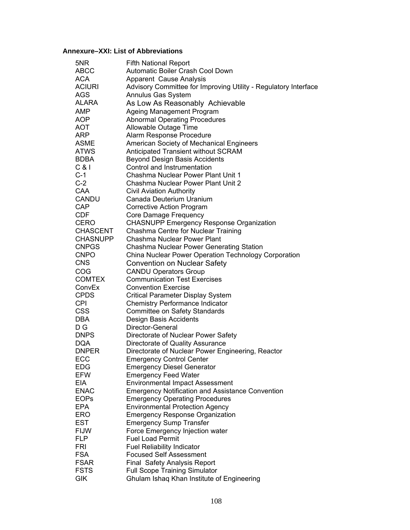#### **Annexure–XXI: List of Abbreviations**

| 5NR                 | <b>Fifth National Report</b>                                                          |
|---------------------|---------------------------------------------------------------------------------------|
| <b>ABCC</b>         | Automatic Boiler Crash Cool Down                                                      |
| <b>ACA</b>          | Apparent Cause Analysis                                                               |
| <b>ACIURI</b>       | Advisory Committee for Improving Utility - Regulatory Interface                       |
| <b>AGS</b>          | Annulus Gas System                                                                    |
| <b>ALARA</b>        | As Low As Reasonably Achievable                                                       |
| <b>AMP</b>          | Ageing Management Program                                                             |
| <b>AOP</b>          | <b>Abnormal Operating Procedures</b>                                                  |
| <b>AOT</b>          | Allowable Outage Time                                                                 |
| <b>ARP</b>          | Alarm Response Procedure                                                              |
| <b>ASME</b>         | American Society of Mechanical Engineers                                              |
| <b>ATWS</b>         | Anticipated Transient without SCRAM                                                   |
| <b>BDBA</b>         | <b>Beyond Design Basis Accidents</b>                                                  |
| $C$ & $I$           | Control and Instrumentation                                                           |
| $C-1$               | Chashma Nuclear Power Plant Unit 1                                                    |
| $C-2$               | Chashma Nuclear Power Plant Unit 2                                                    |
| CAA                 | <b>Civil Aviation Authority</b>                                                       |
| <b>CANDU</b>        | Canada Deuterium Uranium                                                              |
| CAP                 | <b>Corrective Action Program</b>                                                      |
| <b>CDF</b>          | Core Damage Frequency                                                                 |
| <b>CERO</b>         | <b>CHASNUPP Emergency Response Organization</b>                                       |
| <b>CHASCENT</b>     | Chashma Centre for Nuclear Training                                                   |
| <b>CHASNUPP</b>     | Chashma Nuclear Power Plant                                                           |
| <b>CNPGS</b>        | Chashma Nuclear Power Generating Station                                              |
| <b>CNPO</b>         | China Nuclear Power Operation Technology Corporation                                  |
| <b>CNS</b>          | Convention on Nuclear Safety                                                          |
| COG                 | <b>CANDU Operators Group</b>                                                          |
| <b>COMTEX</b>       | <b>Communication Test Exercises</b>                                                   |
| ConvEx              | <b>Convention Exercise</b>                                                            |
| <b>CPDS</b>         | <b>Critical Parameter Display System</b>                                              |
| <b>CPI</b>          | <b>Chemistry Performance Indicator</b>                                                |
| <b>CSS</b>          | Committee on Safety Standards                                                         |
| <b>DBA</b>          | Design Basis Accidents                                                                |
| D G                 | Director-General                                                                      |
| <b>DNPS</b>         | Directorate of Nuclear Power Safety                                                   |
| <b>DQA</b>          |                                                                                       |
|                     | Directorate of Quality Assurance<br>Directorate of Nuclear Power Engineering, Reactor |
| <b>DNPER</b><br>ECC |                                                                                       |
|                     | <b>Emergency Control Center</b>                                                       |
| <b>EDG</b>          | <b>Emergency Diesel Generator</b>                                                     |
| <b>EFW</b>          | <b>Emergency Feed Water</b>                                                           |
| EIA                 | <b>Environmental Impact Assessment</b>                                                |
| <b>ENAC</b>         | <b>Emergency Notification and Assistance Convention</b>                               |
| <b>EOPs</b>         | <b>Emergency Operating Procedures</b>                                                 |
| <b>EPA</b>          | <b>Environmental Protection Agency</b>                                                |
| <b>ERO</b>          | <b>Emergency Response Organization</b>                                                |
| <b>EST</b>          | <b>Emergency Sump Transfer</b>                                                        |
| <b>FIJW</b>         | Force Emergency Injection water                                                       |
| <b>FLP</b>          | <b>Fuel Load Permit</b>                                                               |
| <b>FRI</b>          | <b>Fuel Reliability Indicator</b>                                                     |
| <b>FSA</b>          | <b>Focused Self Assessment</b>                                                        |
| <b>FSAR</b>         | Final Safety Analysis Report                                                          |
| <b>FSTS</b>         | <b>Full Scope Training Simulator</b>                                                  |
| GIK                 | Ghulam Ishaq Khan Institute of Engineering                                            |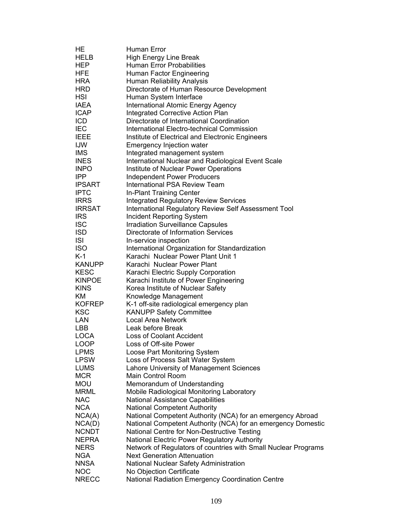| HE            | Human Error                                                    |
|---------------|----------------------------------------------------------------|
| <b>HELB</b>   | High Energy Line Break                                         |
| HEP           | <b>Human Error Probabilities</b>                               |
| <b>HFE</b>    | Human Factor Engineering                                       |
| <b>HRA</b>    | Human Reliability Analysis                                     |
| <b>HRD</b>    | Directorate of Human Resource Development                      |
| <b>HSI</b>    | Human System Interface                                         |
| <b>IAEA</b>   | International Atomic Energy Agency                             |
| <b>ICAP</b>   | <b>Integrated Corrective Action Plan</b>                       |
| <b>ICD</b>    | Directorate of International Coordination                      |
| <b>IEC</b>    | International Electro-technical Commission                     |
| <b>IEEE</b>   |                                                                |
|               | Institute of Electrical and Electronic Engineers               |
| <b>IJW</b>    | <b>Emergency Injection water</b>                               |
| <b>IMS</b>    | Integrated management system                                   |
| <b>INES</b>   | International Nuclear and Radiological Event Scale             |
| <b>INPO</b>   | Institute of Nuclear Power Operations                          |
| <b>IPP</b>    | <b>Independent Power Producers</b>                             |
| <b>IPSART</b> | <b>International PSA Review Team</b>                           |
| <b>IPTC</b>   | In-Plant Training Center                                       |
| <b>IRRS</b>   | <b>Integrated Regulatory Review Services</b>                   |
| <b>IRRSAT</b> | International Regulatory Review Self Assessment Tool           |
| <b>IRS</b>    | <b>Incident Reporting System</b>                               |
| <b>ISC</b>    | <b>Irradiation Surveillance Capsules</b>                       |
| <b>ISD</b>    | Directorate of Information Services                            |
| <b>ISI</b>    | In-service inspection                                          |
| <b>ISO</b>    | International Organization for Standardization                 |
| $K-1$         | Karachi Nuclear Power Plant Unit 1                             |
| <b>KANUPP</b> | Karachi Nuclear Power Plant                                    |
| <b>KESC</b>   | Karachi Electric Supply Corporation                            |
| <b>KINPOE</b> | Karachi Institute of Power Engineering                         |
| <b>KINS</b>   | Korea Institute of Nuclear Safety                              |
| ΚM            | Knowledge Management                                           |
| <b>KOFREP</b> | K-1 off-site radiological emergency plan                       |
| <b>KSC</b>    | <b>KANUPP Safety Committee</b>                                 |
| <b>LAN</b>    | <b>Local Area Network</b>                                      |
| <b>LBB</b>    | Leak before Break                                              |
| <b>LOCA</b>   | <b>Loss of Coolant Accident</b>                                |
| LOOP          | Loss of Off-site Power                                         |
| <b>LPMS</b>   | Loose Part Monitoring System                                   |
| <b>LPSW</b>   | Loss of Process Salt Water System                              |
| <b>LUMS</b>   | Lahore University of Management Sciences                       |
| <b>MCR</b>    | Main Control Room                                              |
| <b>MOU</b>    | Memorandum of Understanding                                    |
| <b>MRML</b>   | Mobile Radiological Monitoring Laboratory                      |
| <b>NAC</b>    | National Assistance Capabilities                               |
| <b>NCA</b>    | <b>National Competent Authority</b>                            |
| NCA(A)        | National Competent Authority (NCA) for an emergency Abroad     |
| NCA(D)        | National Competent Authority (NCA) for an emergency Domestic   |
| <b>NCNDT</b>  | National Centre for Non-Destructive Testing                    |
| <b>NEPRA</b>  |                                                                |
| <b>NERS</b>   | National Electric Power Regulatory Authority                   |
|               | Network of Regulators of countries with Small Nuclear Programs |
| <b>NGA</b>    | <b>Next Generation Attenuation</b>                             |
| <b>NNSA</b>   | National Nuclear Safety Administration                         |
| <b>NOC</b>    | No Objection Certificate                                       |
| <b>NRECC</b>  | National Radiation Emergency Coordination Centre               |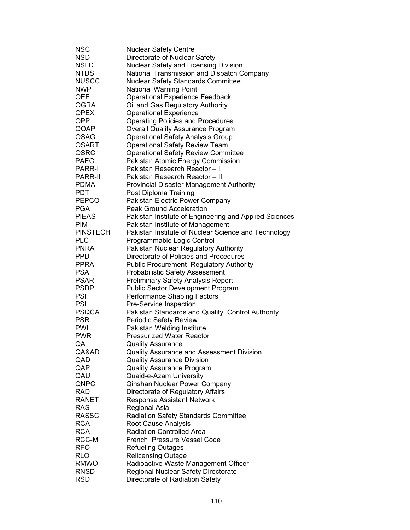| NSC             | <b>Nuclear Safety Centre</b>                           |
|-----------------|--------------------------------------------------------|
| <b>NSD</b>      | Directorate of Nuclear Safety                          |
| <b>NSLD</b>     | Nuclear Safety and Licensing Division                  |
| <b>NTDS</b>     | National Transmission and Dispatch Company             |
| <b>NUSCC</b>    | <b>Nuclear Safety Standards Committee</b>              |
| <b>NWP</b>      | <b>National Warning Point</b>                          |
| <b>OEF</b>      | <b>Operational Experience Feedback</b>                 |
| <b>OGRA</b>     | Oil and Gas Regulatory Authority                       |
| <b>OPEX</b>     | <b>Operational Experience</b>                          |
| <b>OPP</b>      | <b>Operating Policies and Procedures</b>               |
| <b>OQAP</b>     | <b>Overall Quality Assurance Program</b>               |
| <b>OSAG</b>     | <b>Operational Safety Analysis Group</b>               |
| <b>OSART</b>    | <b>Operational Safety Review Team</b>                  |
| <b>OSRC</b>     | <b>Operational Safety Review Committee</b>             |
| <b>PAEC</b>     | Pakistan Atomic Energy Commission                      |
| <b>PARR-I</b>   | Pakistan Research Reactor-I                            |
| <b>PARR-II</b>  | Pakistan Research Reactor - II                         |
| <b>PDMA</b>     | <b>Provincial Disaster Management Authority</b>        |
| <b>PDT</b>      | Post Diploma Training                                  |
| <b>PEPCO</b>    | Pakistan Electric Power Company                        |
| <b>PGA</b>      | <b>Peak Ground Acceleration</b>                        |
| <b>PIEAS</b>    | Pakistan Institute of Engineering and Applied Sciences |
| <b>PIM</b>      | Pakistan Institute of Management                       |
| <b>PINSTECH</b> | Pakistan Institute of Nuclear Science and Technology   |
| <b>PLC</b>      | Programmable Logic Control                             |
| <b>PNRA</b>     | Pakistan Nuclear Regulatory Authority                  |
| <b>PPD</b>      | Directorate of Policies and Procedures                 |
| <b>PPRA</b>     | <b>Public Procurement Regulatory Authority</b>         |
| <b>PSA</b>      | <b>Probabilistic Safety Assessment</b>                 |
| <b>PSAR</b>     | <b>Preliminary Safety Analysis Report</b>              |
| <b>PSDP</b>     | <b>Public Sector Development Program</b>               |
| <b>PSF</b>      | <b>Performance Shaping Factors</b>                     |
| <b>PSI</b>      | Pre-Service Inspection                                 |
| <b>PSQCA</b>    | Pakistan Standards and Quality Control Authority       |
| <b>PSR</b>      | Periodic Safety Review                                 |
| <b>PWI</b>      | Pakistan Welding Institute                             |
| <b>PWR</b>      | <b>Pressurized Water Reactor</b>                       |
| QA              | <b>Quality Assurance</b>                               |
| QA&AD           | Quality Assurance and Assessment Division              |
| QAD             | <b>Quality Assurance Division</b>                      |
| QAP             | <b>Quality Assurance Program</b>                       |
| QAU             | Quaid-e-Azam University                                |
| QNPC            | Qinshan Nuclear Power Company                          |
| <b>RAD</b>      | Directorate of Regulatory Affairs                      |
| RANET           | <b>Response Assistant Network</b>                      |
| <b>RAS</b>      | Regional Asia                                          |
| <b>RASSC</b>    | <b>Radiation Safety Standards Committee</b>            |
| <b>RCA</b>      | Root Cause Analysis                                    |
| <b>RCA</b>      | <b>Radiation Controlled Area</b>                       |
| RCC-M           | French Pressure Vessel Code                            |
| <b>RFO</b>      | <b>Refueling Outages</b>                               |
| <b>RLO</b>      | <b>Relicensing Outage</b>                              |
| <b>RMWO</b>     | Radioactive Waste Management Officer                   |
| <b>RNSD</b>     | Regional Nuclear Safety Directorate                    |
| <b>RSD</b>      | Directorate of Radiation Safety                        |
|                 |                                                        |